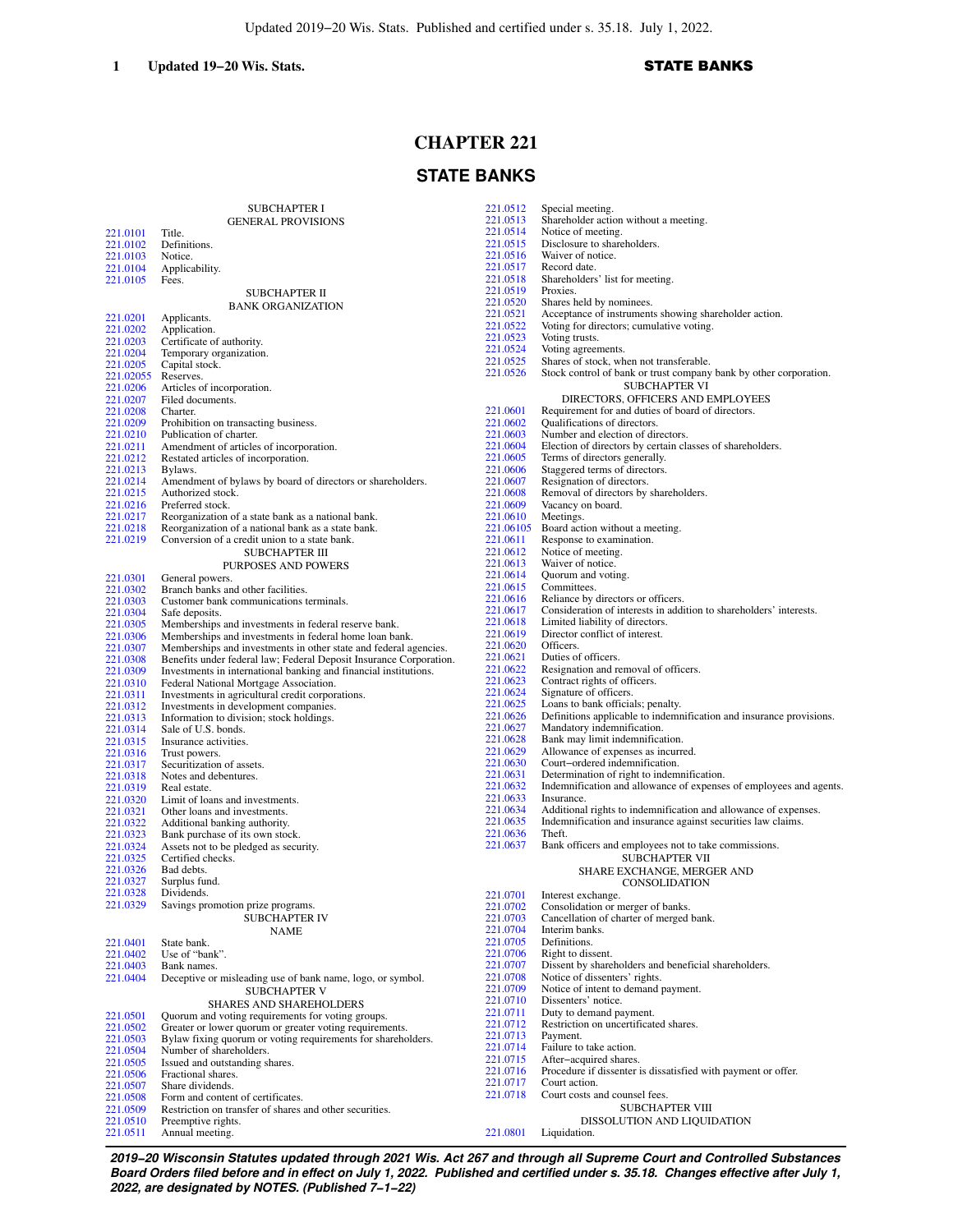# **CHAPTER 221**

# **STATE BANKS**

|                      | <b>SUBCHAPTER I</b>                                                | 221.0512             | Special meeting.                                                                                         |
|----------------------|--------------------------------------------------------------------|----------------------|----------------------------------------------------------------------------------------------------------|
|                      | <b>GENERAL PROVISIONS</b>                                          | 221.0513             | Shareholder action without a meeting.                                                                    |
| 221.0101             | Title.                                                             | 221.0514<br>221.0515 | Notice of meeting.                                                                                       |
| 221.0102             | Definitions.                                                       | 221.0516             | Disclosure to shareholders.<br>Waiver of notice.                                                         |
| 221.0103<br>221.0104 | Notice.                                                            | 221.0517             | Record date.                                                                                             |
| 221.0105             | Applicability.<br>Fees.                                            | 221.0518             | Shareholders' list for meeting.                                                                          |
|                      | SUBCHAPTER II                                                      | 221.0519             | Proxies.                                                                                                 |
|                      |                                                                    | 221.0520             | Shares held by nominees.                                                                                 |
| 221.0201             | <b>BANK ORGANIZATION</b><br>Applicants.                            | 221.0521             | Acceptance of instruments showing shareholder action.                                                    |
| 221.0202             | Application.                                                       | 221.0522             | Voting for directors; cumulative voting.                                                                 |
| 221.0203             | Certificate of authority.                                          | 221.0523             | Voting trusts.                                                                                           |
| 221.0204             | Temporary organization.                                            | 221.0524             | Voting agreements.                                                                                       |
| 221.0205             | Capital stock.                                                     | 221.0525             | Shares of stock, when not transferable.                                                                  |
| 221.02055 Reserves.  |                                                                    | 221.0526             | Stock control of bank or trust company bank by other corporation.                                        |
| 221.0206             | Articles of incorporation.                                         |                      | <b>SUBCHAPTER VI</b>                                                                                     |
| 221.0207             | Filed documents.                                                   |                      | DIRECTORS, OFFICERS AND EMPLOYEES                                                                        |
| 221.0208             | Charter.                                                           | 221.0601             | Requirement for and duties of board of directors.                                                        |
| 221.0209             | Prohibition on transacting business.                               | 221.0602             | Qualifications of directors.                                                                             |
| 221.0210             | Publication of charter.                                            | 221.0603             | Number and election of directors.                                                                        |
| 221.0211             | Amendment of articles of incorporation.                            | 221.0604             | Election of directors by certain classes of shareholders.                                                |
| 221.0212             | Restated articles of incorporation.                                | 221.0605             | Terms of directors generally.                                                                            |
| 221.0213             | Bylaws.                                                            | 221.0606             | Staggered terms of directors.                                                                            |
| 221.0214             | Amendment of bylaws by board of directors or shareholders.         | 221.0607             | Resignation of directors.                                                                                |
| 221.0215<br>221.0216 | Authorized stock.<br>Preferred stock.                              | 221.0608             | Removal of directors by shareholders.                                                                    |
| 221.0217             | Reorganization of a state bank as a national bank.                 | 221.0609<br>221.0610 | Vacancy on board.<br>Meetings.                                                                           |
| 221.0218             | Reorganization of a national bank as a state bank.                 | 221.06105            | Board action without a meeting.                                                                          |
| 221.0219             | Conversion of a credit union to a state bank.                      | 221.0611             | Response to examination.                                                                                 |
|                      | <b>SUBCHAPTER III</b>                                              | 221.0612             | Notice of meeting.                                                                                       |
|                      | PURPOSES AND POWERS                                                | 221.0613             | Waiver of notice.                                                                                        |
| 221.0301             | General powers.                                                    | 221.0614             | Quorum and voting.                                                                                       |
| 221.0302             | Branch banks and other facilities.                                 | 221.0615             | Committees.                                                                                              |
| 221.0303             | Customer bank communications terminals.                            | 221.0616             | Reliance by directors or officers.                                                                       |
| 221.0304             | Safe deposits.                                                     | 221.0617             | Consideration of interests in addition to shareholders' interests.                                       |
| 221.0305             | Memberships and investments in federal reserve bank.               | 221.0618             | Limited liability of directors.                                                                          |
| 221.0306             | Memberships and investments in federal home loan bank.             | 221.0619             | Director conflict of interest.                                                                           |
| 221.0307             | Memberships and investments in other state and federal agencies.   | 221.0620             | Officers.                                                                                                |
| 221.0308             | Benefits under federal law; Federal Deposit Insurance Corporation. | 221.0621             | Duties of officers.                                                                                      |
| 221.0309             | Investments in international banking and financial institutions.   | 221.0622             | Resignation and removal of officers.                                                                     |
| 221.0310             | Federal National Mortgage Association.                             | 221.0623             | Contract rights of officers.                                                                             |
| 221.0311             | Investments in agricultural credit corporations.                   | 221.0624             | Signature of officers.                                                                                   |
| 221.0312             | Investments in development companies.                              | 221.0625<br>221.0626 | Loans to bank officials; penalty.<br>Definitions applicable to indemnification and insurance provisions. |
| 221.0313             | Information to division; stock holdings.                           | 221.0627             | Mandatory indemnification.                                                                               |
| 221.0314<br>221.0315 | Sale of U.S. bonds.<br>Insurance activities.                       | 221.0628             | Bank may limit indemnification.                                                                          |
| 221.0316             | Trust powers.                                                      | 221.0629             | Allowance of expenses as incurred.                                                                       |
| 221.0317             | Securitization of assets.                                          | 221.0630             | Court-ordered indemnification.                                                                           |
| 221.0318             | Notes and debentures.                                              | 221.0631             | Determination of right to indemnification.                                                               |
| 221.0319             | Real estate.                                                       | 221.0632             | Indemnification and allowance of expenses of employees and agents.                                       |
| 221.0320             | Limit of loans and investments.                                    | 221.0633             | Insurance.                                                                                               |
| 221.0321             | Other loans and investments.                                       | 221.0634             | Additional rights to indemnification and allowance of expenses.                                          |
| 221.0322             | Additional banking authority.                                      | 221.0635             | Indemnification and insurance against securities law claims.                                             |
| 221.0323             | Bank purchase of its own stock.                                    | 221.0636             | Theft.                                                                                                   |
| 221.0324             | Assets not to be pledged as security.                              | 221.0637             | Bank officers and employees not to take commissions.                                                     |
| 221.0325             | Certified checks.                                                  |                      | <b>SUBCHAPTER VII</b>                                                                                    |
| 221.0326             | Bad debts.                                                         |                      | SHARE EXCHANGE, MERGER AND                                                                               |
| 221.0327             | Surplus fund.                                                      |                      | CONSOLIDATION                                                                                            |
| 221.0328             | Dividends.<br>Savings promotion prize programs.                    | 221.0701             | Interest exchange.                                                                                       |
| 221.0329             |                                                                    | 221.0702             | Consolidation or merger of banks.                                                                        |
|                      | <b>SUBCHAPTER IV</b>                                               | 221.0703             | Cancellation of charter of merged bank.                                                                  |
|                      | <b>NAME</b>                                                        | 221.0704<br>221.0705 | Interim banks.                                                                                           |
| 221.0401<br>221.0402 | State bank.<br>Use of "bank".                                      | 221.0706             | Definitions.<br>Right to dissent.                                                                        |
| 221.0403             | Bank names.                                                        | 221.0707             | Dissent by shareholders and beneficial shareholders.                                                     |
| 221.0404             | Deceptive or misleading use of bank name, logo, or symbol.         | 221.0708             | Notice of dissenters' rights.                                                                            |
|                      | <b>SUBCHAPTER V</b>                                                | 221.0709             | Notice of intent to demand payment.                                                                      |
|                      | SHARES AND SHAREHOLDERS                                            | 221.0710             | Dissenters' notice.                                                                                      |
| 221.0501             | Quorum and voting requirements for voting groups.                  | 221.0711             | Duty to demand payment.                                                                                  |
| 221.0502             | Greater or lower quorum or greater voting requirements.            | 221.0712             | Restriction on uncertificated shares.                                                                    |
| 221.0503             | Bylaw fixing quorum or voting requirements for shareholders.       | 221.0713             | Payment.                                                                                                 |
| 221.0504             | Number of shareholders.                                            | 221.0714             | Failure to take action.                                                                                  |
| 221.0505             | Issued and outstanding shares.                                     | 221.0715             | After-acquired shares.                                                                                   |
| 221.0506             | Fractional shares.                                                 | 221.0716             | Procedure if dissenter is dissatisfied with payment or offer.                                            |
| 221.0507             | Share dividends.                                                   | 221.0717             | Court action.                                                                                            |
| 221.0508             | Form and content of certificates.                                  | 221.0718             | Court costs and counsel fees.                                                                            |
| 221.0509             | Restriction on transfer of shares and other securities.            |                      | <b>SUBCHAPTER VIII</b>                                                                                   |
| 221.0510             | Preemptive rights.                                                 |                      | DISSOLUTION AND LIQUIDATION                                                                              |
| 221.0511             | Annual meeting.                                                    | 221.0801             | Liquidation.                                                                                             |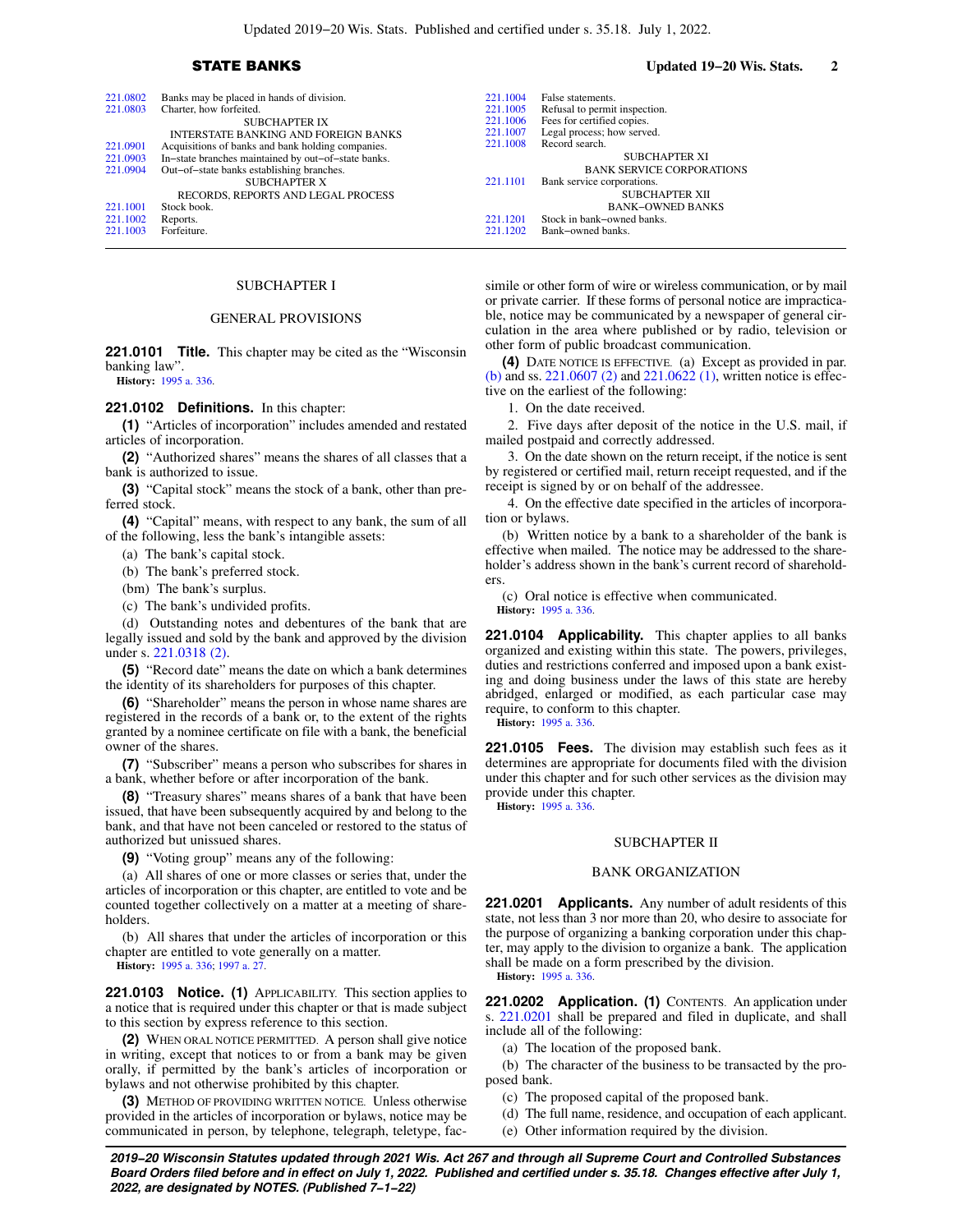| 221.0802 | Banks may be placed in hands of division.           | 221.1004 | False statements.                |
|----------|-----------------------------------------------------|----------|----------------------------------|
| 221.0803 | Charter, how forfeited.                             | 221.1005 | Refusal to permit inspection.    |
|          | <b>SUBCHAPTER IX</b>                                | 221.1006 | Fees for certified copies.       |
|          | INTERSTATE BANKING AND FOREIGN BANKS                | 221.1007 | Legal process; how served.       |
| 221.0901 | Acquisitions of banks and bank holding companies.   | 221.1008 | Record search.                   |
| 221.0903 | In-state branches maintained by out-of-state banks. |          | <b>SUBCHAPTER XI</b>             |
| 221.0904 | Out-of-state banks establishing branches.           |          | <b>BANK SERVICE CORPORATIONS</b> |
|          | <b>SUBCHAPTER X</b>                                 | 221.1101 | Bank service corporations.       |
|          | RECORDS, REPORTS AND LEGAL PROCESS                  |          | <b>SUBCHAPTER XII</b>            |
| 221.1001 | Stock book.                                         |          | <b>BANK-OWNED BANKS</b>          |
| 221.1002 | Reports.                                            | 221.1201 | Stock in bank-owned banks.       |
| 221.1003 | Forfeiture.                                         | 221.1202 | Bank-owned banks.                |

### SUBCHAPTER I

### GENERAL PROVISIONS

**221.0101 Title.** This chapter may be cited as the "Wisconsin banking law".

**History:** [1995 a. 336](https://docs.legis.wisconsin.gov/document/acts/1995/336).

### **221.0102 Definitions.** In this chapter:

**(1)** "Articles of incorporation" includes amended and restated articles of incorporation.

**(2)** "Authorized shares" means the shares of all classes that a bank is authorized to issue.

**(3)** "Capital stock" means the stock of a bank, other than preferred stock.

**(4)** "Capital" means, with respect to any bank, the sum of all of the following, less the bank's intangible assets:

(a) The bank's capital stock.

(b) The bank's preferred stock.

(bm) The bank's surplus.

(c) The bank's undivided profits.

(d) Outstanding notes and debentures of the bank that are legally issued and sold by the bank and approved by the division under s. [221.0318 \(2\).](https://docs.legis.wisconsin.gov/document/statutes/221.0318(2))

**(5)** "Record date" means the date on which a bank determines the identity of its shareholders for purposes of this chapter.

**(6)** "Shareholder" means the person in whose name shares are registered in the records of a bank or, to the extent of the rights granted by a nominee certificate on file with a bank, the beneficial owner of the shares.

**(7)** "Subscriber" means a person who subscribes for shares in a bank, whether before or after incorporation of the bank.

**(8)** "Treasury shares" means shares of a bank that have been issued, that have been subsequently acquired by and belong to the bank, and that have not been canceled or restored to the status of authorized but unissued shares.

**(9)** "Voting group" means any of the following:

(a) All shares of one or more classes or series that, under the articles of incorporation or this chapter, are entitled to vote and be counted together collectively on a matter at a meeting of shareholders.

(b) All shares that under the articles of incorporation or this chapter are entitled to vote generally on a matter.

**History:** [1995 a. 336](https://docs.legis.wisconsin.gov/document/acts/1995/336); [1997 a. 27.](https://docs.legis.wisconsin.gov/document/acts/1997/27)

**221.0103 Notice. (1)** APPLICABILITY. This section applies to a notice that is required under this chapter or that is made subject to this section by express reference to this section.

**(2)** WHEN ORAL NOTICE PERMITTED. A person shall give notice in writing, except that notices to or from a bank may be given orally, if permitted by the bank's articles of incorporation or bylaws and not otherwise prohibited by this chapter.

**(3)** METHOD OF PROVIDING WRITTEN NOTICE. Unless otherwise provided in the articles of incorporation or bylaws, notice may be communicated in person, by telephone, telegraph, teletype, fac-

## STATE BANKS **Updated 19−20 Wis. Stats. 2**

simile or other form of wire or wireless communication, or by mail or private carrier. If these forms of personal notice are impracticable, notice may be communicated by a newspaper of general circulation in the area where published or by radio, television or other form of public broadcast communication.

**(4)** DATE NOTICE IS EFFECTIVE. (a) Except as provided in par. [\(b\)](https://docs.legis.wisconsin.gov/document/statutes/221.0103(4)(b)) and ss. [221.0607 \(2\)](https://docs.legis.wisconsin.gov/document/statutes/221.0607(2)) and [221.0622 \(1\)](https://docs.legis.wisconsin.gov/document/statutes/221.0622(1)), written notice is effective on the earliest of the following:

1. On the date received.

2. Five days after deposit of the notice in the U.S. mail, if mailed postpaid and correctly addressed.

3. On the date shown on the return receipt, if the notice is sent by registered or certified mail, return receipt requested, and if the receipt is signed by or on behalf of the addressee.

4. On the effective date specified in the articles of incorporation or bylaws.

(b) Written notice by a bank to a shareholder of the bank is effective when mailed. The notice may be addressed to the shareholder's address shown in the bank's current record of shareholders.

(c) Oral notice is effective when communicated. **History:** [1995 a. 336.](https://docs.legis.wisconsin.gov/document/acts/1995/336)

**221.0104 Applicability.** This chapter applies to all banks organized and existing within this state. The powers, privileges, duties and restrictions conferred and imposed upon a bank existing and doing business under the laws of this state are hereby abridged, enlarged or modified, as each particular case may require, to conform to this chapter. **History:** [1995 a. 336.](https://docs.legis.wisconsin.gov/document/acts/1995/336)

**221.0105 Fees.** The division may establish such fees as it determines are appropriate for documents filed with the division under this chapter and for such other services as the division may provide under this chapter.

**History:** [1995 a. 336.](https://docs.legis.wisconsin.gov/document/acts/1995/336)

### SUBCHAPTER II

### BANK ORGANIZATION

**221.0201 Applicants.** Any number of adult residents of this state, not less than 3 nor more than 20, who desire to associate for the purpose of organizing a banking corporation under this chapter, may apply to the division to organize a bank. The application shall be made on a form prescribed by the division. **History:** [1995 a. 336.](https://docs.legis.wisconsin.gov/document/acts/1995/336)

**221.0202 Application. (1)** CONTENTS. An application under s. [221.0201](https://docs.legis.wisconsin.gov/document/statutes/221.0201) shall be prepared and filed in duplicate, and shall include all of the following:

(a) The location of the proposed bank.

(b) The character of the business to be transacted by the proposed bank.

(c) The proposed capital of the proposed bank.

(d) The full name, residence, and occupation of each applicant.

(e) Other information required by the division.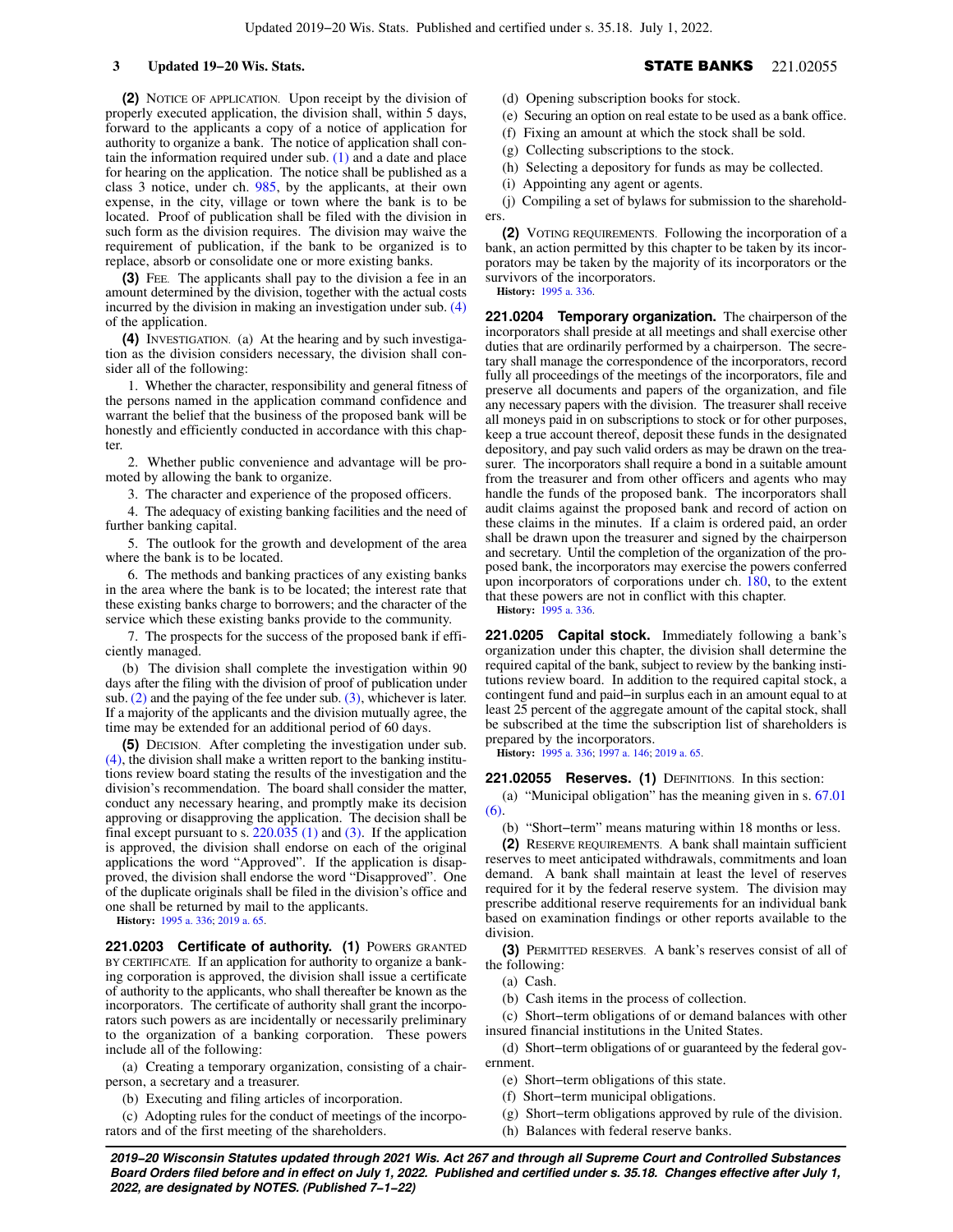**(2)** NOTICE OF APPLICATION. Upon receipt by the division of properly executed application, the division shall, within 5 days, forward to the applicants a copy of a notice of application for authority to organize a bank. The notice of application shall contain the information required under sub. [\(1\)](https://docs.legis.wisconsin.gov/document/statutes/221.0202(1)) and a date and place for hearing on the application. The notice shall be published as a class 3 notice, under ch. [985,](https://docs.legis.wisconsin.gov/document/statutes/ch.%20985) by the applicants, at their own expense, in the city, village or town where the bank is to be located. Proof of publication shall be filed with the division in such form as the division requires. The division may waive the requirement of publication, if the bank to be organized is to replace, absorb or consolidate one or more existing banks.

**(3)** FEE. The applicants shall pay to the division a fee in an amount determined by the division, together with the actual costs incurred by the division in making an investigation under sub. [\(4\)](https://docs.legis.wisconsin.gov/document/statutes/221.0202(4)) of the application.

**(4)** INVESTIGATION. (a) At the hearing and by such investigation as the division considers necessary, the division shall consider all of the following:

1. Whether the character, responsibility and general fitness of the persons named in the application command confidence and warrant the belief that the business of the proposed bank will be honestly and efficiently conducted in accordance with this chapter.

2. Whether public convenience and advantage will be promoted by allowing the bank to organize.

3. The character and experience of the proposed officers.

4. The adequacy of existing banking facilities and the need of further banking capital.

5. The outlook for the growth and development of the area where the bank is to be located.

6. The methods and banking practices of any existing banks in the area where the bank is to be located; the interest rate that these existing banks charge to borrowers; and the character of the service which these existing banks provide to the community.

7. The prospects for the success of the proposed bank if efficiently managed.

(b) The division shall complete the investigation within 90 days after the filing with the division of proof of publication under sub.  $(2)$  and the paying of the fee under sub.  $(3)$ , whichever is later. If a majority of the applicants and the division mutually agree, the time may be extended for an additional period of 60 days.

**(5)** DECISION. After completing the investigation under sub. [\(4\)](https://docs.legis.wisconsin.gov/document/statutes/221.0202(4)), the division shall make a written report to the banking institutions review board stating the results of the investigation and the division's recommendation. The board shall consider the matter, conduct any necessary hearing, and promptly make its decision approving or disapproving the application. The decision shall be final except pursuant to s.  $220.035(1)$  and [\(3\)](https://docs.legis.wisconsin.gov/document/statutes/220.035(3)). If the application is approved, the division shall endorse on each of the original applications the word "Approved". If the application is disapproved, the division shall endorse the word "Disapproved". One of the duplicate originals shall be filed in the division's office and one shall be returned by mail to the applicants.

**History:** [1995 a. 336](https://docs.legis.wisconsin.gov/document/acts/1995/336); [2019 a. 65.](https://docs.legis.wisconsin.gov/document/acts/2019/65)

221.0203 Certificate of authority. (1) POWERS GRANTED BY CERTIFICATE. If an application for authority to organize a banking corporation is approved, the division shall issue a certificate of authority to the applicants, who shall thereafter be known as the incorporators. The certificate of authority shall grant the incorporators such powers as are incidentally or necessarily preliminary to the organization of a banking corporation. These powers include all of the following:

(a) Creating a temporary organization, consisting of a chairperson, a secretary and a treasurer.

(b) Executing and filing articles of incorporation.

(c) Adopting rules for the conduct of meetings of the incorporators and of the first meeting of the shareholders.

(d) Opening subscription books for stock.

- (e) Securing an option on real estate to be used as a bank office.
- (f) Fixing an amount at which the stock shall be sold.
- (g) Collecting subscriptions to the stock.

(h) Selecting a depository for funds as may be collected.

(i) Appointing any agent or agents.

(j) Compiling a set of bylaws for submission to the shareholders.

**(2)** VOTING REQUIREMENTS. Following the incorporation of a bank, an action permitted by this chapter to be taken by its incorporators may be taken by the majority of its incorporators or the survivors of the incorporators.

**History:** [1995 a. 336.](https://docs.legis.wisconsin.gov/document/acts/1995/336)

**221.0204 Temporary organization.** The chairperson of the incorporators shall preside at all meetings and shall exercise other duties that are ordinarily performed by a chairperson. The secretary shall manage the correspondence of the incorporators, record fully all proceedings of the meetings of the incorporators, file and preserve all documents and papers of the organization, and file any necessary papers with the division. The treasurer shall receive all moneys paid in on subscriptions to stock or for other purposes, keep a true account thereof, deposit these funds in the designated depository, and pay such valid orders as may be drawn on the treasurer. The incorporators shall require a bond in a suitable amount from the treasurer and from other officers and agents who may handle the funds of the proposed bank. The incorporators shall audit claims against the proposed bank and record of action on these claims in the minutes. If a claim is ordered paid, an order shall be drawn upon the treasurer and signed by the chairperson and secretary. Until the completion of the organization of the proposed bank, the incorporators may exercise the powers conferred upon incorporators of corporations under ch. [180](https://docs.legis.wisconsin.gov/document/statutes/ch.%20180), to the extent that these powers are not in conflict with this chapter.

**History:** [1995 a. 336.](https://docs.legis.wisconsin.gov/document/acts/1995/336)

**221.0205 Capital stock.** Immediately following a bank's organization under this chapter, the division shall determine the required capital of the bank, subject to review by the banking institutions review board. In addition to the required capital stock, a contingent fund and paid−in surplus each in an amount equal to at least 25 percent of the aggregate amount of the capital stock, shall be subscribed at the time the subscription list of shareholders is prepared by the incorporators.

**History:** [1995 a. 336;](https://docs.legis.wisconsin.gov/document/acts/1995/336) [1997 a. 146](https://docs.legis.wisconsin.gov/document/acts/1997/146); [2019 a. 65](https://docs.legis.wisconsin.gov/document/acts/2019/65).

**221.02055 Reserves. (1)** DEFINITIONS. In this section:

(a) "Municipal obligation" has the meaning given in s. [67.01](https://docs.legis.wisconsin.gov/document/statutes/67.01(6))  $(6)$ 

(b) "Short−term" means maturing within 18 months or less.

**(2)** RESERVE REQUIREMENTS. A bank shall maintain sufficient reserves to meet anticipated withdrawals, commitments and loan demand. A bank shall maintain at least the level of reserves required for it by the federal reserve system. The division may prescribe additional reserve requirements for an individual bank based on examination findings or other reports available to the division.

**(3)** PERMITTED RESERVES. A bank's reserves consist of all of the following:

- (a) Cash.
- (b) Cash items in the process of collection.

(c) Short−term obligations of or demand balances with other insured financial institutions in the United States.

(d) Short−term obligations of or guaranteed by the federal government.

- (e) Short−term obligations of this state.
- (f) Short−term municipal obligations.

(g) Short−term obligations approved by rule of the division.

(h) Balances with federal reserve banks.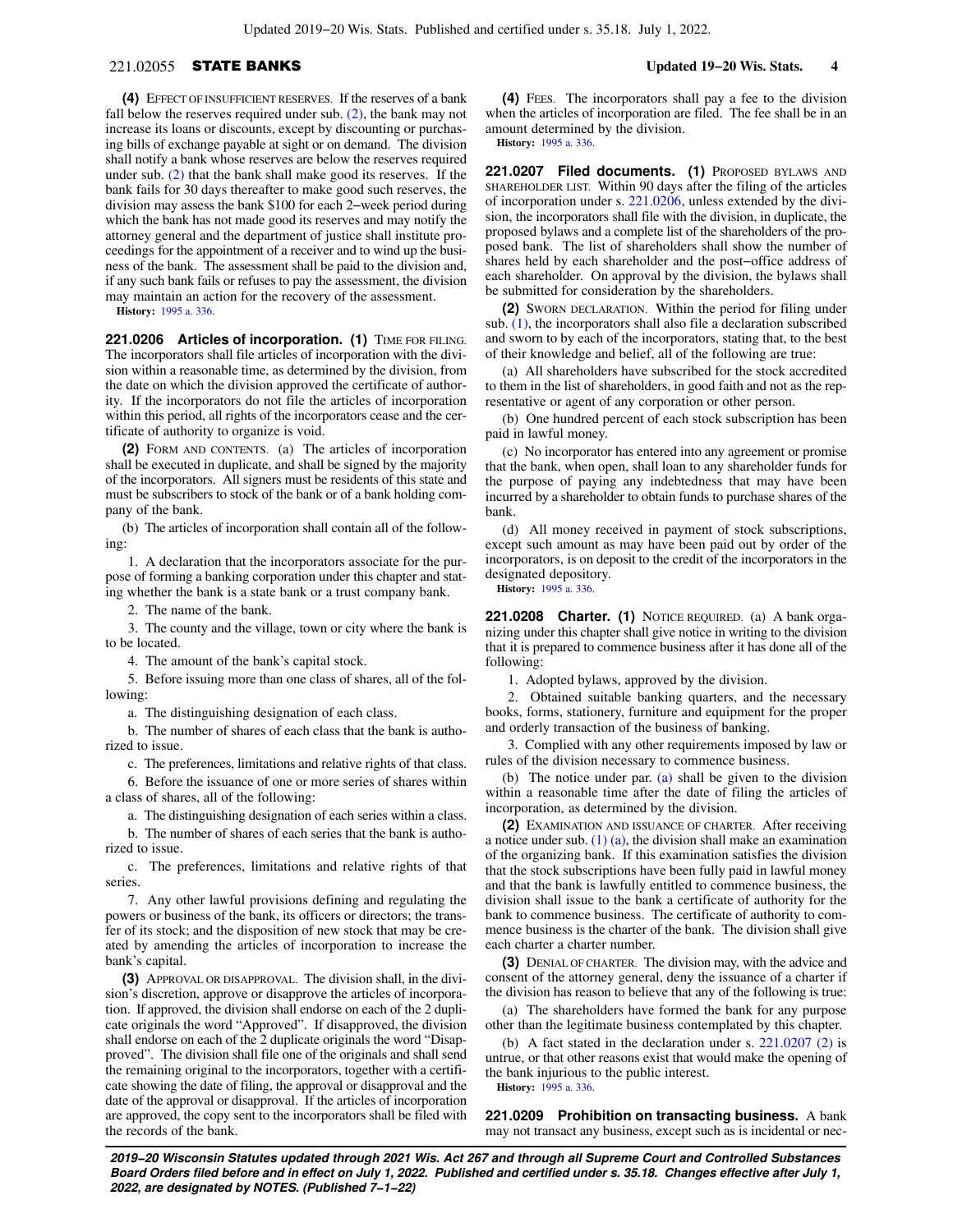## 221.02055 STATE BANKS **Updated 19−20 Wis. Stats. 4**

**(4)** EFFECT OF INSUFFICIENT RESERVES. If the reserves of a bank fall below the reserves required under sub. [\(2\)](https://docs.legis.wisconsin.gov/document/statutes/221.02055(2)), the bank may not increase its loans or discounts, except by discounting or purchasing bills of exchange payable at sight or on demand. The division shall notify a bank whose reserves are below the reserves required under sub. [\(2\)](https://docs.legis.wisconsin.gov/document/statutes/221.02055(2)) that the bank shall make good its reserves. If the bank fails for 30 days thereafter to make good such reserves, the division may assess the bank \$100 for each 2−week period during which the bank has not made good its reserves and may notify the attorney general and the department of justice shall institute proceedings for the appointment of a receiver and to wind up the business of the bank. The assessment shall be paid to the division and, if any such bank fails or refuses to pay the assessment, the division may maintain an action for the recovery of the assessment.

**History:** [1995 a. 336](https://docs.legis.wisconsin.gov/document/acts/1995/336).

221.0206 Articles of incorporation. (1) TIME FOR FILING. The incorporators shall file articles of incorporation with the division within a reasonable time, as determined by the division, from the date on which the division approved the certificate of authority. If the incorporators do not file the articles of incorporation within this period, all rights of the incorporators cease and the certificate of authority to organize is void.

**(2)** FORM AND CONTENTS. (a) The articles of incorporation shall be executed in duplicate, and shall be signed by the majority of the incorporators. All signers must be residents of this state and must be subscribers to stock of the bank or of a bank holding company of the bank.

(b) The articles of incorporation shall contain all of the following:

1. A declaration that the incorporators associate for the purpose of forming a banking corporation under this chapter and stating whether the bank is a state bank or a trust company bank.

2. The name of the bank.

3. The county and the village, town or city where the bank is to be located.

4. The amount of the bank's capital stock.

5. Before issuing more than one class of shares, all of the following:

a. The distinguishing designation of each class.

b. The number of shares of each class that the bank is authorized to issue.

c. The preferences, limitations and relative rights of that class.

6. Before the issuance of one or more series of shares within a class of shares, all of the following:

a. The distinguishing designation of each series within a class.

b. The number of shares of each series that the bank is authorized to issue.

c. The preferences, limitations and relative rights of that series.

7. Any other lawful provisions defining and regulating the powers or business of the bank, its officers or directors; the transfer of its stock; and the disposition of new stock that may be created by amending the articles of incorporation to increase the bank's capital.

**(3)** APPROVAL OR DISAPPROVAL. The division shall, in the division's discretion, approve or disapprove the articles of incorporation. If approved, the division shall endorse on each of the 2 duplicate originals the word "Approved". If disapproved, the division shall endorse on each of the 2 duplicate originals the word "Disapproved". The division shall file one of the originals and shall send the remaining original to the incorporators, together with a certificate showing the date of filing, the approval or disapproval and the date of the approval or disapproval. If the articles of incorporation are approved, the copy sent to the incorporators shall be filed with the records of the bank.

**(4)** FEES. The incorporators shall pay a fee to the division when the articles of incorporation are filed. The fee shall be in an amount determined by the division. **History:** [1995 a. 336.](https://docs.legis.wisconsin.gov/document/acts/1995/336)

**221.0207 Filed documents. (1)** PROPOSED BYLAWS AND SHAREHOLDER LIST. Within 90 days after the filing of the articles of incorporation under s. [221.0206](https://docs.legis.wisconsin.gov/document/statutes/221.0206), unless extended by the division, the incorporators shall file with the division, in duplicate, the proposed bylaws and a complete list of the shareholders of the proposed bank. The list of shareholders shall show the number of shares held by each shareholder and the post−office address of

be submitted for consideration by the shareholders. **(2)** SWORN DECLARATION. Within the period for filing under sub. [\(1\)](https://docs.legis.wisconsin.gov/document/statutes/221.0207(1)), the incorporators shall also file a declaration subscribed and sworn to by each of the incorporators, stating that, to the best of their knowledge and belief, all of the following are true:

each shareholder. On approval by the division, the bylaws shall

(a) All shareholders have subscribed for the stock accredited to them in the list of shareholders, in good faith and not as the representative or agent of any corporation or other person.

(b) One hundred percent of each stock subscription has been paid in lawful money.

(c) No incorporator has entered into any agreement or promise that the bank, when open, shall loan to any shareholder funds for the purpose of paying any indebtedness that may have been incurred by a shareholder to obtain funds to purchase shares of the bank.

(d) All money received in payment of stock subscriptions, except such amount as may have been paid out by order of the incorporators, is on deposit to the credit of the incorporators in the designated depository.

**History:** [1995 a. 336.](https://docs.legis.wisconsin.gov/document/acts/1995/336)

**221.0208 Charter. (1)** NOTICE REQUIRED. (a) A bank organizing under this chapter shall give notice in writing to the division that it is prepared to commence business after it has done all of the following:

1. Adopted bylaws, approved by the division.

2. Obtained suitable banking quarters, and the necessary books, forms, stationery, furniture and equipment for the proper and orderly transaction of the business of banking.

3. Complied with any other requirements imposed by law or rules of the division necessary to commence business.

(b) The notice under par. [\(a\)](https://docs.legis.wisconsin.gov/document/statutes/221.0208(1)(a)) shall be given to the division within a reasonable time after the date of filing the articles of incorporation, as determined by the division.

**(2)** EXAMINATION AND ISSUANCE OF CHARTER. After receiving a notice under sub.  $(1)$  (a), the division shall make an examination of the organizing bank. If this examination satisfies the division that the stock subscriptions have been fully paid in lawful money and that the bank is lawfully entitled to commence business, the division shall issue to the bank a certificate of authority for the bank to commence business. The certificate of authority to commence business is the charter of the bank. The division shall give each charter a charter number.

**(3)** DENIAL OF CHARTER. The division may, with the advice and consent of the attorney general, deny the issuance of a charter if the division has reason to believe that any of the following is true:

(a) The shareholders have formed the bank for any purpose other than the legitimate business contemplated by this chapter.

(b) A fact stated in the declaration under s. [221.0207 \(2\)](https://docs.legis.wisconsin.gov/document/statutes/221.0207(2)) is untrue, or that other reasons exist that would make the opening of the bank injurious to the public interest. **History:** [1995 a. 336.](https://docs.legis.wisconsin.gov/document/acts/1995/336)

**221.0209 Prohibition on transacting business.** A bank may not transact any business, except such as is incidental or nec-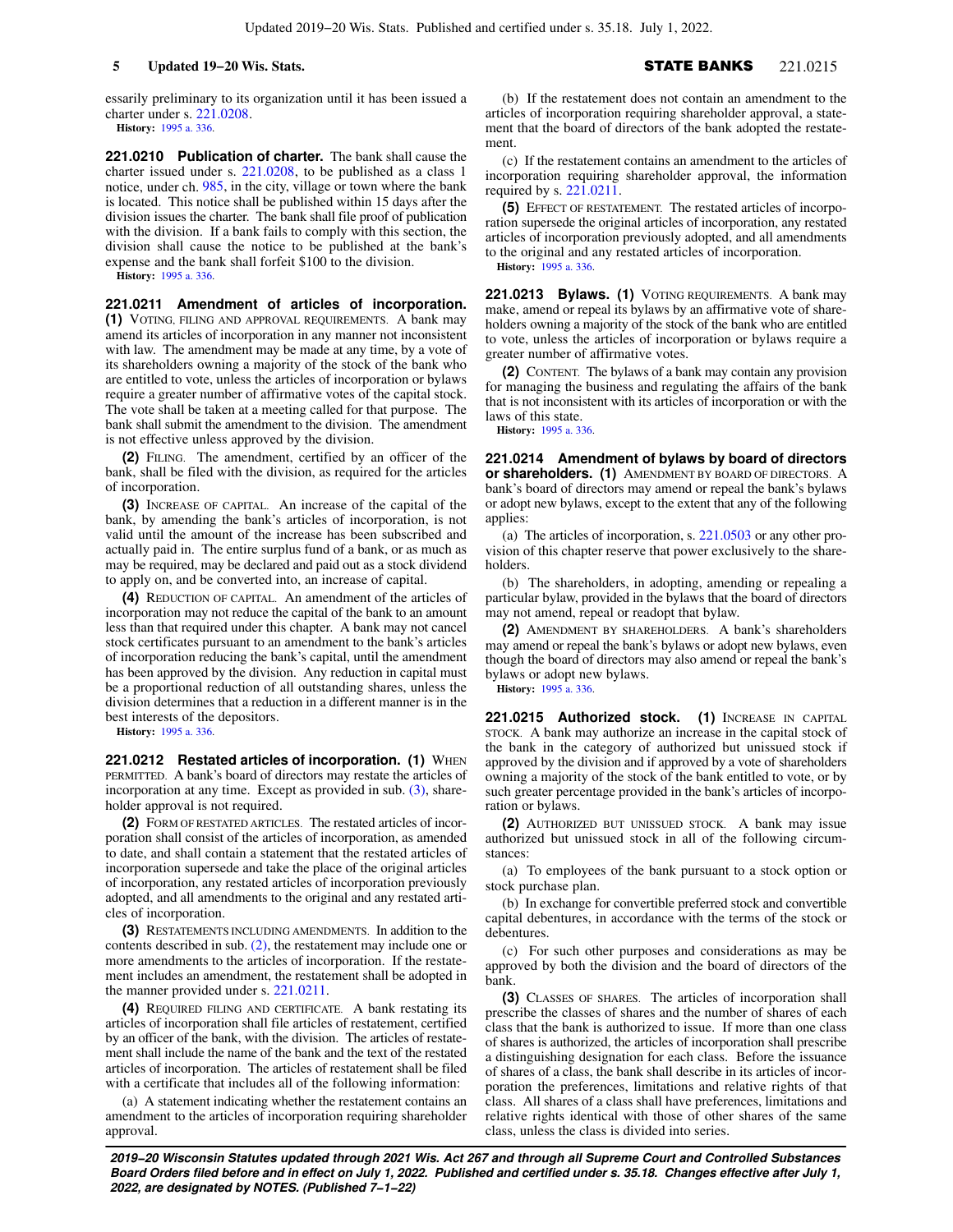essarily preliminary to its organization until it has been issued a charter under s. [221.0208](https://docs.legis.wisconsin.gov/document/statutes/221.0208).

**History:** [1995 a. 336](https://docs.legis.wisconsin.gov/document/acts/1995/336).

**221.0210 Publication of charter.** The bank shall cause the charter issued under s. [221.0208,](https://docs.legis.wisconsin.gov/document/statutes/221.0208) to be published as a class 1 notice, under ch. [985,](https://docs.legis.wisconsin.gov/document/statutes/ch.%20985) in the city, village or town where the bank is located. This notice shall be published within 15 days after the division issues the charter. The bank shall file proof of publication with the division. If a bank fails to comply with this section, the division shall cause the notice to be published at the bank's expense and the bank shall forfeit \$100 to the division.

**History:** [1995 a. 336](https://docs.legis.wisconsin.gov/document/acts/1995/336).

**221.0211 Amendment of articles of incorporation. (1)** VOTING, FILING AND APPROVAL REQUIREMENTS. A bank may amend its articles of incorporation in any manner not inconsistent with law. The amendment may be made at any time, by a vote of its shareholders owning a majority of the stock of the bank who are entitled to vote, unless the articles of incorporation or bylaws require a greater number of affirmative votes of the capital stock. The vote shall be taken at a meeting called for that purpose. The bank shall submit the amendment to the division. The amendment is not effective unless approved by the division.

**(2)** FILING. The amendment, certified by an officer of the bank, shall be filed with the division, as required for the articles of incorporation.

**(3)** INCREASE OF CAPITAL. An increase of the capital of the bank, by amending the bank's articles of incorporation, is not valid until the amount of the increase has been subscribed and actually paid in. The entire surplus fund of a bank, or as much as may be required, may be declared and paid out as a stock dividend to apply on, and be converted into, an increase of capital.

**(4)** REDUCTION OF CAPITAL. An amendment of the articles of incorporation may not reduce the capital of the bank to an amount less than that required under this chapter. A bank may not cancel stock certificates pursuant to an amendment to the bank's articles of incorporation reducing the bank's capital, until the amendment has been approved by the division. Any reduction in capital must be a proportional reduction of all outstanding shares, unless the division determines that a reduction in a different manner is in the best interests of the depositors.

**History:** [1995 a. 336](https://docs.legis.wisconsin.gov/document/acts/1995/336).

**221.0212 Restated articles of incorporation. (1) WHEN** PERMITTED. A bank's board of directors may restate the articles of incorporation at any time. Except as provided in sub. [\(3\)](https://docs.legis.wisconsin.gov/document/statutes/221.0212(3)), shareholder approval is not required.

**(2)** FORM OF RESTATED ARTICLES. The restated articles of incorporation shall consist of the articles of incorporation, as amended to date, and shall contain a statement that the restated articles of incorporation supersede and take the place of the original articles of incorporation, any restated articles of incorporation previously adopted, and all amendments to the original and any restated articles of incorporation.

**(3)** RESTATEMENTS INCLUDING AMENDMENTS. In addition to the contents described in sub. [\(2\),](https://docs.legis.wisconsin.gov/document/statutes/221.0212(2)) the restatement may include one or more amendments to the articles of incorporation. If the restatement includes an amendment, the restatement shall be adopted in the manner provided under s. [221.0211.](https://docs.legis.wisconsin.gov/document/statutes/221.0211)

**(4)** REQUIRED FILING AND CERTIFICATE. A bank restating its articles of incorporation shall file articles of restatement, certified by an officer of the bank, with the division. The articles of restatement shall include the name of the bank and the text of the restated articles of incorporation. The articles of restatement shall be filed with a certificate that includes all of the following information:

(a) A statement indicating whether the restatement contains an amendment to the articles of incorporation requiring shareholder approval.

(b) If the restatement does not contain an amendment to the articles of incorporation requiring shareholder approval, a statement that the board of directors of the bank adopted the restatement.

(c) If the restatement contains an amendment to the articles of incorporation requiring shareholder approval, the information required by s. [221.0211](https://docs.legis.wisconsin.gov/document/statutes/221.0211).

**(5)** EFFECT OF RESTATEMENT. The restated articles of incorporation supersede the original articles of incorporation, any restated articles of incorporation previously adopted, and all amendments to the original and any restated articles of incorporation. **History:** [1995 a. 336.](https://docs.legis.wisconsin.gov/document/acts/1995/336)

**221.0213 Bylaws. (1)** VOTING REQUIREMENTS. A bank may make, amend or repeal its bylaws by an affirmative vote of shareholders owning a majority of the stock of the bank who are entitled to vote, unless the articles of incorporation or bylaws require a greater number of affirmative votes.

**(2)** CONTENT. The bylaws of a bank may contain any provision for managing the business and regulating the affairs of the bank that is not inconsistent with its articles of incorporation or with the laws of this state.

**History:** [1995 a. 336.](https://docs.legis.wisconsin.gov/document/acts/1995/336)

**221.0214 Amendment of bylaws by board of directors or shareholders. (1)** AMENDMENT BY BOARD OF DIRECTORS. A bank's board of directors may amend or repeal the bank's bylaws or adopt new bylaws, except to the extent that any of the following applies:

(a) The articles of incorporation, s. [221.0503](https://docs.legis.wisconsin.gov/document/statutes/221.0503) or any other provision of this chapter reserve that power exclusively to the shareholders.

(b) The shareholders, in adopting, amending or repealing a particular bylaw, provided in the bylaws that the board of directors may not amend, repeal or readopt that bylaw.

**(2)** AMENDMENT BY SHAREHOLDERS. A bank's shareholders may amend or repeal the bank's bylaws or adopt new bylaws, even though the board of directors may also amend or repeal the bank's bylaws or adopt new bylaws.

**History:** [1995 a. 336.](https://docs.legis.wisconsin.gov/document/acts/1995/336)

**221.0215 Authorized stock. (1)** INCREASE IN CAPITAL STOCK. A bank may authorize an increase in the capital stock of the bank in the category of authorized but unissued stock if approved by the division and if approved by a vote of shareholders owning a majority of the stock of the bank entitled to vote, or by such greater percentage provided in the bank's articles of incorporation or bylaws.

**(2)** AUTHORIZED BUT UNISSUED STOCK. A bank may issue authorized but unissued stock in all of the following circumstances:

(a) To employees of the bank pursuant to a stock option or stock purchase plan.

(b) In exchange for convertible preferred stock and convertible capital debentures, in accordance with the terms of the stock or debentures.

(c) For such other purposes and considerations as may be approved by both the division and the board of directors of the bank.

**(3)** CLASSES OF SHARES. The articles of incorporation shall prescribe the classes of shares and the number of shares of each class that the bank is authorized to issue. If more than one class of shares is authorized, the articles of incorporation shall prescribe a distinguishing designation for each class. Before the issuance of shares of a class, the bank shall describe in its articles of incorporation the preferences, limitations and relative rights of that class. All shares of a class shall have preferences, limitations and relative rights identical with those of other shares of the same class, unless the class is divided into series.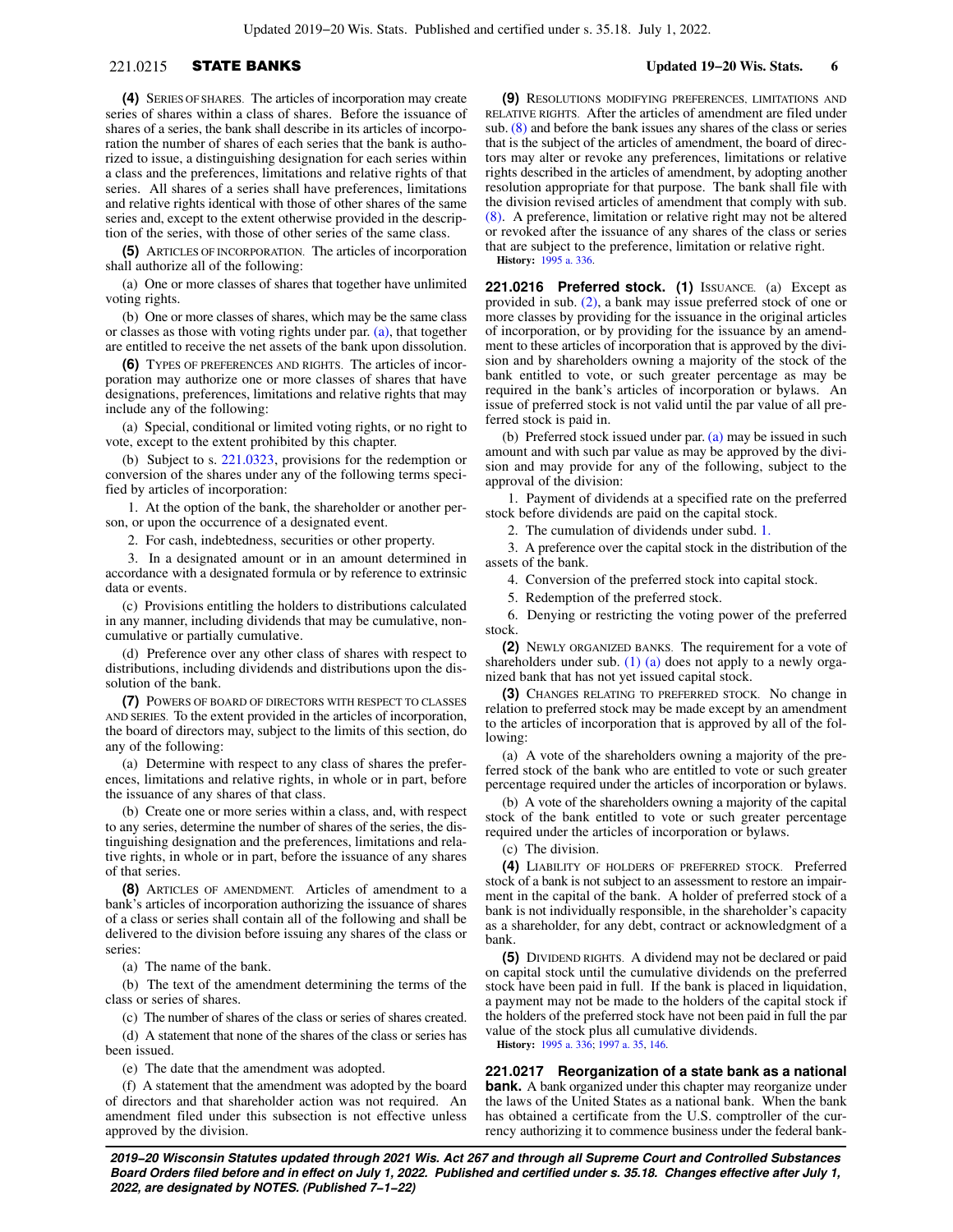## 221.0215 STATE BANKS **Updated 19−20 Wis. Stats. 6**

**(4)** SERIES OF SHARES. The articles of incorporation may create series of shares within a class of shares. Before the issuance of shares of a series, the bank shall describe in its articles of incorporation the number of shares of each series that the bank is authorized to issue, a distinguishing designation for each series within a class and the preferences, limitations and relative rights of that series. All shares of a series shall have preferences, limitations and relative rights identical with those of other shares of the same series and, except to the extent otherwise provided in the description of the series, with those of other series of the same class.

**(5)** ARTICLES OF INCORPORATION. The articles of incorporation shall authorize all of the following:

(a) One or more classes of shares that together have unlimited voting rights.

(b) One or more classes of shares, which may be the same class or classes as those with voting rights under par. [\(a\)](https://docs.legis.wisconsin.gov/document/statutes/221.0215(5)(a)), that together are entitled to receive the net assets of the bank upon dissolution.

**(6)** TYPES OF PREFERENCES AND RIGHTS. The articles of incorporation may authorize one or more classes of shares that have designations, preferences, limitations and relative rights that may include any of the following:

(a) Special, conditional or limited voting rights, or no right to vote, except to the extent prohibited by this chapter.

(b) Subject to s. [221.0323](https://docs.legis.wisconsin.gov/document/statutes/221.0323), provisions for the redemption or conversion of the shares under any of the following terms specified by articles of incorporation:

1. At the option of the bank, the shareholder or another person, or upon the occurrence of a designated event.

2. For cash, indebtedness, securities or other property.

3. In a designated amount or in an amount determined in accordance with a designated formula or by reference to extrinsic data or events.

(c) Provisions entitling the holders to distributions calculated in any manner, including dividends that may be cumulative, noncumulative or partially cumulative.

(d) Preference over any other class of shares with respect to distributions, including dividends and distributions upon the dissolution of the bank.

**(7)** POWERS OF BOARD OF DIRECTORS WITH RESPECT TO CLASSES AND SERIES. To the extent provided in the articles of incorporation, the board of directors may, subject to the limits of this section, do any of the following:

(a) Determine with respect to any class of shares the preferences, limitations and relative rights, in whole or in part, before the issuance of any shares of that class.

(b) Create one or more series within a class, and, with respect to any series, determine the number of shares of the series, the distinguishing designation and the preferences, limitations and relative rights, in whole or in part, before the issuance of any shares of that series.

**(8)** ARTICLES OF AMENDMENT. Articles of amendment to a bank's articles of incorporation authorizing the issuance of shares of a class or series shall contain all of the following and shall be delivered to the division before issuing any shares of the class or series:

(a) The name of the bank.

(b) The text of the amendment determining the terms of the class or series of shares.

(c) The number of shares of the class or series of shares created. (d) A statement that none of the shares of the class or series has

been issued.

(e) The date that the amendment was adopted.

(f) A statement that the amendment was adopted by the board of directors and that shareholder action was not required. An amendment filed under this subsection is not effective unless approved by the division.

**(9)** RESOLUTIONS MODIFYING PREFERENCES, LIMITATIONS AND RELATIVE RIGHTS. After the articles of amendment are filed under sub. [\(8\)](https://docs.legis.wisconsin.gov/document/statutes/221.0215(8)) and before the bank issues any shares of the class or series that is the subject of the articles of amendment, the board of directors may alter or revoke any preferences, limitations or relative rights described in the articles of amendment, by adopting another resolution appropriate for that purpose. The bank shall file with the division revised articles of amendment that comply with sub. [\(8\).](https://docs.legis.wisconsin.gov/document/statutes/221.0215(8)) A preference, limitation or relative right may not be altered or revoked after the issuance of any shares of the class or series that are subject to the preference, limitation or relative right. **History:** [1995 a. 336.](https://docs.legis.wisconsin.gov/document/acts/1995/336)

**221.0216 Preferred stock. (1)** ISSUANCE. (a) Except as provided in sub. [\(2\)](https://docs.legis.wisconsin.gov/document/statutes/221.0216(2)), a bank may issue preferred stock of one or more classes by providing for the issuance in the original articles of incorporation, or by providing for the issuance by an amendment to these articles of incorporation that is approved by the division and by shareholders owning a majority of the stock of the bank entitled to vote, or such greater percentage as may be required in the bank's articles of incorporation or bylaws. An issue of preferred stock is not valid until the par value of all preferred stock is paid in.

(b) Preferred stock issued under par.  $(a)$  may be issued in such amount and with such par value as may be approved by the division and may provide for any of the following, subject to the approval of the division:

1. Payment of dividends at a specified rate on the preferred stock before dividends are paid on the capital stock.

2. The cumulation of dividends under subd. [1.](https://docs.legis.wisconsin.gov/document/statutes/221.0216(1)(b)1.)

3. A preference over the capital stock in the distribution of the assets of the bank.

4. Conversion of the preferred stock into capital stock.

5. Redemption of the preferred stock.

6. Denying or restricting the voting power of the preferred stock.

**(2)** NEWLY ORGANIZED BANKS. The requirement for a vote of shareholders under sub. [\(1\) \(a\)](https://docs.legis.wisconsin.gov/document/statutes/221.0216(1)(a)) does not apply to a newly organized bank that has not yet issued capital stock.

**(3)** CHANGES RELATING TO PREFERRED STOCK. No change in relation to preferred stock may be made except by an amendment to the articles of incorporation that is approved by all of the following:

(a) A vote of the shareholders owning a majority of the preferred stock of the bank who are entitled to vote or such greater percentage required under the articles of incorporation or bylaws.

(b) A vote of the shareholders owning a majority of the capital stock of the bank entitled to vote or such greater percentage required under the articles of incorporation or bylaws.

(c) The division.

**(4)** LIABILITY OF HOLDERS OF PREFERRED STOCK. Preferred stock of a bank is not subject to an assessment to restore an impairment in the capital of the bank. A holder of preferred stock of a bank is not individually responsible, in the shareholder's capacity as a shareholder, for any debt, contract or acknowledgment of a bank.

**(5)** DIVIDEND RIGHTS. A dividend may not be declared or paid on capital stock until the cumulative dividends on the preferred stock have been paid in full. If the bank is placed in liquidation, a payment may not be made to the holders of the capital stock if the holders of the preferred stock have not been paid in full the par value of the stock plus all cumulative dividends.

**History:** [1995 a. 336;](https://docs.legis.wisconsin.gov/document/acts/1995/336) [1997 a. 35,](https://docs.legis.wisconsin.gov/document/acts/1997/35) [146.](https://docs.legis.wisconsin.gov/document/acts/1997/146)

**221.0217 Reorganization of a state bank as a national bank.** A bank organized under this chapter may reorganize under the laws of the United States as a national bank. When the bank has obtained a certificate from the U.S. comptroller of the currency authorizing it to commence business under the federal bank-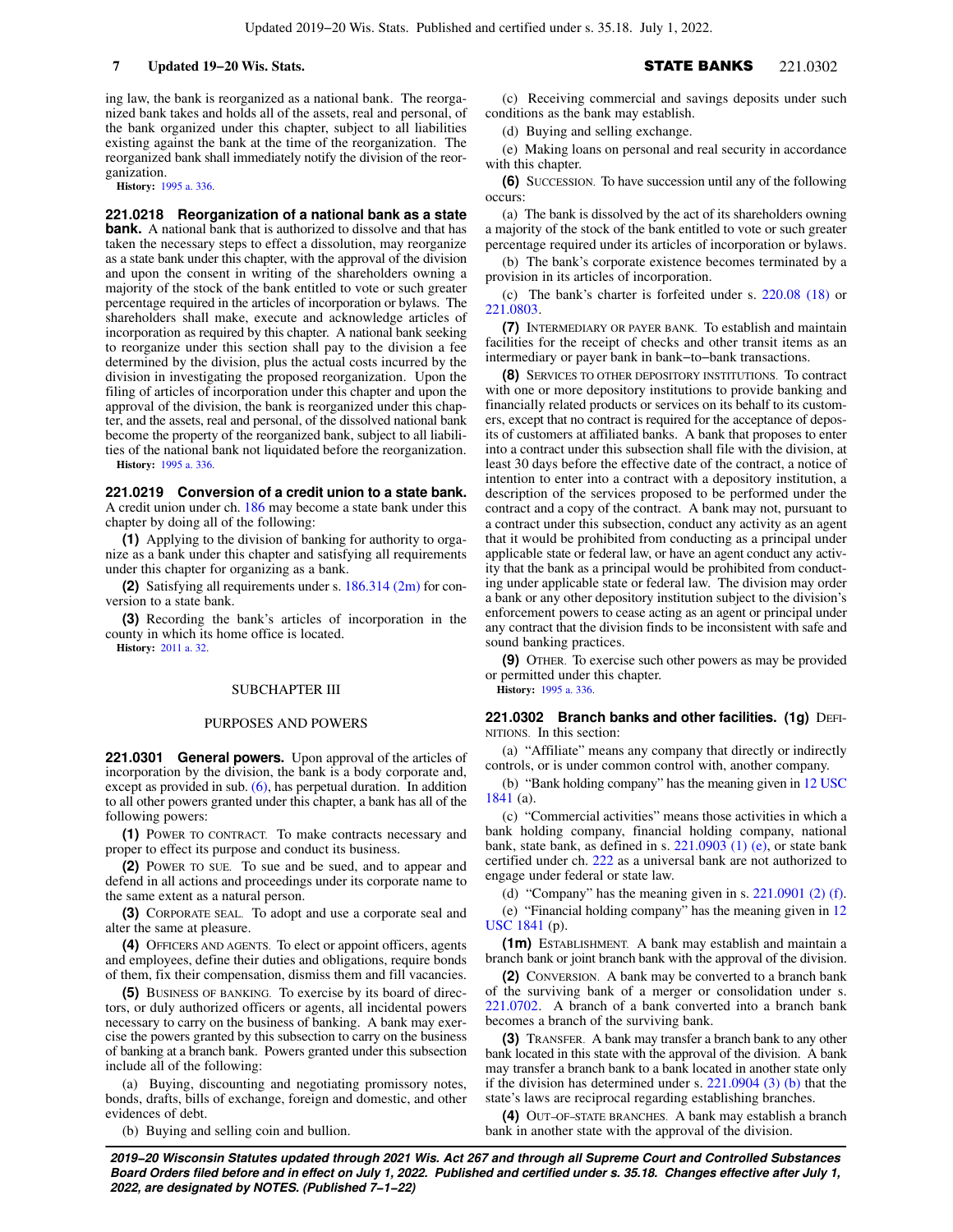ing law, the bank is reorganized as a national bank. The reorganized bank takes and holds all of the assets, real and personal, of the bank organized under this chapter, subject to all liabilities existing against the bank at the time of the reorganization. The reorganized bank shall immediately notify the division of the reorganization.

**History:** [1995 a. 336](https://docs.legis.wisconsin.gov/document/acts/1995/336).

**221.0218 Reorganization of a national bank as a state bank.** A national bank that is authorized to dissolve and that has taken the necessary steps to effect a dissolution, may reorganize as a state bank under this chapter, with the approval of the division and upon the consent in writing of the shareholders owning a majority of the stock of the bank entitled to vote or such greater percentage required in the articles of incorporation or bylaws. The shareholders shall make, execute and acknowledge articles of incorporation as required by this chapter. A national bank seeking to reorganize under this section shall pay to the division a fee determined by the division, plus the actual costs incurred by the division in investigating the proposed reorganization. Upon the filing of articles of incorporation under this chapter and upon the approval of the division, the bank is reorganized under this chapter, and the assets, real and personal, of the dissolved national bank become the property of the reorganized bank, subject to all liabilities of the national bank not liquidated before the reorganization. **History:** [1995 a. 336](https://docs.legis.wisconsin.gov/document/acts/1995/336).

**221.0219 Conversion of a credit union to a state bank.** A credit union under ch. [186](https://docs.legis.wisconsin.gov/document/statutes/ch.%20186) may become a state bank under this chapter by doing all of the following:

**(1)** Applying to the division of banking for authority to organize as a bank under this chapter and satisfying all requirements under this chapter for organizing as a bank.

**(2)** Satisfying all requirements under s. [186.314 \(2m\)](https://docs.legis.wisconsin.gov/document/statutes/186.314(2m)) for conversion to a state bank.

**(3)** Recording the bank's articles of incorporation in the county in which its home office is located.

**History:** [2011 a. 32.](https://docs.legis.wisconsin.gov/document/acts/2011/32)

### SUBCHAPTER III

### PURPOSES AND POWERS

**221.0301 General powers.** Upon approval of the articles of incorporation by the division, the bank is a body corporate and, except as provided in sub. [\(6\)](https://docs.legis.wisconsin.gov/document/statutes/221.0301(6)), has perpetual duration. In addition to all other powers granted under this chapter, a bank has all of the following powers:

**(1)** POWER TO CONTRACT. To make contracts necessary and proper to effect its purpose and conduct its business.

**(2)** POWER TO SUE. To sue and be sued, and to appear and defend in all actions and proceedings under its corporate name to the same extent as a natural person.

**(3)** CORPORATE SEAL. To adopt and use a corporate seal and alter the same at pleasure.

**(4)** OFFICERS AND AGENTS. To elect or appoint officers, agents and employees, define their duties and obligations, require bonds of them, fix their compensation, dismiss them and fill vacancies.

**(5)** BUSINESS OF BANKING. To exercise by its board of directors, or duly authorized officers or agents, all incidental powers necessary to carry on the business of banking. A bank may exercise the powers granted by this subsection to carry on the business of banking at a branch bank. Powers granted under this subsection include all of the following:

(a) Buying, discounting and negotiating promissory notes, bonds, drafts, bills of exchange, foreign and domestic, and other evidences of debt.

(b) Buying and selling coin and bullion.

## **7 Updated 19−20 Wis. Stats.** STATE BANKS 221.0302

(c) Receiving commercial and savings deposits under such conditions as the bank may establish.

(d) Buying and selling exchange.

(e) Making loans on personal and real security in accordance with this chapter.

**(6)** SUCCESSION. To have succession until any of the following occurs:

(a) The bank is dissolved by the act of its shareholders owning a majority of the stock of the bank entitled to vote or such greater percentage required under its articles of incorporation or bylaws.

(b) The bank's corporate existence becomes terminated by a provision in its articles of incorporation.

(c) The bank's charter is forfeited under s. [220.08 \(18\)](https://docs.legis.wisconsin.gov/document/statutes/220.08(18)) or [221.0803.](https://docs.legis.wisconsin.gov/document/statutes/221.0803)

**(7)** INTERMEDIARY OR PAYER BANK. To establish and maintain facilities for the receipt of checks and other transit items as an intermediary or payer bank in bank−to−bank transactions.

**(8)** SERVICES TO OTHER DEPOSITORY INSTITUTIONS. To contract with one or more depository institutions to provide banking and financially related products or services on its behalf to its customers, except that no contract is required for the acceptance of deposits of customers at affiliated banks. A bank that proposes to enter into a contract under this subsection shall file with the division, at least 30 days before the effective date of the contract, a notice of intention to enter into a contract with a depository institution, a description of the services proposed to be performed under the contract and a copy of the contract. A bank may not, pursuant to a contract under this subsection, conduct any activity as an agent that it would be prohibited from conducting as a principal under applicable state or federal law, or have an agent conduct any activity that the bank as a principal would be prohibited from conducting under applicable state or federal law. The division may order a bank or any other depository institution subject to the division's enforcement powers to cease acting as an agent or principal under any contract that the division finds to be inconsistent with safe and sound banking practices.

**(9)** OTHER. To exercise such other powers as may be provided or permitted under this chapter.

**History:** [1995 a. 336.](https://docs.legis.wisconsin.gov/document/acts/1995/336)

**221.0302 Branch banks and other facilities. (1g)** DEFI-NITIONS. In this section:

(a) "Affiliate" means any company that directly or indirectly controls, or is under common control with, another company.

(b) "Bank holding company" has the meaning given in [12 USC](https://docs.legis.wisconsin.gov/document/usc/12%20USC%201841) [1841](https://docs.legis.wisconsin.gov/document/usc/12%20USC%201841) (a).

(c) "Commercial activities" means those activities in which a bank holding company, financial holding company, national bank, state bank, as defined in s. [221.0903 \(1\) \(e\),](https://docs.legis.wisconsin.gov/document/statutes/221.0903(1)(e)) or state bank certified under ch. [222](https://docs.legis.wisconsin.gov/document/statutes/ch.%20222) as a universal bank are not authorized to engage under federal or state law.

(d) "Company" has the meaning given in s.  $221.0901$  (2) (f).

(e) "Financial holding company" has the meaning given in [12](https://docs.legis.wisconsin.gov/document/usc/12%20USC%201841) [USC 1841](https://docs.legis.wisconsin.gov/document/usc/12%20USC%201841) (p).

**(1m)** ESTABLISHMENT. A bank may establish and maintain a branch bank or joint branch bank with the approval of the division.

**(2)** CONVERSION. A bank may be converted to a branch bank of the surviving bank of a merger or consolidation under s. [221.0702.](https://docs.legis.wisconsin.gov/document/statutes/221.0702) A branch of a bank converted into a branch bank becomes a branch of the surviving bank.

**(3)** TRANSFER. A bank may transfer a branch bank to any other bank located in this state with the approval of the division. A bank may transfer a branch bank to a bank located in another state only if the division has determined under s. [221.0904 \(3\) \(b\)](https://docs.legis.wisconsin.gov/document/statutes/221.0904(3)(b)) that the state's laws are reciprocal regarding establishing branches.

**(4)** OUT−OF−STATE BRANCHES. A bank may establish a branch bank in another state with the approval of the division.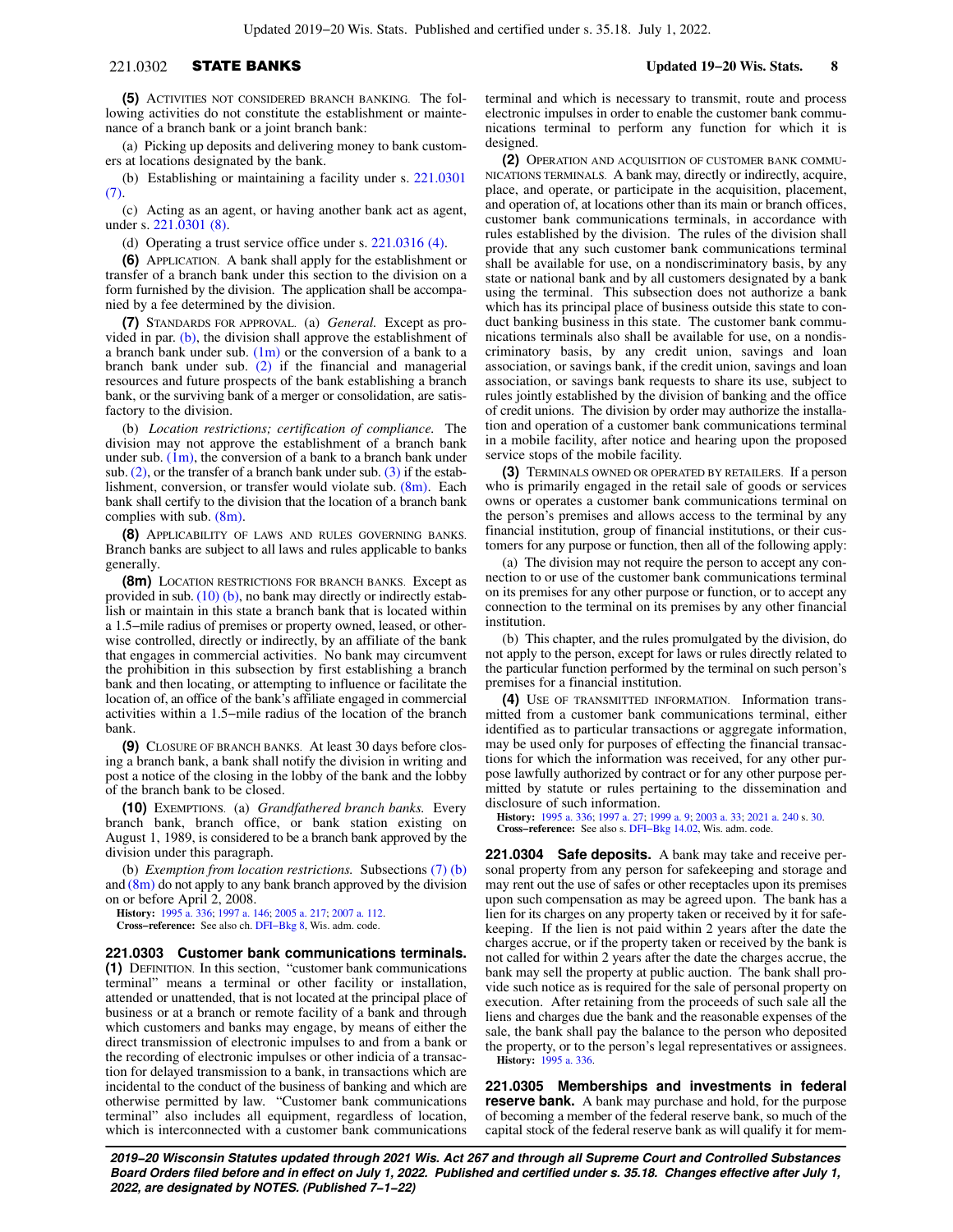(a) Picking up deposits and delivering money to bank customers at locations designated by the bank.

(b) Establishing or maintaining a facility under s. [221.0301](https://docs.legis.wisconsin.gov/document/statutes/221.0301(7)) [\(7\)](https://docs.legis.wisconsin.gov/document/statutes/221.0301(7)).

(c) Acting as an agent, or having another bank act as agent, under s. [221.0301 \(8\).](https://docs.legis.wisconsin.gov/document/statutes/221.0301(8))

(d) Operating a trust service office under s. [221.0316 \(4\).](https://docs.legis.wisconsin.gov/document/statutes/221.0316(4))

**(6)** APPLICATION. A bank shall apply for the establishment or transfer of a branch bank under this section to the division on a form furnished by the division. The application shall be accompanied by a fee determined by the division.

**(7)** STANDARDS FOR APPROVAL. (a) *General.* Except as provided in par. [\(b\)](https://docs.legis.wisconsin.gov/document/statutes/221.0302(7)(b)), the division shall approve the establishment of a branch bank under sub.  $(1m)$  or the conversion of a bank to a branch bank under sub. [\(2\)](https://docs.legis.wisconsin.gov/document/statutes/221.0302(2)) if the financial and managerial resources and future prospects of the bank establishing a branch bank, or the surviving bank of a merger or consolidation, are satisfactory to the division.

(b) *Location restrictions; certification of compliance.* The division may not approve the establishment of a branch bank under sub.  $(1m)$ , the conversion of a bank to a branch bank under sub.  $(2)$ , or the transfer of a branch bank under sub.  $(3)$  if the establishment, conversion, or transfer would violate sub. [\(8m\).](https://docs.legis.wisconsin.gov/document/statutes/221.0302(8m)) Each bank shall certify to the division that the location of a branch bank complies with sub. [\(8m\).](https://docs.legis.wisconsin.gov/document/statutes/221.0302(8m))

**(8)** APPLICABILITY OF LAWS AND RULES GOVERNING BANKS. Branch banks are subject to all laws and rules applicable to banks generally.

**(8m)** LOCATION RESTRICTIONS FOR BRANCH BANKS. Except as provided in sub. [\(10\) \(b\),](https://docs.legis.wisconsin.gov/document/statutes/221.0302(10)(b)) no bank may directly or indirectly establish or maintain in this state a branch bank that is located within a 1.5−mile radius of premises or property owned, leased, or otherwise controlled, directly or indirectly, by an affiliate of the bank that engages in commercial activities. No bank may circumvent the prohibition in this subsection by first establishing a branch bank and then locating, or attempting to influence or facilitate the location of, an office of the bank's affiliate engaged in commercial activities within a 1.5−mile radius of the location of the branch bank.

**(9)** CLOSURE OF BRANCH BANKS. At least 30 days before closing a branch bank, a bank shall notify the division in writing and post a notice of the closing in the lobby of the bank and the lobby of the branch bank to be closed.

**(10)** EXEMPTIONS. (a) *Grandfathered branch banks.* Every branch bank, branch office, or bank station existing on August 1, 1989, is considered to be a branch bank approved by the division under this paragraph.

(b) *Exemption from location restrictions.* Subsections [\(7\) \(b\)](https://docs.legis.wisconsin.gov/document/statutes/221.0302(7)(b)) and  $(8m)$  do not apply to any bank branch approved by the division on or before April 2, 2008.

**History:** [1995 a. 336](https://docs.legis.wisconsin.gov/document/acts/1995/336); [1997 a. 146](https://docs.legis.wisconsin.gov/document/acts/1997/146); [2005 a. 217;](https://docs.legis.wisconsin.gov/document/acts/2005/217) [2007 a. 112](https://docs.legis.wisconsin.gov/document/acts/2007/112).

**Cross−reference:** See also ch. [DFI−Bkg 8,](https://docs.legis.wisconsin.gov/document/administrativecode/ch.%20DFI-Bkg%208) Wis. adm. code.

**221.0303 Customer bank communications terminals. (1)** DEFINITION.In this section, "customer bank communications terminal" means a terminal or other facility or installation, attended or unattended, that is not located at the principal place of business or at a branch or remote facility of a bank and through which customers and banks may engage, by means of either the direct transmission of electronic impulses to and from a bank or the recording of electronic impulses or other indicia of a transaction for delayed transmission to a bank, in transactions which are incidental to the conduct of the business of banking and which are otherwise permitted by law. "Customer bank communications terminal" also includes all equipment, regardless of location, which is interconnected with a customer bank communications terminal and which is necessary to transmit, route and process electronic impulses in order to enable the customer bank communications terminal to perform any function for which it is designed.

**(2)** OPERATION AND ACQUISITION OF CUSTOMER BANK COMMU-NICATIONS TERMINALS. A bank may, directly or indirectly, acquire, place, and operate, or participate in the acquisition, placement, and operation of, at locations other than its main or branch offices, customer bank communications terminals, in accordance with rules established by the division. The rules of the division shall provide that any such customer bank communications terminal shall be available for use, on a nondiscriminatory basis, by any state or national bank and by all customers designated by a bank using the terminal. This subsection does not authorize a bank which has its principal place of business outside this state to conduct banking business in this state. The customer bank communications terminals also shall be available for use, on a nondiscriminatory basis, by any credit union, savings and loan association, or savings bank, if the credit union, savings and loan association, or savings bank requests to share its use, subject to rules jointly established by the division of banking and the office of credit unions. The division by order may authorize the installation and operation of a customer bank communications terminal in a mobile facility, after notice and hearing upon the proposed service stops of the mobile facility.

**(3)** TERMINALS OWNED OR OPERATED BY RETAILERS. If a person who is primarily engaged in the retail sale of goods or services owns or operates a customer bank communications terminal on the person's premises and allows access to the terminal by any financial institution, group of financial institutions, or their customers for any purpose or function, then all of the following apply:

(a) The division may not require the person to accept any connection to or use of the customer bank communications terminal on its premises for any other purpose or function, or to accept any connection to the terminal on its premises by any other financial institution.

(b) This chapter, and the rules promulgated by the division, do not apply to the person, except for laws or rules directly related to the particular function performed by the terminal on such person's premises for a financial institution.

**(4)** USE OF TRANSMITTED INFORMATION. Information transmitted from a customer bank communications terminal, either identified as to particular transactions or aggregate information, may be used only for purposes of effecting the financial transactions for which the information was received, for any other purpose lawfully authorized by contract or for any other purpose permitted by statute or rules pertaining to the dissemination and disclosure of such information.

**History:** [1995 a. 336;](https://docs.legis.wisconsin.gov/document/acts/1995/336) [1997 a. 27;](https://docs.legis.wisconsin.gov/document/acts/1997/27) [1999 a. 9](https://docs.legis.wisconsin.gov/document/acts/1999/9); [2003 a. 33;](https://docs.legis.wisconsin.gov/document/acts/2003/33) [2021 a. 240](https://docs.legis.wisconsin.gov/document/acts/2021/240) s. [30](https://docs.legis.wisconsin.gov/document/acts/2021/240,%20s.%2030). **Cross−reference:** See also s. [DFI−Bkg 14.02](https://docs.legis.wisconsin.gov/document/administrativecode/DFI-Bkg%2014.02), Wis. adm. code.

**221.0304 Safe deposits.** A bank may take and receive personal property from any person for safekeeping and storage and may rent out the use of safes or other receptacles upon its premises upon such compensation as may be agreed upon. The bank has a lien for its charges on any property taken or received by it for safekeeping. If the lien is not paid within 2 years after the date the charges accrue, or if the property taken or received by the bank is not called for within 2 years after the date the charges accrue, the bank may sell the property at public auction. The bank shall provide such notice as is required for the sale of personal property on execution. After retaining from the proceeds of such sale all the liens and charges due the bank and the reasonable expenses of the sale, the bank shall pay the balance to the person who deposited the property, or to the person's legal representatives or assignees. **History:** [1995 a. 336.](https://docs.legis.wisconsin.gov/document/acts/1995/336)

**221.0305 Memberships and investments in federal reserve bank.** A bank may purchase and hold, for the purpose of becoming a member of the federal reserve bank, so much of the capital stock of the federal reserve bank as will qualify it for mem-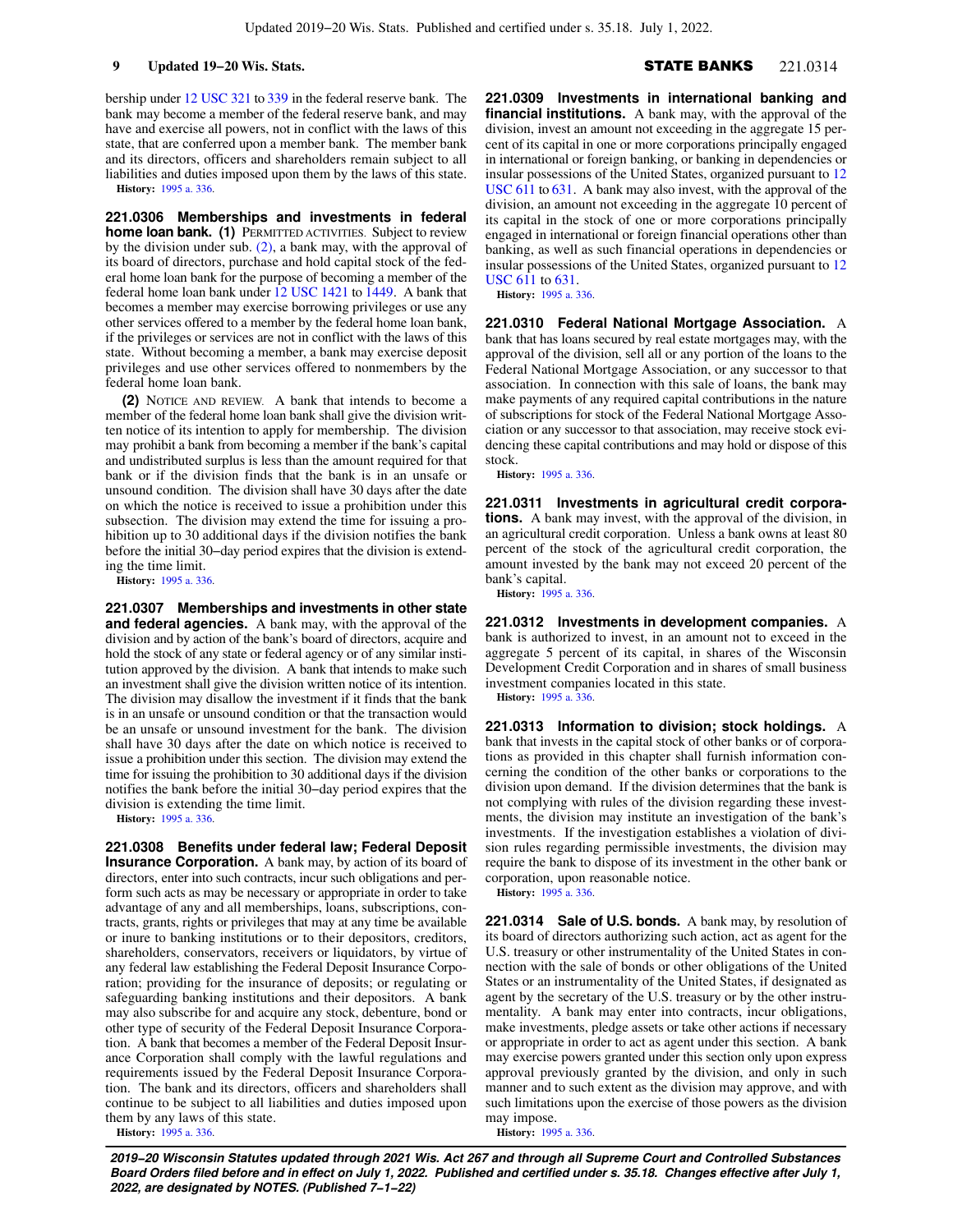**9 Updated 19−20 Wis. Stats.** Stats. Stats. STATE BANKS 221.0314

bership under [12 USC 321](https://docs.legis.wisconsin.gov/document/usc/12%20USC%20321) to [339](https://docs.legis.wisconsin.gov/document/usc/12%20USC%20339) in the federal reserve bank. The bank may become a member of the federal reserve bank, and may have and exercise all powers, not in conflict with the laws of this state, that are conferred upon a member bank. The member bank and its directors, officers and shareholders remain subject to all liabilities and duties imposed upon them by the laws of this state.

**History:** [1995 a. 336](https://docs.legis.wisconsin.gov/document/acts/1995/336).

**221.0306 Memberships and investments in federal home loan bank. (1)** PERMITTED ACTIVITIES. Subject to review by the division under sub. [\(2\)](https://docs.legis.wisconsin.gov/document/statutes/221.0306(2)), a bank may, with the approval of its board of directors, purchase and hold capital stock of the federal home loan bank for the purpose of becoming a member of the federal home loan bank under [12 USC 1421](https://docs.legis.wisconsin.gov/document/usc/12%20USC%201421) to [1449.](https://docs.legis.wisconsin.gov/document/usc/12%20USC%201449) A bank that becomes a member may exercise borrowing privileges or use any other services offered to a member by the federal home loan bank, if the privileges or services are not in conflict with the laws of this state. Without becoming a member, a bank may exercise deposit privileges and use other services offered to nonmembers by the federal home loan bank.

**(2)** NOTICE AND REVIEW. A bank that intends to become a member of the federal home loan bank shall give the division written notice of its intention to apply for membership. The division may prohibit a bank from becoming a member if the bank's capital and undistributed surplus is less than the amount required for that bank or if the division finds that the bank is in an unsafe or unsound condition. The division shall have 30 days after the date on which the notice is received to issue a prohibition under this subsection. The division may extend the time for issuing a prohibition up to 30 additional days if the division notifies the bank before the initial 30−day period expires that the division is extending the time limit.

**History:** [1995 a. 336](https://docs.legis.wisconsin.gov/document/acts/1995/336).

**221.0307 Memberships and investments in other state and federal agencies.** A bank may, with the approval of the division and by action of the bank's board of directors, acquire and hold the stock of any state or federal agency or of any similar institution approved by the division. A bank that intends to make such an investment shall give the division written notice of its intention. The division may disallow the investment if it finds that the bank is in an unsafe or unsound condition or that the transaction would be an unsafe or unsound investment for the bank. The division shall have 30 days after the date on which notice is received to issue a prohibition under this section. The division may extend the time for issuing the prohibition to 30 additional days if the division notifies the bank before the initial 30−day period expires that the division is extending the time limit.

**History:** [1995 a. 336](https://docs.legis.wisconsin.gov/document/acts/1995/336).

**221.0308 Benefits under federal law; Federal Deposit Insurance Corporation.** A bank may, by action of its board of directors, enter into such contracts, incur such obligations and perform such acts as may be necessary or appropriate in order to take advantage of any and all memberships, loans, subscriptions, contracts, grants, rights or privileges that may at any time be available or inure to banking institutions or to their depositors, creditors, shareholders, conservators, receivers or liquidators, by virtue of any federal law establishing the Federal Deposit Insurance Corporation; providing for the insurance of deposits; or regulating or safeguarding banking institutions and their depositors. A bank may also subscribe for and acquire any stock, debenture, bond or other type of security of the Federal Deposit Insurance Corporation. A bank that becomes a member of the Federal Deposit Insurance Corporation shall comply with the lawful regulations and requirements issued by the Federal Deposit Insurance Corporation. The bank and its directors, officers and shareholders shall continue to be subject to all liabilities and duties imposed upon them by any laws of this state. **History:** [1995 a. 336](https://docs.legis.wisconsin.gov/document/acts/1995/336).

**221.0309 Investments in international banking and financial institutions.** A bank may, with the approval of the division, invest an amount not exceeding in the aggregate 15 percent of its capital in one or more corporations principally engaged in international or foreign banking, or banking in dependencies or insular possessions of the United States, organized pursuant to [12](https://docs.legis.wisconsin.gov/document/usc/12%20USC%20611) [USC 611](https://docs.legis.wisconsin.gov/document/usc/12%20USC%20611) to [631](https://docs.legis.wisconsin.gov/document/usc/12%20USC%20631). A bank may also invest, with the approval of the division, an amount not exceeding in the aggregate 10 percent of its capital in the stock of one or more corporations principally engaged in international or foreign financial operations other than banking, as well as such financial operations in dependencies or insular possessions of the United States, organized pursuant to [12](https://docs.legis.wisconsin.gov/document/usc/12%20USC%20611) [USC 611](https://docs.legis.wisconsin.gov/document/usc/12%20USC%20611) to [631](https://docs.legis.wisconsin.gov/document/usc/12%20USC%20631).

**History:** [1995 a. 336.](https://docs.legis.wisconsin.gov/document/acts/1995/336)

**221.0310 Federal National Mortgage Association.** A bank that has loans secured by real estate mortgages may, with the approval of the division, sell all or any portion of the loans to the Federal National Mortgage Association, or any successor to that association. In connection with this sale of loans, the bank may make payments of any required capital contributions in the nature of subscriptions for stock of the Federal National Mortgage Association or any successor to that association, may receive stock evidencing these capital contributions and may hold or dispose of this stock.

**History:** [1995 a. 336.](https://docs.legis.wisconsin.gov/document/acts/1995/336)

**221.0311 Investments in agricultural credit corporations.** A bank may invest, with the approval of the division, in an agricultural credit corporation. Unless a bank owns at least 80 percent of the stock of the agricultural credit corporation, the amount invested by the bank may not exceed 20 percent of the bank's capital.

**History:** [1995 a. 336.](https://docs.legis.wisconsin.gov/document/acts/1995/336)

**221.0312 Investments in development companies.** A bank is authorized to invest, in an amount not to exceed in the aggregate 5 percent of its capital, in shares of the Wisconsin Development Credit Corporation and in shares of small business investment companies located in this state. **History:** [1995 a. 336.](https://docs.legis.wisconsin.gov/document/acts/1995/336)

**221.0313 Information to division; stock holdings.** A bank that invests in the capital stock of other banks or of corporations as provided in this chapter shall furnish information concerning the condition of the other banks or corporations to the division upon demand. If the division determines that the bank is not complying with rules of the division regarding these investments, the division may institute an investigation of the bank's investments. If the investigation establishes a violation of division rules regarding permissible investments, the division may require the bank to dispose of its investment in the other bank or corporation, upon reasonable notice.

**History:** [1995 a. 336.](https://docs.legis.wisconsin.gov/document/acts/1995/336)

**221.0314 Sale of U.S. bonds.** A bank may, by resolution of its board of directors authorizing such action, act as agent for the U.S. treasury or other instrumentality of the United States in connection with the sale of bonds or other obligations of the United States or an instrumentality of the United States, if designated as agent by the secretary of the U.S. treasury or by the other instrumentality. A bank may enter into contracts, incur obligations, make investments, pledge assets or take other actions if necessary or appropriate in order to act as agent under this section. A bank may exercise powers granted under this section only upon express approval previously granted by the division, and only in such manner and to such extent as the division may approve, and with such limitations upon the exercise of those powers as the division may impose. **History:** [1995 a. 336.](https://docs.legis.wisconsin.gov/document/acts/1995/336)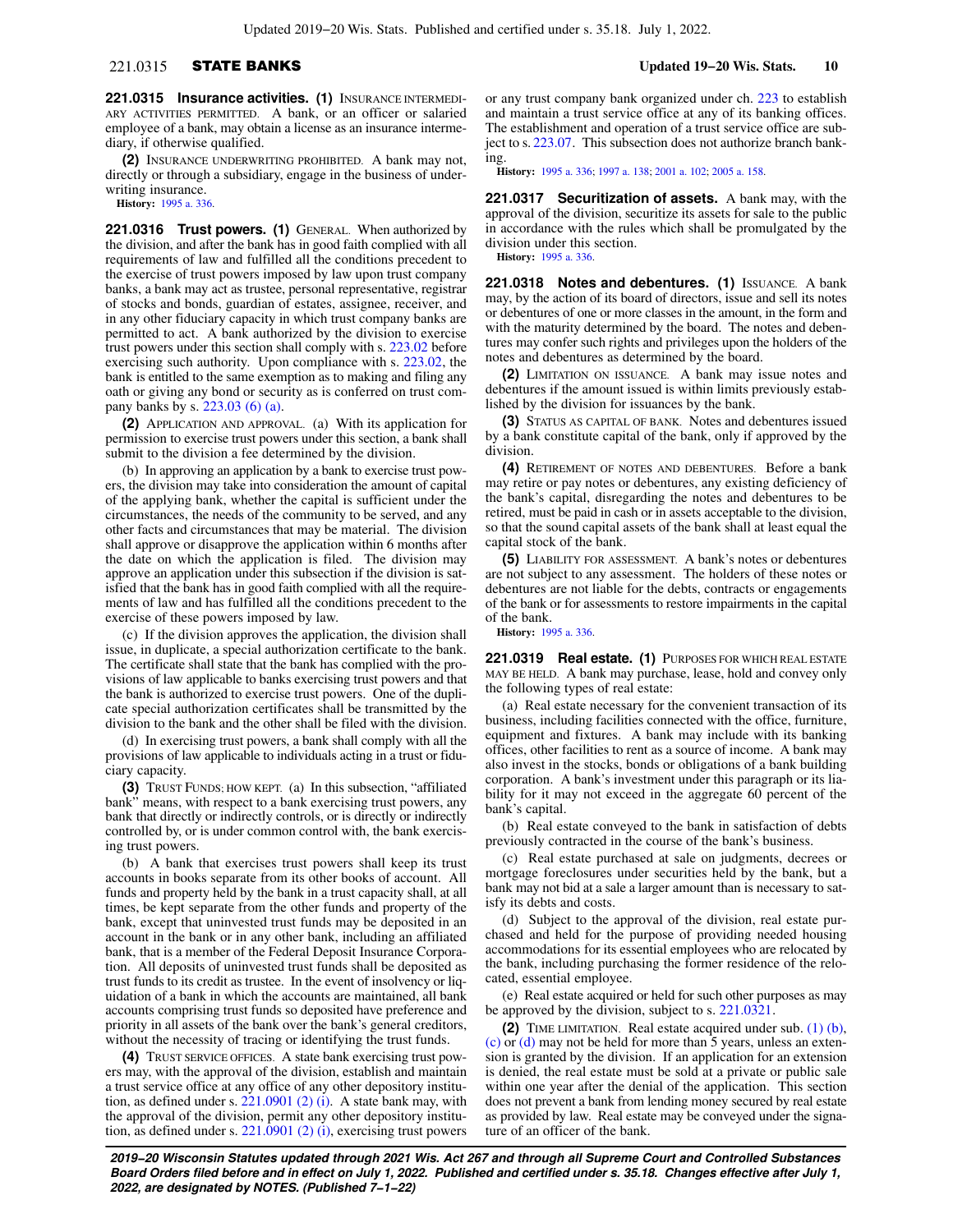## 221.0315 STATE BANKS **Updated 19−20 Wis. Stats. 10**

**221.0315 Insurance activities. (1)** INSURANCE INTERMEDI-ARY ACTIVITIES PERMITTED. A bank, or an officer or salaried employee of a bank, may obtain a license as an insurance intermediary, if otherwise qualified.

**(2)** INSURANCE UNDERWRITING PROHIBITED. A bank may not, directly or through a subsidiary, engage in the business of underwriting insurance.

**History:** [1995 a. 336](https://docs.legis.wisconsin.gov/document/acts/1995/336).

**221.0316 Trust powers. (1)** GENERAL. When authorized by the division, and after the bank has in good faith complied with all requirements of law and fulfilled all the conditions precedent to the exercise of trust powers imposed by law upon trust company banks, a bank may act as trustee, personal representative, registrar of stocks and bonds, guardian of estates, assignee, receiver, and in any other fiduciary capacity in which trust company banks are permitted to act. A bank authorized by the division to exercise trust powers under this section shall comply with s. [223.02](https://docs.legis.wisconsin.gov/document/statutes/223.02) before exercising such authority. Upon compliance with s. [223.02](https://docs.legis.wisconsin.gov/document/statutes/223.02), the bank is entitled to the same exemption as to making and filing any oath or giving any bond or security as is conferred on trust company banks by s. [223.03 \(6\) \(a\).](https://docs.legis.wisconsin.gov/document/statutes/223.03(6)(a))

**(2)** APPLICATION AND APPROVAL. (a) With its application for permission to exercise trust powers under this section, a bank shall submit to the division a fee determined by the division.

(b) In approving an application by a bank to exercise trust powers, the division may take into consideration the amount of capital of the applying bank, whether the capital is sufficient under the circumstances, the needs of the community to be served, and any other facts and circumstances that may be material. The division shall approve or disapprove the application within 6 months after the date on which the application is filed. The division may approve an application under this subsection if the division is satisfied that the bank has in good faith complied with all the requirements of law and has fulfilled all the conditions precedent to the exercise of these powers imposed by law.

(c) If the division approves the application, the division shall issue, in duplicate, a special authorization certificate to the bank. The certificate shall state that the bank has complied with the provisions of law applicable to banks exercising trust powers and that the bank is authorized to exercise trust powers. One of the duplicate special authorization certificates shall be transmitted by the division to the bank and the other shall be filed with the division.

(d) In exercising trust powers, a bank shall comply with all the provisions of law applicable to individuals acting in a trust or fiduciary capacity.

**(3)** TRUST FUNDS; HOW KEPT. (a) In this subsection, "affiliated bank" means, with respect to a bank exercising trust powers, any bank that directly or indirectly controls, or is directly or indirectly controlled by, or is under common control with, the bank exercising trust powers.

(b) A bank that exercises trust powers shall keep its trust accounts in books separate from its other books of account. All funds and property held by the bank in a trust capacity shall, at all times, be kept separate from the other funds and property of the bank, except that uninvested trust funds may be deposited in an account in the bank or in any other bank, including an affiliated bank, that is a member of the Federal Deposit Insurance Corporation. All deposits of uninvested trust funds shall be deposited as trust funds to its credit as trustee. In the event of insolvency or liquidation of a bank in which the accounts are maintained, all bank accounts comprising trust funds so deposited have preference and priority in all assets of the bank over the bank's general creditors, without the necessity of tracing or identifying the trust funds.

**(4)** TRUST SERVICE OFFICES. A state bank exercising trust powers may, with the approval of the division, establish and maintain a trust service office at any office of any other depository institution, as defined under s. [221.0901 \(2\) \(i\).](https://docs.legis.wisconsin.gov/document/statutes/221.0901(2)(i)) A state bank may, with the approval of the division, permit any other depository institution, as defined under s. [221.0901 \(2\) \(i\)](https://docs.legis.wisconsin.gov/document/statutes/221.0901(2)(i)), exercising trust powers

or any trust company bank organized under ch. [223](https://docs.legis.wisconsin.gov/document/statutes/ch.%20223) to establish and maintain a trust service office at any of its banking offices. The establishment and operation of a trust service office are subject to s. [223.07.](https://docs.legis.wisconsin.gov/document/statutes/223.07) This subsection does not authorize branch banking.

**History:** [1995 a. 336;](https://docs.legis.wisconsin.gov/document/acts/1995/336) [1997 a. 138](https://docs.legis.wisconsin.gov/document/acts/1997/138); [2001 a. 102;](https://docs.legis.wisconsin.gov/document/acts/2001/102) [2005 a. 158.](https://docs.legis.wisconsin.gov/document/acts/2005/158)

**221.0317 Securitization of assets.** A bank may, with the approval of the division, securitize its assets for sale to the public in accordance with the rules which shall be promulgated by the division under this section. **History:** [1995 a. 336.](https://docs.legis.wisconsin.gov/document/acts/1995/336)

**221.0318 Notes and debentures. (1)** ISSUANCE. A bank may, by the action of its board of directors, issue and sell its notes or debentures of one or more classes in the amount, in the form and with the maturity determined by the board. The notes and debentures may confer such rights and privileges upon the holders of the notes and debentures as determined by the board.

**(2)** LIMITATION ON ISSUANCE. A bank may issue notes and debentures if the amount issued is within limits previously established by the division for issuances by the bank.

**(3)** STATUS AS CAPITAL OF BANK. Notes and debentures issued by a bank constitute capital of the bank, only if approved by the division.

**(4)** RETIREMENT OF NOTES AND DEBENTURES. Before a bank may retire or pay notes or debentures, any existing deficiency of the bank's capital, disregarding the notes and debentures to be retired, must be paid in cash or in assets acceptable to the division, so that the sound capital assets of the bank shall at least equal the capital stock of the bank.

**(5)** LIABILITY FOR ASSESSMENT. A bank's notes or debentures are not subject to any assessment. The holders of these notes or debentures are not liable for the debts, contracts or engagements of the bank or for assessments to restore impairments in the capital of the bank.

**History:** [1995 a. 336.](https://docs.legis.wisconsin.gov/document/acts/1995/336)

**221.0319 Real estate. (1)** PURPOSES FOR WHICH REAL ESTATE MAY BE HELD. A bank may purchase, lease, hold and convey only the following types of real estate:

(a) Real estate necessary for the convenient transaction of its business, including facilities connected with the office, furniture, equipment and fixtures. A bank may include with its banking offices, other facilities to rent as a source of income. A bank may also invest in the stocks, bonds or obligations of a bank building corporation. A bank's investment under this paragraph or its liability for it may not exceed in the aggregate 60 percent of the bank's capital.

(b) Real estate conveyed to the bank in satisfaction of debts previously contracted in the course of the bank's business.

(c) Real estate purchased at sale on judgments, decrees or mortgage foreclosures under securities held by the bank, but a bank may not bid at a sale a larger amount than is necessary to satisfy its debts and costs.

(d) Subject to the approval of the division, real estate purchased and held for the purpose of providing needed housing accommodations for its essential employees who are relocated by the bank, including purchasing the former residence of the relocated, essential employee.

(e) Real estate acquired or held for such other purposes as may be approved by the division, subject to s. [221.0321](https://docs.legis.wisconsin.gov/document/statutes/221.0321).

**(2)** TIME LIMITATION. Real estate acquired under sub. [\(1\) \(b\),](https://docs.legis.wisconsin.gov/document/statutes/221.0319(1)(b)) [\(c\)](https://docs.legis.wisconsin.gov/document/statutes/221.0319(1)(c)) or [\(d\)](https://docs.legis.wisconsin.gov/document/statutes/221.0319(1)(d)) may not be held for more than 5 years, unless an extension is granted by the division. If an application for an extension is denied, the real estate must be sold at a private or public sale within one year after the denial of the application. This section does not prevent a bank from lending money secured by real estate as provided by law. Real estate may be conveyed under the signature of an officer of the bank.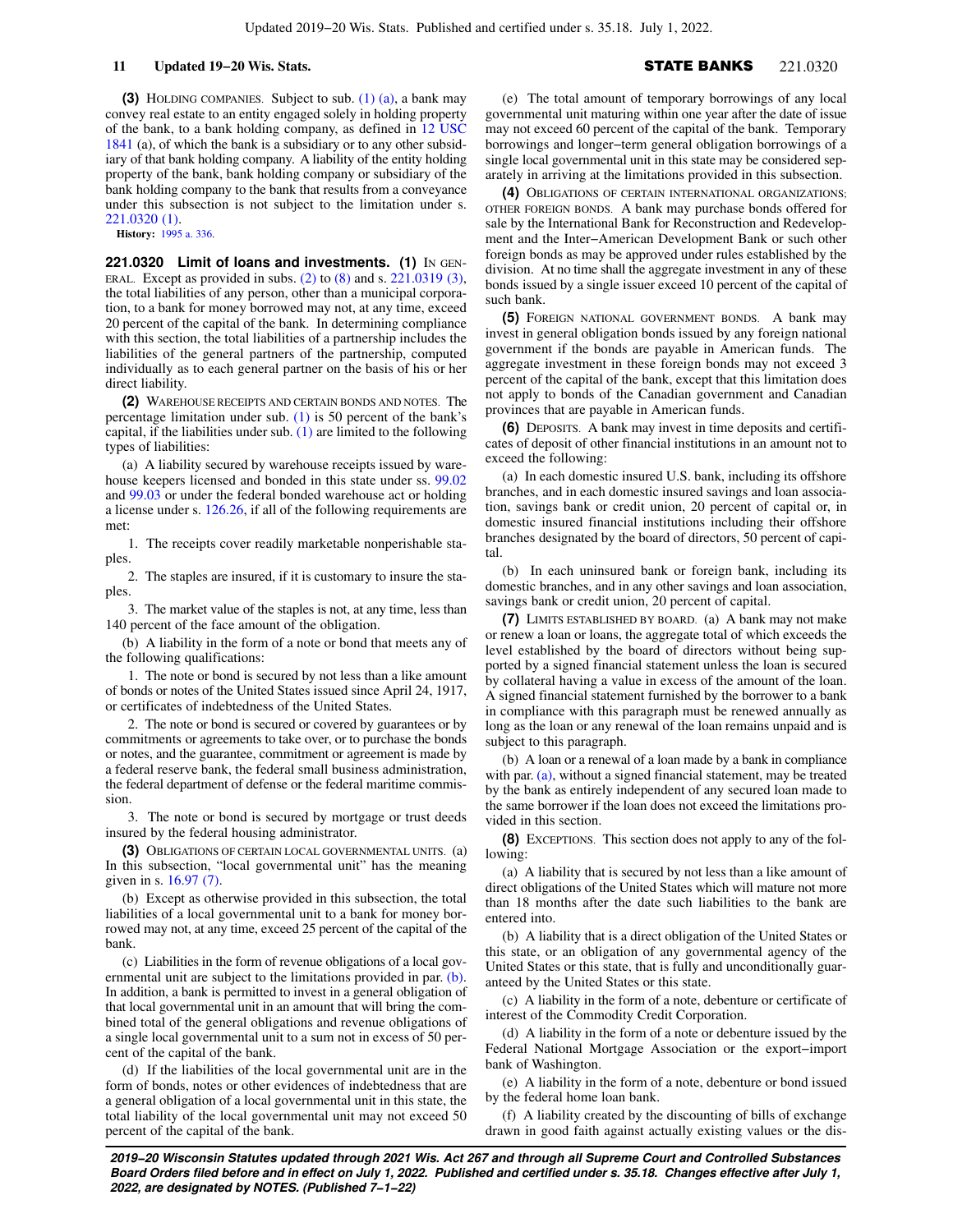**(3)** HOLDING COMPANIES. Subject to sub. [\(1\) \(a\)](https://docs.legis.wisconsin.gov/document/statutes/221.0319(1)(a)), a bank may convey real estate to an entity engaged solely in holding property of the bank, to a bank holding company, as defined in [12 USC](https://docs.legis.wisconsin.gov/document/usc/12%20USC%201841) [1841](https://docs.legis.wisconsin.gov/document/usc/12%20USC%201841) (a), of which the bank is a subsidiary or to any other subsidiary of that bank holding company. A liability of the entity holding property of the bank, bank holding company or subsidiary of the bank holding company to the bank that results from a conveyance under this subsection is not subject to the limitation under s. [221.0320 \(1\).](https://docs.legis.wisconsin.gov/document/statutes/221.0320(1))

**History:** [1995 a. 336](https://docs.legis.wisconsin.gov/document/acts/1995/336).

**221.0320 Limit of loans and investments. (1)** IN GEN-ERAL. Except as provided in subs. [\(2\)](https://docs.legis.wisconsin.gov/document/statutes/221.0320(2)) to [\(8\)](https://docs.legis.wisconsin.gov/document/statutes/221.0320(8)) and s. [221.0319 \(3\),](https://docs.legis.wisconsin.gov/document/statutes/221.0319(3)) the total liabilities of any person, other than a municipal corporation, to a bank for money borrowed may not, at any time, exceed 20 percent of the capital of the bank. In determining compliance with this section, the total liabilities of a partnership includes the liabilities of the general partners of the partnership, computed individually as to each general partner on the basis of his or her direct liability.

**(2)** WAREHOUSE RECEIPTS AND CERTAIN BONDS AND NOTES. The percentage limitation under sub. [\(1\)](https://docs.legis.wisconsin.gov/document/statutes/221.0320(1)) is 50 percent of the bank's capital, if the liabilities under sub.  $(1)$  are limited to the following types of liabilities:

(a) A liability secured by warehouse receipts issued by warehouse keepers licensed and bonded in this state under ss. [99.02](https://docs.legis.wisconsin.gov/document/statutes/99.02) and [99.03](https://docs.legis.wisconsin.gov/document/statutes/99.03) or under the federal bonded warehouse act or holding a license under s. [126.26,](https://docs.legis.wisconsin.gov/document/statutes/126.26) if all of the following requirements are met:

1. The receipts cover readily marketable nonperishable staples.

2. The staples are insured, if it is customary to insure the staples.

3. The market value of the staples is not, at any time, less than 140 percent of the face amount of the obligation.

(b) A liability in the form of a note or bond that meets any of the following qualifications:

1. The note or bond is secured by not less than a like amount of bonds or notes of the United States issued since April 24, 1917, or certificates of indebtedness of the United States.

2. The note or bond is secured or covered by guarantees or by commitments or agreements to take over, or to purchase the bonds or notes, and the guarantee, commitment or agreement is made by a federal reserve bank, the federal small business administration, the federal department of defense or the federal maritime commission.

3. The note or bond is secured by mortgage or trust deeds insured by the federal housing administrator.

**(3)** OBLIGATIONS OF CERTAIN LOCAL GOVERNMENTAL UNITS. (a) In this subsection, "local governmental unit" has the meaning given in s. [16.97 \(7\).](https://docs.legis.wisconsin.gov/document/statutes/16.97(7))

(b) Except as otherwise provided in this subsection, the total liabilities of a local governmental unit to a bank for money borrowed may not, at any time, exceed 25 percent of the capital of the bank.

(c) Liabilities in the form of revenue obligations of a local governmental unit are subject to the limitations provided in par. [\(b\).](https://docs.legis.wisconsin.gov/document/statutes/221.0320(3)(b)) In addition, a bank is permitted to invest in a general obligation of that local governmental unit in an amount that will bring the combined total of the general obligations and revenue obligations of a single local governmental unit to a sum not in excess of 50 percent of the capital of the bank.

(d) If the liabilities of the local governmental unit are in the form of bonds, notes or other evidences of indebtedness that are a general obligation of a local governmental unit in this state, the total liability of the local governmental unit may not exceed 50 percent of the capital of the bank.

(e) The total amount of temporary borrowings of any local governmental unit maturing within one year after the date of issue may not exceed 60 percent of the capital of the bank. Temporary borrowings and longer−term general obligation borrowings of a single local governmental unit in this state may be considered separately in arriving at the limitations provided in this subsection.

**(4)** OBLIGATIONS OF CERTAIN INTERNATIONAL ORGANIZATIONS; OTHER FOREIGN BONDS. A bank may purchase bonds offered for sale by the International Bank for Reconstruction and Redevelopment and the Inter−American Development Bank or such other foreign bonds as may be approved under rules established by the division. At no time shall the aggregate investment in any of these bonds issued by a single issuer exceed 10 percent of the capital of such bank.

**(5)** FOREIGN NATIONAL GOVERNMENT BONDS. A bank may invest in general obligation bonds issued by any foreign national government if the bonds are payable in American funds. The aggregate investment in these foreign bonds may not exceed 3 percent of the capital of the bank, except that this limitation does not apply to bonds of the Canadian government and Canadian provinces that are payable in American funds.

**(6)** DEPOSITS. A bank may invest in time deposits and certificates of deposit of other financial institutions in an amount not to exceed the following:

(a) In each domestic insured U.S. bank, including its offshore branches, and in each domestic insured savings and loan association, savings bank or credit union, 20 percent of capital or, in domestic insured financial institutions including their offshore branches designated by the board of directors, 50 percent of capital.

(b) In each uninsured bank or foreign bank, including its domestic branches, and in any other savings and loan association, savings bank or credit union, 20 percent of capital.

**(7)** LIMITS ESTABLISHED BY BOARD. (a) A bank may not make or renew a loan or loans, the aggregate total of which exceeds the level established by the board of directors without being supported by a signed financial statement unless the loan is secured by collateral having a value in excess of the amount of the loan. A signed financial statement furnished by the borrower to a bank in compliance with this paragraph must be renewed annually as long as the loan or any renewal of the loan remains unpaid and is subject to this paragraph.

(b) A loan or a renewal of a loan made by a bank in compliance with par. [\(a\)](https://docs.legis.wisconsin.gov/document/statutes/221.0320(7)(a)), without a signed financial statement, may be treated by the bank as entirely independent of any secured loan made to the same borrower if the loan does not exceed the limitations provided in this section.

**(8)** EXCEPTIONS. This section does not apply to any of the following:

(a) A liability that is secured by not less than a like amount of direct obligations of the United States which will mature not more than 18 months after the date such liabilities to the bank are entered into.

(b) A liability that is a direct obligation of the United States or this state, or an obligation of any governmental agency of the United States or this state, that is fully and unconditionally guaranteed by the United States or this state.

(c) A liability in the form of a note, debenture or certificate of interest of the Commodity Credit Corporation.

(d) A liability in the form of a note or debenture issued by the Federal National Mortgage Association or the export−import bank of Washington.

(e) A liability in the form of a note, debenture or bond issued by the federal home loan bank.

(f) A liability created by the discounting of bills of exchange drawn in good faith against actually existing values or the dis-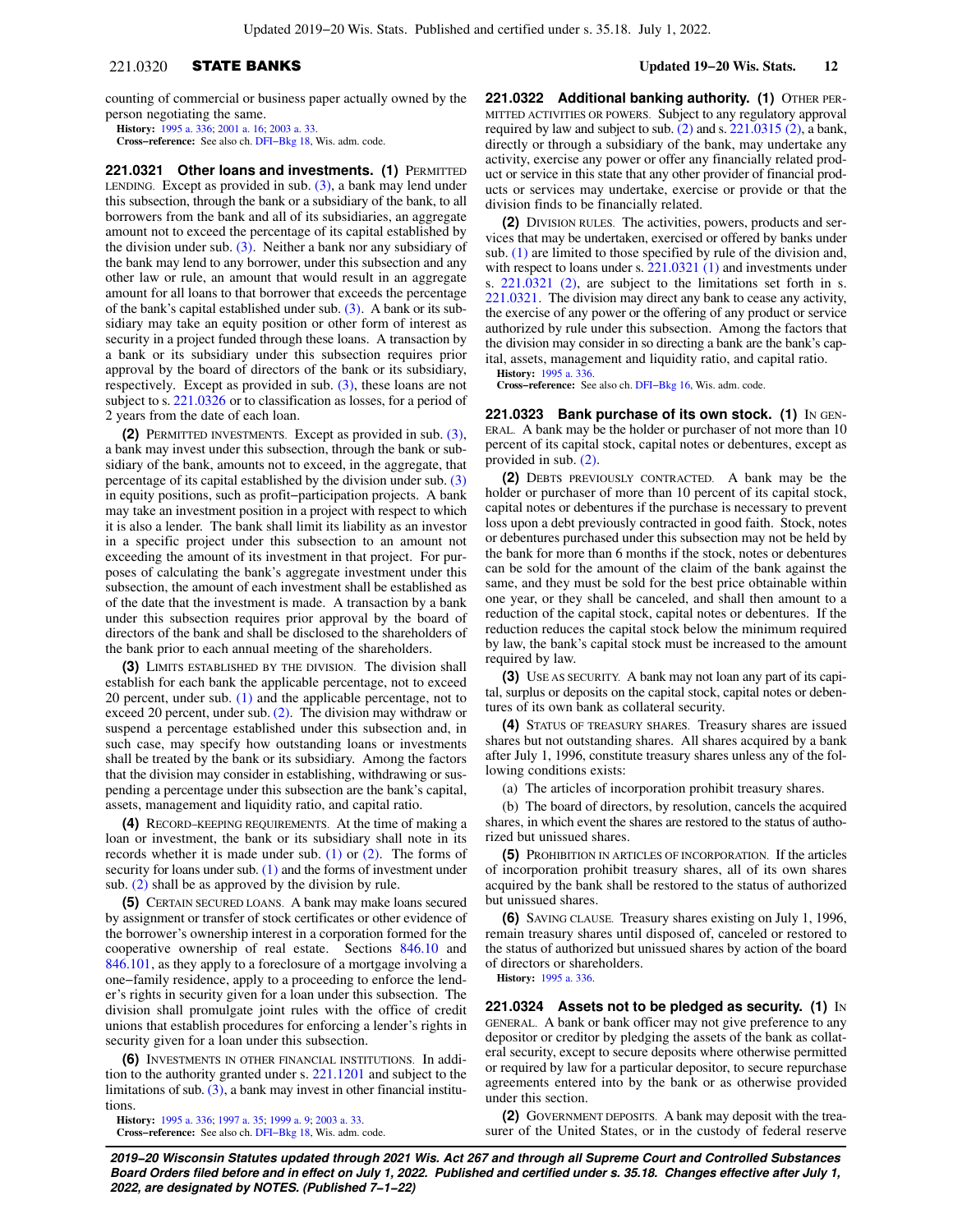counting of commercial or business paper actually owned by the person negotiating the same.

**History:** [1995 a. 336](https://docs.legis.wisconsin.gov/document/acts/1995/336); [2001 a. 16;](https://docs.legis.wisconsin.gov/document/acts/2001/16) [2003 a. 33.](https://docs.legis.wisconsin.gov/document/acts/2003/33)

**Cross−reference:** See also ch. [DFI−Bkg 18](https://docs.legis.wisconsin.gov/document/administrativecode/ch.%20DFI-Bkg%2018), Wis. adm. code.

**221.0321 Other loans and investments. (1)** PERMITTED LENDING. Except as provided in sub.  $(3)$ , a bank may lend under this subsection, through the bank or a subsidiary of the bank, to all borrowers from the bank and all of its subsidiaries, an aggregate amount not to exceed the percentage of its capital established by the division under sub. [\(3\)](https://docs.legis.wisconsin.gov/document/statutes/221.0321(3)). Neither a bank nor any subsidiary of the bank may lend to any borrower, under this subsection and any other law or rule, an amount that would result in an aggregate amount for all loans to that borrower that exceeds the percentage of the bank's capital established under sub. [\(3\).](https://docs.legis.wisconsin.gov/document/statutes/221.0321(3)) A bank or its subsidiary may take an equity position or other form of interest as security in a project funded through these loans. A transaction by a bank or its subsidiary under this subsection requires prior approval by the board of directors of the bank or its subsidiary, respectively. Except as provided in sub.  $(3)$ , these loans are not subject to s. [221.0326](https://docs.legis.wisconsin.gov/document/statutes/221.0326) or to classification as losses, for a period of 2 years from the date of each loan.

**(2)** PERMITTED INVESTMENTS. Except as provided in sub. [\(3\),](https://docs.legis.wisconsin.gov/document/statutes/221.0321(3)) a bank may invest under this subsection, through the bank or subsidiary of the bank, amounts not to exceed, in the aggregate, that percentage of its capital established by the division under sub. [\(3\)](https://docs.legis.wisconsin.gov/document/statutes/221.0321(3)) in equity positions, such as profit−participation projects. A bank may take an investment position in a project with respect to which it is also a lender. The bank shall limit its liability as an investor in a specific project under this subsection to an amount not exceeding the amount of its investment in that project. For purposes of calculating the bank's aggregate investment under this subsection, the amount of each investment shall be established as of the date that the investment is made. A transaction by a bank under this subsection requires prior approval by the board of directors of the bank and shall be disclosed to the shareholders of the bank prior to each annual meeting of the shareholders.

**(3)** LIMITS ESTABLISHED BY THE DIVISION. The division shall establish for each bank the applicable percentage, not to exceed 20 percent, under sub. [\(1\)](https://docs.legis.wisconsin.gov/document/statutes/221.0321(1)) and the applicable percentage, not to exceed 20 percent, under sub.  $(2)$ . The division may withdraw or suspend a percentage established under this subsection and, in such case, may specify how outstanding loans or investments shall be treated by the bank or its subsidiary. Among the factors that the division may consider in establishing, withdrawing or suspending a percentage under this subsection are the bank's capital, assets, management and liquidity ratio, and capital ratio.

**(4)** RECORD−KEEPING REQUIREMENTS. At the time of making a loan or investment, the bank or its subsidiary shall note in its records whether it is made under sub.  $(1)$  or  $(2)$ . The forms of security for loans under sub. [\(1\)](https://docs.legis.wisconsin.gov/document/statutes/221.0321(1)) and the forms of investment under sub. [\(2\)](https://docs.legis.wisconsin.gov/document/statutes/221.0321(2)) shall be as approved by the division by rule.

**(5)** CERTAIN SECURED LOANS. A bank may make loans secured by assignment or transfer of stock certificates or other evidence of the borrower's ownership interest in a corporation formed for the cooperative ownership of real estate. Sections [846.10](https://docs.legis.wisconsin.gov/document/statutes/846.10) and [846.101](https://docs.legis.wisconsin.gov/document/statutes/846.101), as they apply to a foreclosure of a mortgage involving a one−family residence, apply to a proceeding to enforce the lender's rights in security given for a loan under this subsection. The division shall promulgate joint rules with the office of credit unions that establish procedures for enforcing a lender's rights in security given for a loan under this subsection.

**(6)** INVESTMENTS IN OTHER FINANCIAL INSTITUTIONS. In addition to the authority granted under s. [221.1201](https://docs.legis.wisconsin.gov/document/statutes/221.1201) and subject to the limitations of sub.  $(3)$ , a bank may invest in other financial institutions.

**History:** [1995 a. 336](https://docs.legis.wisconsin.gov/document/acts/1995/336); [1997 a. 35;](https://docs.legis.wisconsin.gov/document/acts/1997/35) [1999 a. 9](https://docs.legis.wisconsin.gov/document/acts/1999/9); [2003 a. 33](https://docs.legis.wisconsin.gov/document/acts/2003/33). **Cross−reference:** See also ch. [DFI−Bkg 18](https://docs.legis.wisconsin.gov/document/administrativecode/ch.%20DFI-Bkg%2018), Wis. adm. code. **221.0322 Additional banking authority. (1)** OTHER PER-MITTED ACTIVITIES OR POWERS. Subject to any regulatory approval required by law and subject to sub. [\(2\)](https://docs.legis.wisconsin.gov/document/statutes/221.0322(2)) and s. [221.0315 \(2\)](https://docs.legis.wisconsin.gov/document/statutes/221.0315(2)), a bank, directly or through a subsidiary of the bank, may undertake any activity, exercise any power or offer any financially related product or service in this state that any other provider of financial products or services may undertake, exercise or provide or that the division finds to be financially related.

**(2)** DIVISION RULES. The activities, powers, products and services that may be undertaken, exercised or offered by banks under sub. [\(1\)](https://docs.legis.wisconsin.gov/document/statutes/221.0322(1)) are limited to those specified by rule of the division and, with respect to loans under s. [221.0321 \(1\)](https://docs.legis.wisconsin.gov/document/statutes/221.0321(1)) and investments under s. [221.0321 \(2\),](https://docs.legis.wisconsin.gov/document/statutes/221.0321(2)) are subject to the limitations set forth in s. [221.0321.](https://docs.legis.wisconsin.gov/document/statutes/221.0321) The division may direct any bank to cease any activity, the exercise of any power or the offering of any product or service authorized by rule under this subsection. Among the factors that the division may consider in so directing a bank are the bank's capital, assets, management and liquidity ratio, and capital ratio.

**History:** [1995 a. 336.](https://docs.legis.wisconsin.gov/document/acts/1995/336)

**Cross−reference:** See also ch. [DFI−Bkg 16,](https://docs.legis.wisconsin.gov/document/administrativecode/ch.%20DFI-Bkg%2016) Wis. adm. code.

**221.0323 Bank purchase of its own stock. (1)** IN GEN-ERAL. A bank may be the holder or purchaser of not more than 10 percent of its capital stock, capital notes or debentures, except as provided in sub. [\(2\)](https://docs.legis.wisconsin.gov/document/statutes/221.0323(2)).

**(2)** DEBTS PREVIOUSLY CONTRACTED. A bank may be the holder or purchaser of more than 10 percent of its capital stock, capital notes or debentures if the purchase is necessary to prevent loss upon a debt previously contracted in good faith. Stock, notes or debentures purchased under this subsection may not be held by the bank for more than 6 months if the stock, notes or debentures can be sold for the amount of the claim of the bank against the same, and they must be sold for the best price obtainable within one year, or they shall be canceled, and shall then amount to a reduction of the capital stock, capital notes or debentures. If the reduction reduces the capital stock below the minimum required by law, the bank's capital stock must be increased to the amount required by law.

**(3)** USE AS SECURITY. A bank may not loan any part of its capital, surplus or deposits on the capital stock, capital notes or debentures of its own bank as collateral security.

**(4)** STATUS OF TREASURY SHARES. Treasury shares are issued shares but not outstanding shares. All shares acquired by a bank after July 1, 1996, constitute treasury shares unless any of the following conditions exists:

(a) The articles of incorporation prohibit treasury shares.

(b) The board of directors, by resolution, cancels the acquired shares, in which event the shares are restored to the status of authorized but unissued shares.

**(5)** PROHIBITION IN ARTICLES OF INCORPORATION. If the articles of incorporation prohibit treasury shares, all of its own shares acquired by the bank shall be restored to the status of authorized but unissued shares.

**(6)** SAVING CLAUSE. Treasury shares existing on July 1, 1996, remain treasury shares until disposed of, canceled or restored to the status of authorized but unissued shares by action of the board of directors or shareholders.

**History:** [1995 a. 336.](https://docs.legis.wisconsin.gov/document/acts/1995/336)

**221.0324 Assets not to be pledged as security. (1)** IN GENERAL. A bank or bank officer may not give preference to any depositor or creditor by pledging the assets of the bank as collateral security, except to secure deposits where otherwise permitted or required by law for a particular depositor, to secure repurchase agreements entered into by the bank or as otherwise provided under this section.

**(2)** GOVERNMENT DEPOSITS. A bank may deposit with the treasurer of the United States, or in the custody of federal reserve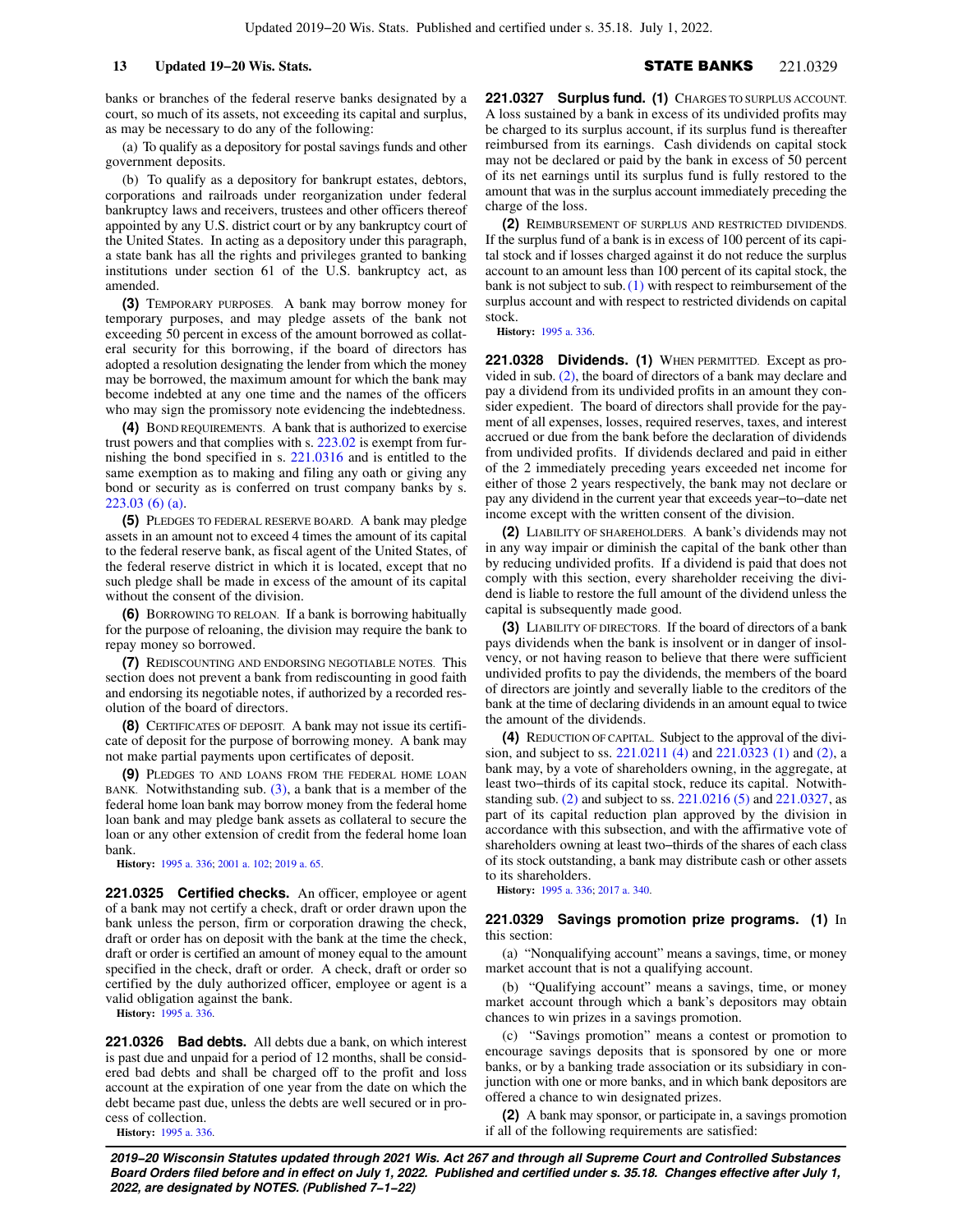banks or branches of the federal reserve banks designated by a court, so much of its assets, not exceeding its capital and surplus, as may be necessary to do any of the following:

(a) To qualify as a depository for postal savings funds and other government deposits.

(b) To qualify as a depository for bankrupt estates, debtors, corporations and railroads under reorganization under federal bankruptcy laws and receivers, trustees and other officers thereof appointed by any U.S. district court or by any bankruptcy court of the United States. In acting as a depository under this paragraph, a state bank has all the rights and privileges granted to banking institutions under section 61 of the U.S. bankruptcy act, as amended.

**(3)** TEMPORARY PURPOSES. A bank may borrow money for temporary purposes, and may pledge assets of the bank not exceeding 50 percent in excess of the amount borrowed as collateral security for this borrowing, if the board of directors has adopted a resolution designating the lender from which the money may be borrowed, the maximum amount for which the bank may become indebted at any one time and the names of the officers who may sign the promissory note evidencing the indebtedness.

**(4)** BOND REQUIREMENTS. A bank that is authorized to exercise trust powers and that complies with s. [223.02](https://docs.legis.wisconsin.gov/document/statutes/223.02) is exempt from furnishing the bond specified in s. [221.0316](https://docs.legis.wisconsin.gov/document/statutes/221.0316) and is entitled to the same exemption as to making and filing any oath or giving any bond or security as is conferred on trust company banks by s. [223.03 \(6\) \(a\).](https://docs.legis.wisconsin.gov/document/statutes/223.03(6)(a))

**(5)** PLEDGES TO FEDERAL RESERVE BOARD. A bank may pledge assets in an amount not to exceed 4 times the amount of its capital to the federal reserve bank, as fiscal agent of the United States, of the federal reserve district in which it is located, except that no such pledge shall be made in excess of the amount of its capital without the consent of the division.

**(6)** BORROWING TO RELOAN. If a bank is borrowing habitually for the purpose of reloaning, the division may require the bank to repay money so borrowed.

**(7)** REDISCOUNTING AND ENDORSING NEGOTIABLE NOTES. This section does not prevent a bank from rediscounting in good faith and endorsing its negotiable notes, if authorized by a recorded resolution of the board of directors.

**(8)** CERTIFICATES OF DEPOSIT. A bank may not issue its certificate of deposit for the purpose of borrowing money. A bank may not make partial payments upon certificates of deposit.

**(9)** PLEDGES TO AND LOANS FROM THE FEDERAL HOME LOAN BANK. Notwithstanding sub.  $(3)$ , a bank that is a member of the federal home loan bank may borrow money from the federal home loan bank and may pledge bank assets as collateral to secure the loan or any other extension of credit from the federal home loan bank.

**History:** [1995 a. 336](https://docs.legis.wisconsin.gov/document/acts/1995/336); [2001 a. 102](https://docs.legis.wisconsin.gov/document/acts/2001/102); [2019 a. 65](https://docs.legis.wisconsin.gov/document/acts/2019/65).

**221.0325 Certified checks.** An officer, employee or agent of a bank may not certify a check, draft or order drawn upon the bank unless the person, firm or corporation drawing the check, draft or order has on deposit with the bank at the time the check, draft or order is certified an amount of money equal to the amount specified in the check, draft or order. A check, draft or order so certified by the duly authorized officer, employee or agent is a valid obligation against the bank.

**History:** [1995 a. 336](https://docs.legis.wisconsin.gov/document/acts/1995/336).

**221.0326 Bad debts.** All debts due a bank, on which interest is past due and unpaid for a period of 12 months, shall be considered bad debts and shall be charged off to the profit and loss account at the expiration of one year from the date on which the debt became past due, unless the debts are well secured or in process of collection.

**History:** [1995 a. 336](https://docs.legis.wisconsin.gov/document/acts/1995/336).

**221.0327 Surplus fund. (1)** CHARGES TO SURPLUS ACCOUNT. A loss sustained by a bank in excess of its undivided profits may be charged to its surplus account, if its surplus fund is thereafter reimbursed from its earnings. Cash dividends on capital stock may not be declared or paid by the bank in excess of 50 percent of its net earnings until its surplus fund is fully restored to the amount that was in the surplus account immediately preceding the charge of the loss.

**(2)** REIMBURSEMENT OF SURPLUS AND RESTRICTED DIVIDENDS. If the surplus fund of a bank is in excess of 100 percent of its capital stock and if losses charged against it do not reduce the surplus account to an amount less than 100 percent of its capital stock, the bank is not subject to sub.[\(1\)](https://docs.legis.wisconsin.gov/document/statutes/221.0327(1)) with respect to reimbursement of the surplus account and with respect to restricted dividends on capital stock.

**History:** [1995 a. 336.](https://docs.legis.wisconsin.gov/document/acts/1995/336)

**221.0328 Dividends. (1)** WHEN PERMITTED. Except as provided in sub. [\(2\),](https://docs.legis.wisconsin.gov/document/statutes/221.0328(2)) the board of directors of a bank may declare and pay a dividend from its undivided profits in an amount they consider expedient. The board of directors shall provide for the payment of all expenses, losses, required reserves, taxes, and interest accrued or due from the bank before the declaration of dividends from undivided profits. If dividends declared and paid in either of the 2 immediately preceding years exceeded net income for either of those 2 years respectively, the bank may not declare or pay any dividend in the current year that exceeds year−to−date net income except with the written consent of the division.

**(2)** LIABILITY OF SHAREHOLDERS. A bank's dividends may not in any way impair or diminish the capital of the bank other than by reducing undivided profits. If a dividend is paid that does not comply with this section, every shareholder receiving the dividend is liable to restore the full amount of the dividend unless the capital is subsequently made good.

**(3)** LIABILITY OF DIRECTORS. If the board of directors of a bank pays dividends when the bank is insolvent or in danger of insolvency, or not having reason to believe that there were sufficient undivided profits to pay the dividends, the members of the board of directors are jointly and severally liable to the creditors of the bank at the time of declaring dividends in an amount equal to twice the amount of the dividends.

**(4)** REDUCTION OF CAPITAL. Subject to the approval of the division, and subject to ss. [221.0211 \(4\)](https://docs.legis.wisconsin.gov/document/statutes/221.0211(4)) and [221.0323 \(1\)](https://docs.legis.wisconsin.gov/document/statutes/221.0323(1)) and [\(2\),](https://docs.legis.wisconsin.gov/document/statutes/221.0323(2)) a bank may, by a vote of shareholders owning, in the aggregate, at least two−thirds of its capital stock, reduce its capital. Notwithstanding sub. [\(2\)](https://docs.legis.wisconsin.gov/document/statutes/221.0328(2)) and subject to ss. [221.0216 \(5\)](https://docs.legis.wisconsin.gov/document/statutes/221.0216(5)) and [221.0327,](https://docs.legis.wisconsin.gov/document/statutes/221.0327) as part of its capital reduction plan approved by the division in accordance with this subsection, and with the affirmative vote of shareholders owning at least two−thirds of the shares of each class of its stock outstanding, a bank may distribute cash or other assets to its shareholders.

**History:** [1995 a. 336;](https://docs.legis.wisconsin.gov/document/acts/1995/336) [2017 a. 340](https://docs.legis.wisconsin.gov/document/acts/2017/340).

### **221.0329 Savings promotion prize programs. (1)** In this section:

(a) "Nonqualifying account" means a savings, time, or money market account that is not a qualifying account.

(b) "Qualifying account" means a savings, time, or money market account through which a bank's depositors may obtain chances to win prizes in a savings promotion.

(c) "Savings promotion" means a contest or promotion to encourage savings deposits that is sponsored by one or more banks, or by a banking trade association or its subsidiary in conjunction with one or more banks, and in which bank depositors are offered a chance to win designated prizes.

**(2)** A bank may sponsor, or participate in, a savings promotion if all of the following requirements are satisfied: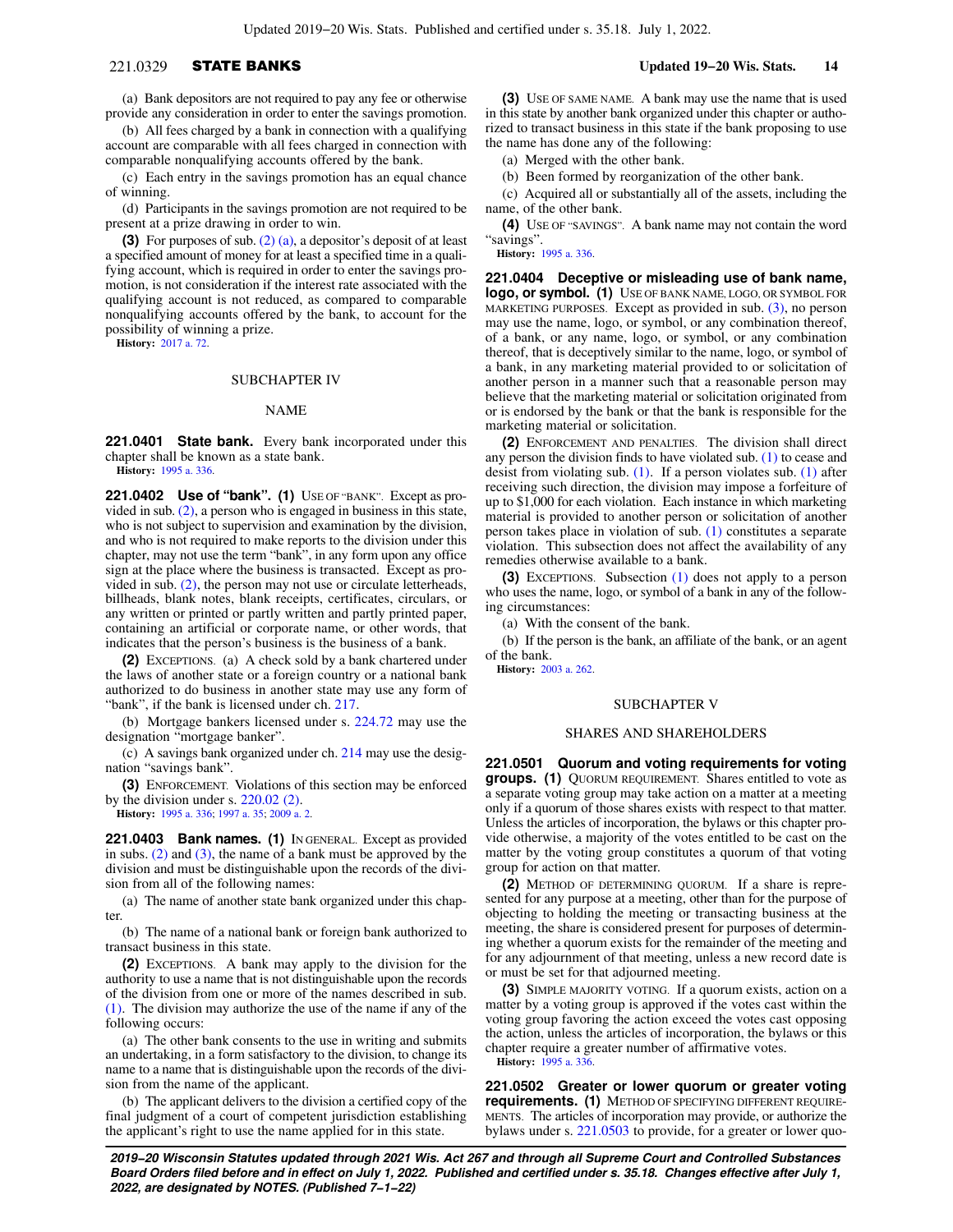## 221.0329 STATE BANKS **Updated 19−20 Wis. Stats. 14**

(a) Bank depositors are not required to pay any fee or otherwise provide any consideration in order to enter the savings promotion.

(b) All fees charged by a bank in connection with a qualifying account are comparable with all fees charged in connection with comparable nonqualifying accounts offered by the bank.

(c) Each entry in the savings promotion has an equal chance of winning.

(d) Participants in the savings promotion are not required to be present at a prize drawing in order to win.

**(3)** For purposes of sub. [\(2\) \(a\),](https://docs.legis.wisconsin.gov/document/statutes/221.0329(2)(a)) a depositor's deposit of at least a specified amount of money for at least a specified time in a qualifying account, which is required in order to enter the savings promotion, is not consideration if the interest rate associated with the qualifying account is not reduced, as compared to comparable nonqualifying accounts offered by the bank, to account for the possibility of winning a prize.

**History:** [2017 a. 72.](https://docs.legis.wisconsin.gov/document/acts/2017/72)

### SUBCHAPTER IV

### NAME

**221.0401 State bank.** Every bank incorporated under this chapter shall be known as a state bank.

**History:** [1995 a. 336](https://docs.legis.wisconsin.gov/document/acts/1995/336).

**221.0402 Use of "bank". (1)** USE OF "BANK". Except as provided in sub. [\(2\)](https://docs.legis.wisconsin.gov/document/statutes/221.0402(2)), a person who is engaged in business in this state, who is not subject to supervision and examination by the division, and who is not required to make reports to the division under this chapter, may not use the term "bank", in any form upon any office sign at the place where the business is transacted. Except as provided in sub. [\(2\),](https://docs.legis.wisconsin.gov/document/statutes/221.0402(2)) the person may not use or circulate letterheads, billheads, blank notes, blank receipts, certificates, circulars, or any written or printed or partly written and partly printed paper, containing an artificial or corporate name, or other words, that indicates that the person's business is the business of a bank.

**(2)** EXCEPTIONS. (a) A check sold by a bank chartered under the laws of another state or a foreign country or a national bank authorized to do business in another state may use any form of "bank", if the bank is licensed under ch. [217.](https://docs.legis.wisconsin.gov/document/statutes/ch.%20217)

(b) Mortgage bankers licensed under s. [224.72](https://docs.legis.wisconsin.gov/document/statutes/224.72) may use the designation "mortgage banker".

(c) A savings bank organized under ch. [214](https://docs.legis.wisconsin.gov/document/statutes/ch.%20214) may use the designation "savings bank".

**(3)** ENFORCEMENT. Violations of this section may be enforced by the division under s. [220.02 \(2\).](https://docs.legis.wisconsin.gov/document/statutes/220.02(2))

**History:** [1995 a. 336](https://docs.legis.wisconsin.gov/document/acts/1995/336); [1997 a. 35;](https://docs.legis.wisconsin.gov/document/acts/1997/35) [2009 a. 2](https://docs.legis.wisconsin.gov/document/acts/2009/2).

**221.0403 Bank names. (1)** IN GENERAL. Except as provided in subs.  $(2)$  and  $(3)$ , the name of a bank must be approved by the division and must be distinguishable upon the records of the division from all of the following names:

(a) The name of another state bank organized under this chapter.

(b) The name of a national bank or foreign bank authorized to transact business in this state.

**(2)** EXCEPTIONS. A bank may apply to the division for the authority to use a name that is not distinguishable upon the records of the division from one or more of the names described in sub. [\(1\)](https://docs.legis.wisconsin.gov/document/statutes/221.0403(1)). The division may authorize the use of the name if any of the following occurs:

(a) The other bank consents to the use in writing and submits an undertaking, in a form satisfactory to the division, to change its name to a name that is distinguishable upon the records of the division from the name of the applicant.

(b) The applicant delivers to the division a certified copy of the final judgment of a court of competent jurisdiction establishing the applicant's right to use the name applied for in this state.

**(3)** USE OF SAME NAME. A bank may use the name that is used in this state by another bank organized under this chapter or authorized to transact business in this state if the bank proposing to use the name has done any of the following:

(a) Merged with the other bank.

(b) Been formed by reorganization of the other bank.

(c) Acquired all or substantially all of the assets, including the name, of the other bank.

**(4)** USE OF "SAVINGS". A bank name may not contain the word "savings".

**History:** [1995 a. 336.](https://docs.legis.wisconsin.gov/document/acts/1995/336)

**221.0404 Deceptive or misleading use of bank name, logo, or symbol. (1)** USE OF BANK NAME, LOGO, OR SYMBOL FOR MARKETING PURPOSES. Except as provided in sub. [\(3\)](https://docs.legis.wisconsin.gov/document/statutes/221.0404(3)), no person may use the name, logo, or symbol, or any combination thereof, of a bank, or any name, logo, or symbol, or any combination thereof, that is deceptively similar to the name, logo, or symbol of a bank, in any marketing material provided to or solicitation of another person in a manner such that a reasonable person may believe that the marketing material or solicitation originated from or is endorsed by the bank or that the bank is responsible for the marketing material or solicitation.

**(2)** ENFORCEMENT AND PENALTIES. The division shall direct any person the division finds to have violated sub. [\(1\)](https://docs.legis.wisconsin.gov/document/statutes/221.0404(1)) to cease and desist from violating sub. [\(1\).](https://docs.legis.wisconsin.gov/document/statutes/221.0404(1)) If a person violates sub. [\(1\)](https://docs.legis.wisconsin.gov/document/statutes/221.0404(1)) after receiving such direction, the division may impose a forfeiture of up to \$1,000 for each violation. Each instance in which marketing material is provided to another person or solicitation of another person takes place in violation of sub. [\(1\)](https://docs.legis.wisconsin.gov/document/statutes/221.0404(1)) constitutes a separate violation. This subsection does not affect the availability of any remedies otherwise available to a bank.

**(3)** EXCEPTIONS. Subsection [\(1\)](https://docs.legis.wisconsin.gov/document/statutes/221.0404(1)) does not apply to a person who uses the name, logo, or symbol of a bank in any of the following circumstances:

(a) With the consent of the bank.

(b) If the person is the bank, an affiliate of the bank, or an agent of the bank.

**History:** [2003 a. 262.](https://docs.legis.wisconsin.gov/document/acts/2003/262)

### SUBCHAPTER V

### SHARES AND SHAREHOLDERS

**221.0501 Quorum and voting requirements for voting groups. (1)** QUORUM REQUIREMENT. Shares entitled to vote as a separate voting group may take action on a matter at a meeting only if a quorum of those shares exists with respect to that matter. Unless the articles of incorporation, the bylaws or this chapter provide otherwise, a majority of the votes entitled to be cast on the matter by the voting group constitutes a quorum of that voting group for action on that matter.

**(2)** METHOD OF DETERMINING QUORUM. If a share is represented for any purpose at a meeting, other than for the purpose of objecting to holding the meeting or transacting business at the meeting, the share is considered present for purposes of determining whether a quorum exists for the remainder of the meeting and for any adjournment of that meeting, unless a new record date is or must be set for that adjourned meeting.

**(3)** SIMPLE MAJORITY VOTING. If a quorum exists, action on a matter by a voting group is approved if the votes cast within the voting group favoring the action exceed the votes cast opposing the action, unless the articles of incorporation, the bylaws or this chapter require a greater number of affirmative votes.

**History:** [1995 a. 336.](https://docs.legis.wisconsin.gov/document/acts/1995/336)

**221.0502 Greater or lower quorum or greater voting requirements. (1)** METHOD OF SPECIFYING DIFFERENT REQUIRE-MENTS. The articles of incorporation may provide, or authorize the bylaws under s. [221.0503](https://docs.legis.wisconsin.gov/document/statutes/221.0503) to provide, for a greater or lower quo-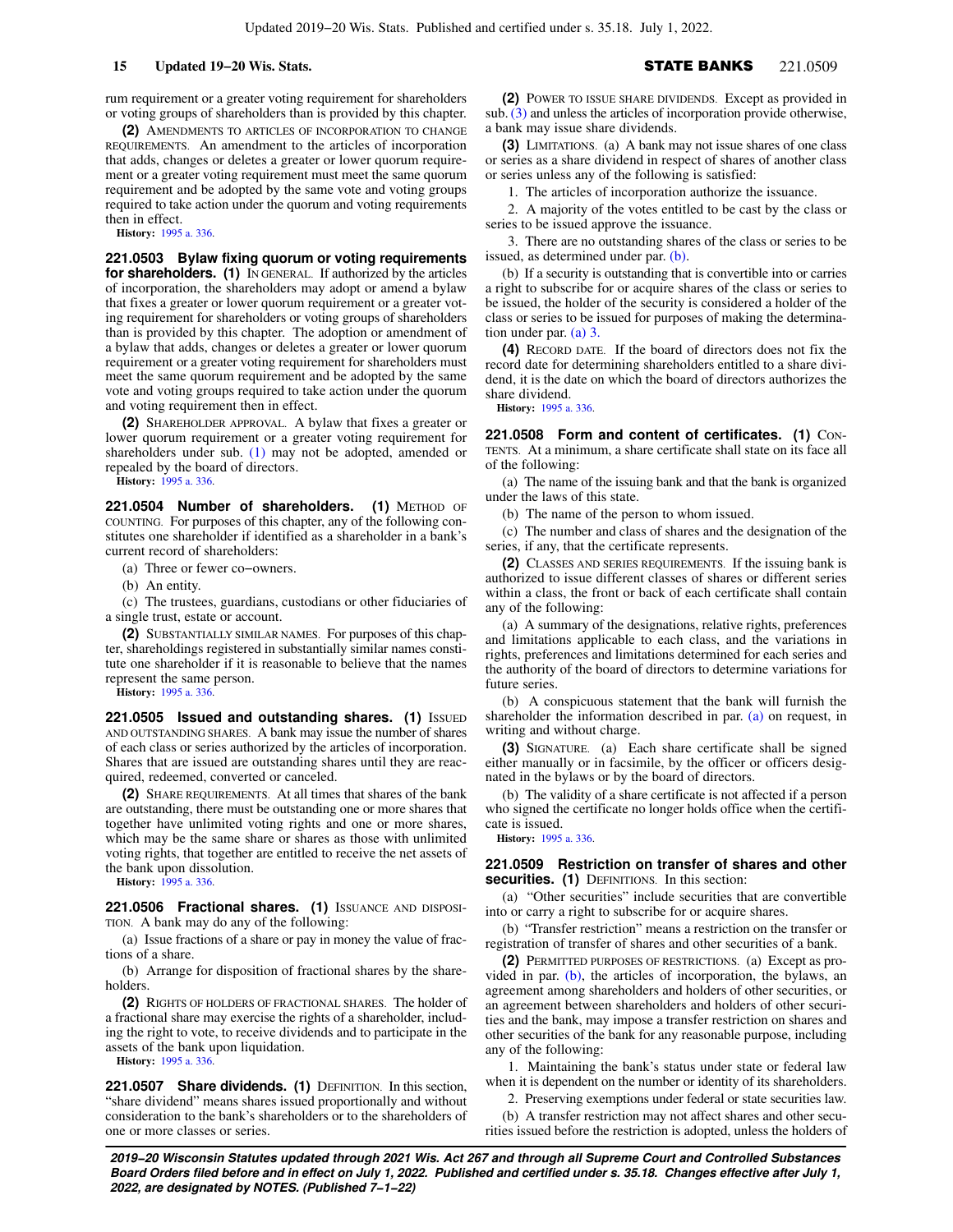rum requirement or a greater voting requirement for shareholders or voting groups of shareholders than is provided by this chapter.

**(2)** AMENDMENTS TO ARTICLES OF INCORPORATION TO CHANGE REQUIREMENTS. An amendment to the articles of incorporation that adds, changes or deletes a greater or lower quorum requirement or a greater voting requirement must meet the same quorum requirement and be adopted by the same vote and voting groups required to take action under the quorum and voting requirements then in effect.

**History:** [1995 a. 336](https://docs.legis.wisconsin.gov/document/acts/1995/336).

**221.0503 Bylaw fixing quorum or voting requirements for shareholders. (1)** IN GENERAL. If authorized by the articles of incorporation, the shareholders may adopt or amend a bylaw that fixes a greater or lower quorum requirement or a greater voting requirement for shareholders or voting groups of shareholders than is provided by this chapter. The adoption or amendment of a bylaw that adds, changes or deletes a greater or lower quorum requirement or a greater voting requirement for shareholders must meet the same quorum requirement and be adopted by the same vote and voting groups required to take action under the quorum and voting requirement then in effect.

**(2)** SHAREHOLDER APPROVAL. A bylaw that fixes a greater or lower quorum requirement or a greater voting requirement for shareholders under sub. [\(1\)](https://docs.legis.wisconsin.gov/document/statutes/221.0503(1)) may not be adopted, amended or repealed by the board of directors.

**History:** [1995 a. 336](https://docs.legis.wisconsin.gov/document/acts/1995/336).

**221.0504 Number of shareholders. (1)** METHOD OF COUNTING. For purposes of this chapter, any of the following constitutes one shareholder if identified as a shareholder in a bank's current record of shareholders:

(a) Three or fewer co−owners.

(b) An entity.

(c) The trustees, guardians, custodians or other fiduciaries of a single trust, estate or account.

**(2)** SUBSTANTIALLY SIMILAR NAMES. For purposes of this chapter, shareholdings registered in substantially similar names constitute one shareholder if it is reasonable to believe that the names represent the same person.

**History:** [1995 a. 336](https://docs.legis.wisconsin.gov/document/acts/1995/336).

**221.0505 Issued and outstanding shares. (1) ISSUED** AND OUTSTANDING SHARES. A bank may issue the number of shares of each class or series authorized by the articles of incorporation. Shares that are issued are outstanding shares until they are reacquired, redeemed, converted or canceled.

**(2)** SHARE REQUIREMENTS. At all times that shares of the bank are outstanding, there must be outstanding one or more shares that together have unlimited voting rights and one or more shares, which may be the same share or shares as those with unlimited voting rights, that together are entitled to receive the net assets of the bank upon dissolution.

**History:** [1995 a. 336](https://docs.legis.wisconsin.gov/document/acts/1995/336).

221.0506 Fractional shares. (1) ISSUANCE AND DISPOSI-TION. A bank may do any of the following:

(a) Issue fractions of a share or pay in money the value of fractions of a share.

(b) Arrange for disposition of fractional shares by the shareholders.

**(2)** RIGHTS OF HOLDERS OF FRACTIONAL SHARES. The holder of a fractional share may exercise the rights of a shareholder, including the right to vote, to receive dividends and to participate in the assets of the bank upon liquidation.

**History:** [1995 a. 336](https://docs.legis.wisconsin.gov/document/acts/1995/336).

**221.0507 Share dividends. (1)** DEFINITION. In this section, "share dividend" means shares issued proportionally and without consideration to the bank's shareholders or to the shareholders of one or more classes or series.

**(2)** POWER TO ISSUE SHARE DIVIDENDS. Except as provided in sub. [\(3\)](https://docs.legis.wisconsin.gov/document/statutes/221.0507(3)) and unless the articles of incorporation provide otherwise, a bank may issue share dividends.

**(3)** LIMITATIONS. (a) A bank may not issue shares of one class or series as a share dividend in respect of shares of another class or series unless any of the following is satisfied:

1. The articles of incorporation authorize the issuance.

2. A majority of the votes entitled to be cast by the class or series to be issued approve the issuance.

3. There are no outstanding shares of the class or series to be issued, as determined under par. [\(b\).](https://docs.legis.wisconsin.gov/document/statutes/221.0507(3)(b))

(b) If a security is outstanding that is convertible into or carries a right to subscribe for or acquire shares of the class or series to be issued, the holder of the security is considered a holder of the class or series to be issued for purposes of making the determination under par. [\(a\) 3.](https://docs.legis.wisconsin.gov/document/statutes/221.0507(3)(a)3.)

**(4)** RECORD DATE. If the board of directors does not fix the record date for determining shareholders entitled to a share dividend, it is the date on which the board of directors authorizes the share dividend.

**History:** [1995 a. 336.](https://docs.legis.wisconsin.gov/document/acts/1995/336)

**221.0508 Form and content of certificates. (1)** CON-TENTS. At a minimum, a share certificate shall state on its face all of the following:

(a) The name of the issuing bank and that the bank is organized under the laws of this state.

(b) The name of the person to whom issued.

(c) The number and class of shares and the designation of the series, if any, that the certificate represents.

**(2)** CLASSES AND SERIES REQUIREMENTS. If the issuing bank is authorized to issue different classes of shares or different series within a class, the front or back of each certificate shall contain any of the following:

(a) A summary of the designations, relative rights, preferences and limitations applicable to each class, and the variations in rights, preferences and limitations determined for each series and the authority of the board of directors to determine variations for future series.

(b) A conspicuous statement that the bank will furnish the shareholder the information described in par. [\(a\)](https://docs.legis.wisconsin.gov/document/statutes/221.0508(2)(a)) on request, in writing and without charge.

**(3)** SIGNATURE. (a) Each share certificate shall be signed either manually or in facsimile, by the officer or officers designated in the bylaws or by the board of directors.

(b) The validity of a share certificate is not affected if a person who signed the certificate no longer holds office when the certificate is issued.

**History:** [1995 a. 336.](https://docs.legis.wisconsin.gov/document/acts/1995/336)

## **221.0509 Restriction on transfer of shares and other securities. (1)** DEFINITIONS. In this section:

(a) "Other securities" include securities that are convertible into or carry a right to subscribe for or acquire shares.

(b) "Transfer restriction" means a restriction on the transfer or registration of transfer of shares and other securities of a bank.

**(2)** PERMITTED PURPOSES OF RESTRICTIONS. (a) Except as provided in par. [\(b\),](https://docs.legis.wisconsin.gov/document/statutes/221.0509(2)(b)) the articles of incorporation, the bylaws, an agreement among shareholders and holders of other securities, or an agreement between shareholders and holders of other securities and the bank, may impose a transfer restriction on shares and other securities of the bank for any reasonable purpose, including any of the following:

1. Maintaining the bank's status under state or federal law when it is dependent on the number or identity of its shareholders.

2. Preserving exemptions under federal or state securities law.

(b) A transfer restriction may not affect shares and other securities issued before the restriction is adopted, unless the holders of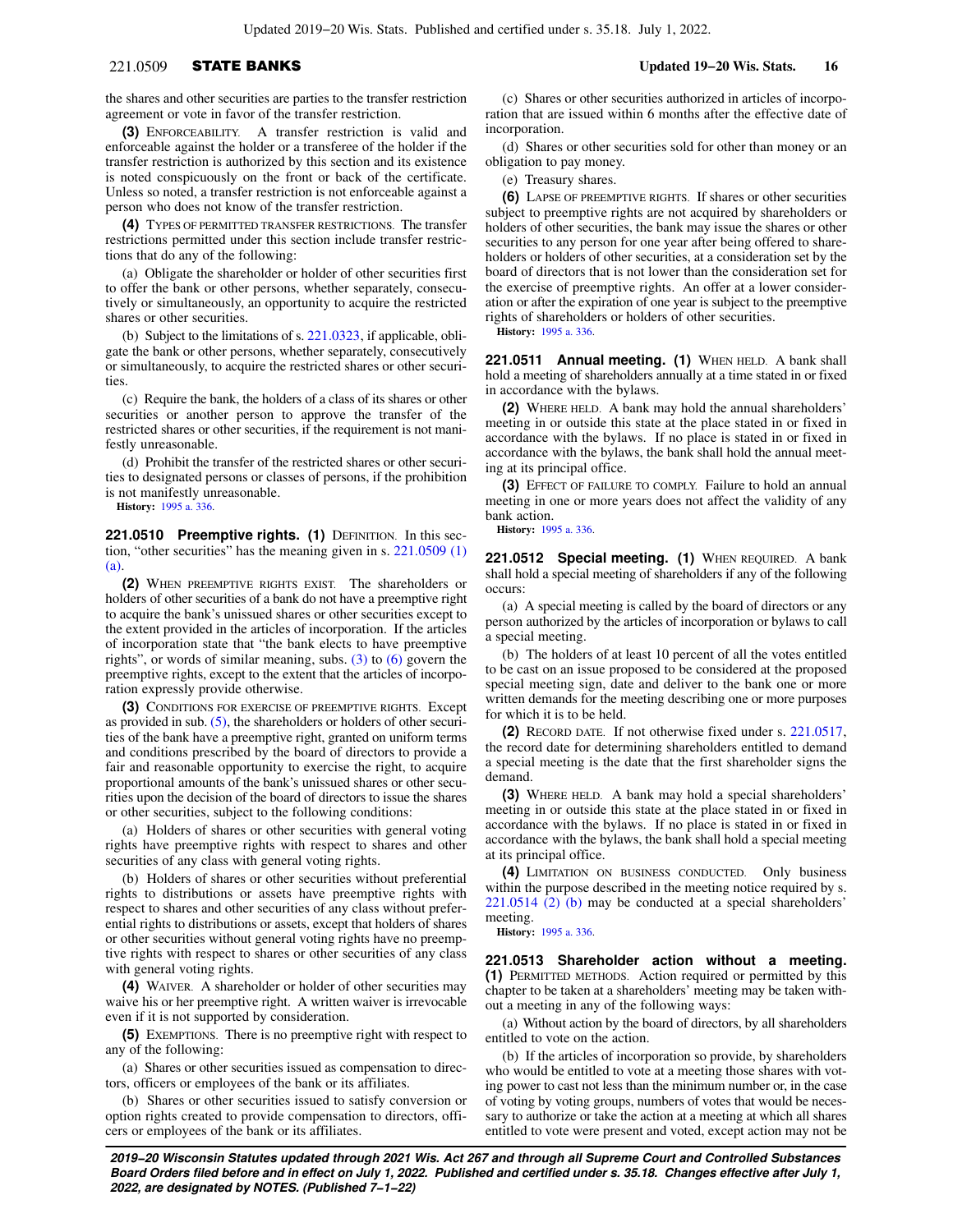## 221.0509 STATE BANKS **Updated 19−20 Wis. Stats. 16**

the shares and other securities are parties to the transfer restriction agreement or vote in favor of the transfer restriction.

**(3)** ENFORCEABILITY. A transfer restriction is valid and enforceable against the holder or a transferee of the holder if the transfer restriction is authorized by this section and its existence is noted conspicuously on the front or back of the certificate. Unless so noted, a transfer restriction is not enforceable against a person who does not know of the transfer restriction.

**(4)** TYPES OF PERMITTED TRANSFER RESTRICTIONS. The transfer restrictions permitted under this section include transfer restrictions that do any of the following:

(a) Obligate the shareholder or holder of other securities first to offer the bank or other persons, whether separately, consecutively or simultaneously, an opportunity to acquire the restricted shares or other securities.

(b) Subject to the limitations of s. [221.0323,](https://docs.legis.wisconsin.gov/document/statutes/221.0323) if applicable, obligate the bank or other persons, whether separately, consecutively or simultaneously, to acquire the restricted shares or other securities.

(c) Require the bank, the holders of a class of its shares or other securities or another person to approve the transfer of the restricted shares or other securities, if the requirement is not manifestly unreasonable.

(d) Prohibit the transfer of the restricted shares or other securities to designated persons or classes of persons, if the prohibition is not manifestly unreasonable.

**History:** [1995 a. 336](https://docs.legis.wisconsin.gov/document/acts/1995/336).

221.0510 Preemptive rights. (1) DEFINITION. In this section, "other securities" has the meaning given in s. [221.0509 \(1\)](https://docs.legis.wisconsin.gov/document/statutes/221.0509(1)(a)) [\(a\).](https://docs.legis.wisconsin.gov/document/statutes/221.0509(1)(a))

**(2)** WHEN PREEMPTIVE RIGHTS EXIST. The shareholders or holders of other securities of a bank do not have a preemptive right to acquire the bank's unissued shares or other securities except to the extent provided in the articles of incorporation. If the articles of incorporation state that "the bank elects to have preemptive rights", or words of similar meaning, subs.  $(3)$  to  $(6)$  govern the preemptive rights, except to the extent that the articles of incorporation expressly provide otherwise.

**(3)** CONDITIONS FOR EXERCISE OF PREEMPTIVE RIGHTS. Except as provided in sub.  $(5)$ , the shareholders or holders of other securities of the bank have a preemptive right, granted on uniform terms and conditions prescribed by the board of directors to provide a fair and reasonable opportunity to exercise the right, to acquire proportional amounts of the bank's unissued shares or other securities upon the decision of the board of directors to issue the shares or other securities, subject to the following conditions:

(a) Holders of shares or other securities with general voting rights have preemptive rights with respect to shares and other securities of any class with general voting rights.

(b) Holders of shares or other securities without preferential rights to distributions or assets have preemptive rights with respect to shares and other securities of any class without preferential rights to distributions or assets, except that holders of shares or other securities without general voting rights have no preemptive rights with respect to shares or other securities of any class with general voting rights.

**(4)** WAIVER. A shareholder or holder of other securities may waive his or her preemptive right. A written waiver is irrevocable even if it is not supported by consideration.

**(5)** EXEMPTIONS. There is no preemptive right with respect to any of the following:

(a) Shares or other securities issued as compensation to directors, officers or employees of the bank or its affiliates.

(b) Shares or other securities issued to satisfy conversion or option rights created to provide compensation to directors, officers or employees of the bank or its affiliates.

(c) Shares or other securities authorized in articles of incorporation that are issued within 6 months after the effective date of incorporation.

(d) Shares or other securities sold for other than money or an obligation to pay money.

(e) Treasury shares.

**(6)** LAPSE OF PREEMPTIVE RIGHTS. If shares or other securities subject to preemptive rights are not acquired by shareholders or holders of other securities, the bank may issue the shares or other securities to any person for one year after being offered to shareholders or holders of other securities, at a consideration set by the board of directors that is not lower than the consideration set for the exercise of preemptive rights. An offer at a lower consideration or after the expiration of one year is subject to the preemptive rights of shareholders or holders of other securities.

**History:** [1995 a. 336.](https://docs.legis.wisconsin.gov/document/acts/1995/336)

**221.0511 Annual meeting. (1)** WHEN HELD. A bank shall hold a meeting of shareholders annually at a time stated in or fixed in accordance with the bylaws.

**(2)** WHERE HELD. A bank may hold the annual shareholders' meeting in or outside this state at the place stated in or fixed in accordance with the bylaws. If no place is stated in or fixed in accordance with the bylaws, the bank shall hold the annual meeting at its principal office.

**(3)** EFFECT OF FAILURE TO COMPLY. Failure to hold an annual meeting in one or more years does not affect the validity of any bank action.

**History:** [1995 a. 336.](https://docs.legis.wisconsin.gov/document/acts/1995/336)

**221.0512 Special meeting. (1)** WHEN REQUIRED. A bank shall hold a special meeting of shareholders if any of the following occurs:

(a) A special meeting is called by the board of directors or any person authorized by the articles of incorporation or bylaws to call a special meeting.

(b) The holders of at least 10 percent of all the votes entitled to be cast on an issue proposed to be considered at the proposed special meeting sign, date and deliver to the bank one or more written demands for the meeting describing one or more purposes for which it is to be held.

**(2)** RECORD DATE. If not otherwise fixed under s. [221.0517,](https://docs.legis.wisconsin.gov/document/statutes/221.0517) the record date for determining shareholders entitled to demand a special meeting is the date that the first shareholder signs the demand.

**(3)** WHERE HELD. A bank may hold a special shareholders' meeting in or outside this state at the place stated in or fixed in accordance with the bylaws. If no place is stated in or fixed in accordance with the bylaws, the bank shall hold a special meeting at its principal office.

**(4)** LIMITATION ON BUSINESS CONDUCTED. Only business within the purpose described in the meeting notice required by s. [221.0514 \(2\) \(b\)](https://docs.legis.wisconsin.gov/document/statutes/221.0514(2)(b)) may be conducted at a special shareholders' meeting.

**History:** [1995 a. 336.](https://docs.legis.wisconsin.gov/document/acts/1995/336)

**221.0513 Shareholder action without a meeting. (1)** PERMITTED METHODS. Action required or permitted by this chapter to be taken at a shareholders' meeting may be taken without a meeting in any of the following ways:

(a) Without action by the board of directors, by all shareholders entitled to vote on the action.

(b) If the articles of incorporation so provide, by shareholders who would be entitled to vote at a meeting those shares with voting power to cast not less than the minimum number or, in the case of voting by voting groups, numbers of votes that would be necessary to authorize or take the action at a meeting at which all shares entitled to vote were present and voted, except action may not be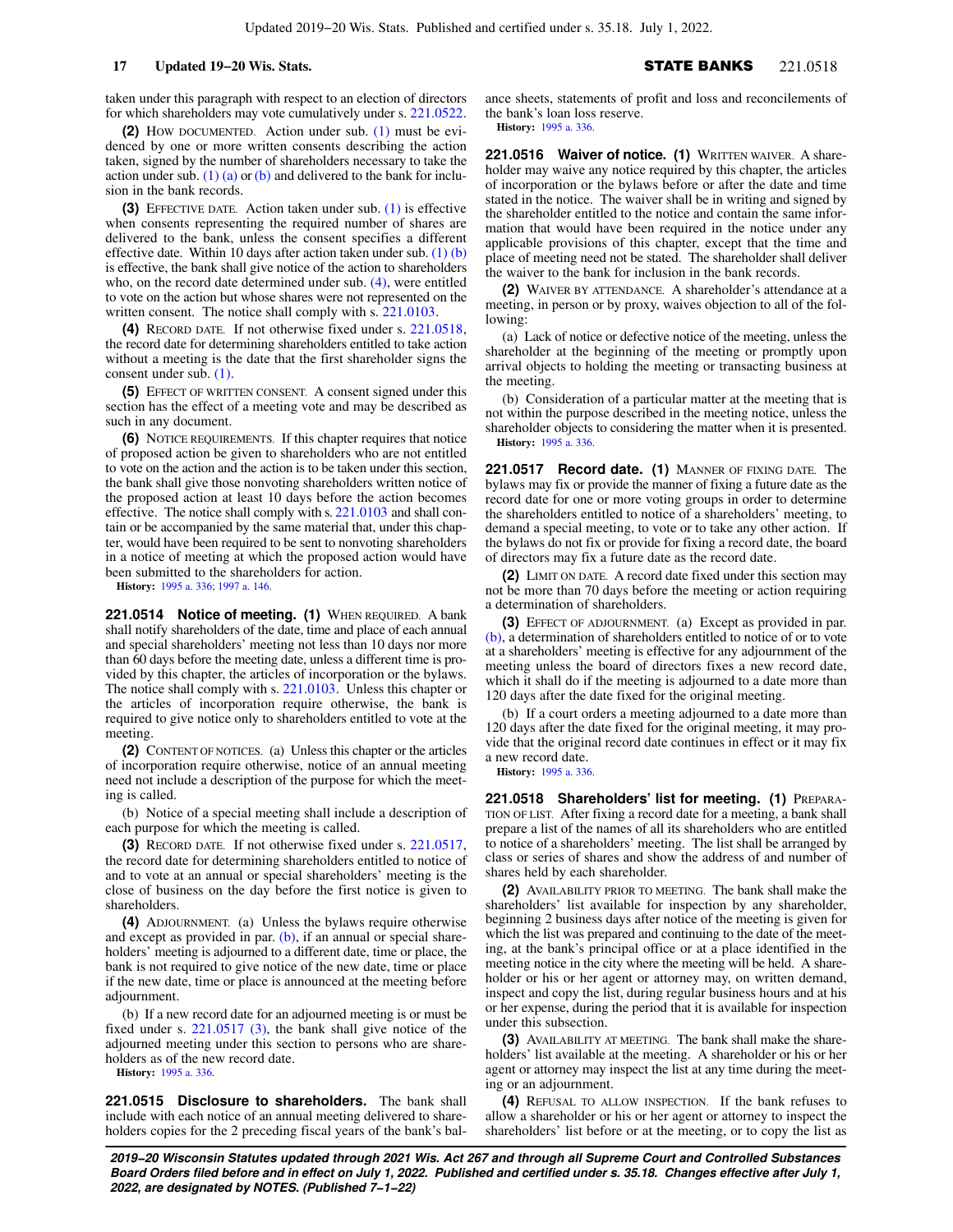taken under this paragraph with respect to an election of directors for which shareholders may vote cumulatively under s. [221.0522.](https://docs.legis.wisconsin.gov/document/statutes/221.0522)

**(2)** HOW DOCUMENTED. Action under sub. [\(1\)](https://docs.legis.wisconsin.gov/document/statutes/221.0513(1)) must be evidenced by one or more written consents describing the action taken, signed by the number of shareholders necessary to take the action under sub. [\(1\) \(a\)](https://docs.legis.wisconsin.gov/document/statutes/221.0513(1)(a)) or [\(b\)](https://docs.legis.wisconsin.gov/document/statutes/221.0513(1)(b)) and delivered to the bank for inclusion in the bank records.

**(3)** EFFECTIVE DATE. Action taken under sub. [\(1\)](https://docs.legis.wisconsin.gov/document/statutes/221.0513(1)) is effective when consents representing the required number of shares are delivered to the bank, unless the consent specifies a different effective date. Within 10 days after action taken under sub.  $(1)$  (b) is effective, the bank shall give notice of the action to shareholders who, on the record date determined under sub. [\(4\),](https://docs.legis.wisconsin.gov/document/statutes/221.0513(4)) were entitled to vote on the action but whose shares were not represented on the written consent. The notice shall comply with s. [221.0103.](https://docs.legis.wisconsin.gov/document/statutes/221.0103)

**(4)** RECORD DATE. If not otherwise fixed under s. [221.0518,](https://docs.legis.wisconsin.gov/document/statutes/221.0518) the record date for determining shareholders entitled to take action without a meeting is the date that the first shareholder signs the consent under sub. [\(1\)](https://docs.legis.wisconsin.gov/document/statutes/221.0513(1)).

**(5)** EFFECT OF WRITTEN CONSENT. A consent signed under this section has the effect of a meeting vote and may be described as such in any document.

**(6)** NOTICE REQUIREMENTS. If this chapter requires that notice of proposed action be given to shareholders who are not entitled to vote on the action and the action is to be taken under this section, the bank shall give those nonvoting shareholders written notice of the proposed action at least 10 days before the action becomes effective. The notice shall comply with s. [221.0103](https://docs.legis.wisconsin.gov/document/statutes/221.0103) and shall contain or be accompanied by the same material that, under this chapter, would have been required to be sent to nonvoting shareholders in a notice of meeting at which the proposed action would have been submitted to the shareholders for action.

**History:** [1995 a. 336](https://docs.legis.wisconsin.gov/document/acts/1995/336); [1997 a. 146](https://docs.legis.wisconsin.gov/document/acts/1997/146).

**221.0514 Notice of meeting. (1)** WHEN REQUIRED. A bank shall notify shareholders of the date, time and place of each annual and special shareholders' meeting not less than 10 days nor more than 60 days before the meeting date, unless a different time is provided by this chapter, the articles of incorporation or the bylaws. The notice shall comply with s. [221.0103.](https://docs.legis.wisconsin.gov/document/statutes/221.0103) Unless this chapter or the articles of incorporation require otherwise, the bank is required to give notice only to shareholders entitled to vote at the meeting.

**(2)** CONTENT OF NOTICES. (a) Unless this chapter or the articles of incorporation require otherwise, notice of an annual meeting need not include a description of the purpose for which the meeting is called.

(b) Notice of a special meeting shall include a description of each purpose for which the meeting is called.

**(3)** RECORD DATE. If not otherwise fixed under s. [221.0517,](https://docs.legis.wisconsin.gov/document/statutes/221.0517) the record date for determining shareholders entitled to notice of and to vote at an annual or special shareholders' meeting is the close of business on the day before the first notice is given to shareholders.

**(4)** ADJOURNMENT. (a) Unless the bylaws require otherwise and except as provided in par. [\(b\),](https://docs.legis.wisconsin.gov/document/statutes/221.0514(4)(b)) if an annual or special shareholders' meeting is adjourned to a different date, time or place, the bank is not required to give notice of the new date, time or place if the new date, time or place is announced at the meeting before adjournment.

(b) If a new record date for an adjourned meeting is or must be fixed under s. [221.0517 \(3\)](https://docs.legis.wisconsin.gov/document/statutes/221.0517(3)), the bank shall give notice of the adjourned meeting under this section to persons who are shareholders as of the new record date.

**History:** [1995 a. 336](https://docs.legis.wisconsin.gov/document/acts/1995/336).

**221.0515 Disclosure to shareholders.** The bank shall include with each notice of an annual meeting delivered to shareholders copies for the 2 preceding fiscal years of the bank's balance sheets, statements of profit and loss and reconcilements of the bank's loan loss reserve. **History:** [1995 a. 336.](https://docs.legis.wisconsin.gov/document/acts/1995/336)

**221.0516 Waiver of notice. (1)** WRITTEN WAIVER. A shareholder may waive any notice required by this chapter, the articles of incorporation or the bylaws before or after the date and time stated in the notice. The waiver shall be in writing and signed by the shareholder entitled to the notice and contain the same information that would have been required in the notice under any applicable provisions of this chapter, except that the time and place of meeting need not be stated. The shareholder shall deliver the waiver to the bank for inclusion in the bank records.

**(2)** WAIVER BY ATTENDANCE. A shareholder's attendance at a meeting, in person or by proxy, waives objection to all of the following:

(a) Lack of notice or defective notice of the meeting, unless the shareholder at the beginning of the meeting or promptly upon arrival objects to holding the meeting or transacting business at the meeting.

(b) Consideration of a particular matter at the meeting that is not within the purpose described in the meeting notice, unless the shareholder objects to considering the matter when it is presented. **History:** [1995 a. 336.](https://docs.legis.wisconsin.gov/document/acts/1995/336)

**221.0517 Record date. (1)** MANNER OF FIXING DATE. The bylaws may fix or provide the manner of fixing a future date as the record date for one or more voting groups in order to determine the shareholders entitled to notice of a shareholders' meeting, to demand a special meeting, to vote or to take any other action. If the bylaws do not fix or provide for fixing a record date, the board of directors may fix a future date as the record date.

**(2)** LIMIT ON DATE. A record date fixed under this section may not be more than 70 days before the meeting or action requiring a determination of shareholders.

**(3)** EFFECT OF ADJOURNMENT. (a) Except as provided in par. [\(b\),](https://docs.legis.wisconsin.gov/document/statutes/221.0517(3)(b)) a determination of shareholders entitled to notice of or to vote at a shareholders' meeting is effective for any adjournment of the meeting unless the board of directors fixes a new record date, which it shall do if the meeting is adjourned to a date more than 120 days after the date fixed for the original meeting.

(b) If a court orders a meeting adjourned to a date more than 120 days after the date fixed for the original meeting, it may provide that the original record date continues in effect or it may fix a new record date.

**History:** [1995 a. 336.](https://docs.legis.wisconsin.gov/document/acts/1995/336)

**221.0518 Shareholders' list for meeting. (1)** PREPARA-TION OF LIST. After fixing a record date for a meeting, a bank shall prepare a list of the names of all its shareholders who are entitled to notice of a shareholders' meeting. The list shall be arranged by class or series of shares and show the address of and number of shares held by each shareholder.

**(2)** AVAILABILITY PRIOR TO MEETING. The bank shall make the shareholders' list available for inspection by any shareholder, beginning 2 business days after notice of the meeting is given for which the list was prepared and continuing to the date of the meeting, at the bank's principal office or at a place identified in the meeting notice in the city where the meeting will be held. A shareholder or his or her agent or attorney may, on written demand, inspect and copy the list, during regular business hours and at his or her expense, during the period that it is available for inspection under this subsection.

**(3)** AVAILABILITY AT MEETING. The bank shall make the shareholders' list available at the meeting. A shareholder or his or her agent or attorney may inspect the list at any time during the meeting or an adjournment.

**(4)** REFUSAL TO ALLOW INSPECTION. If the bank refuses to allow a shareholder or his or her agent or attorney to inspect the shareholders' list before or at the meeting, or to copy the list as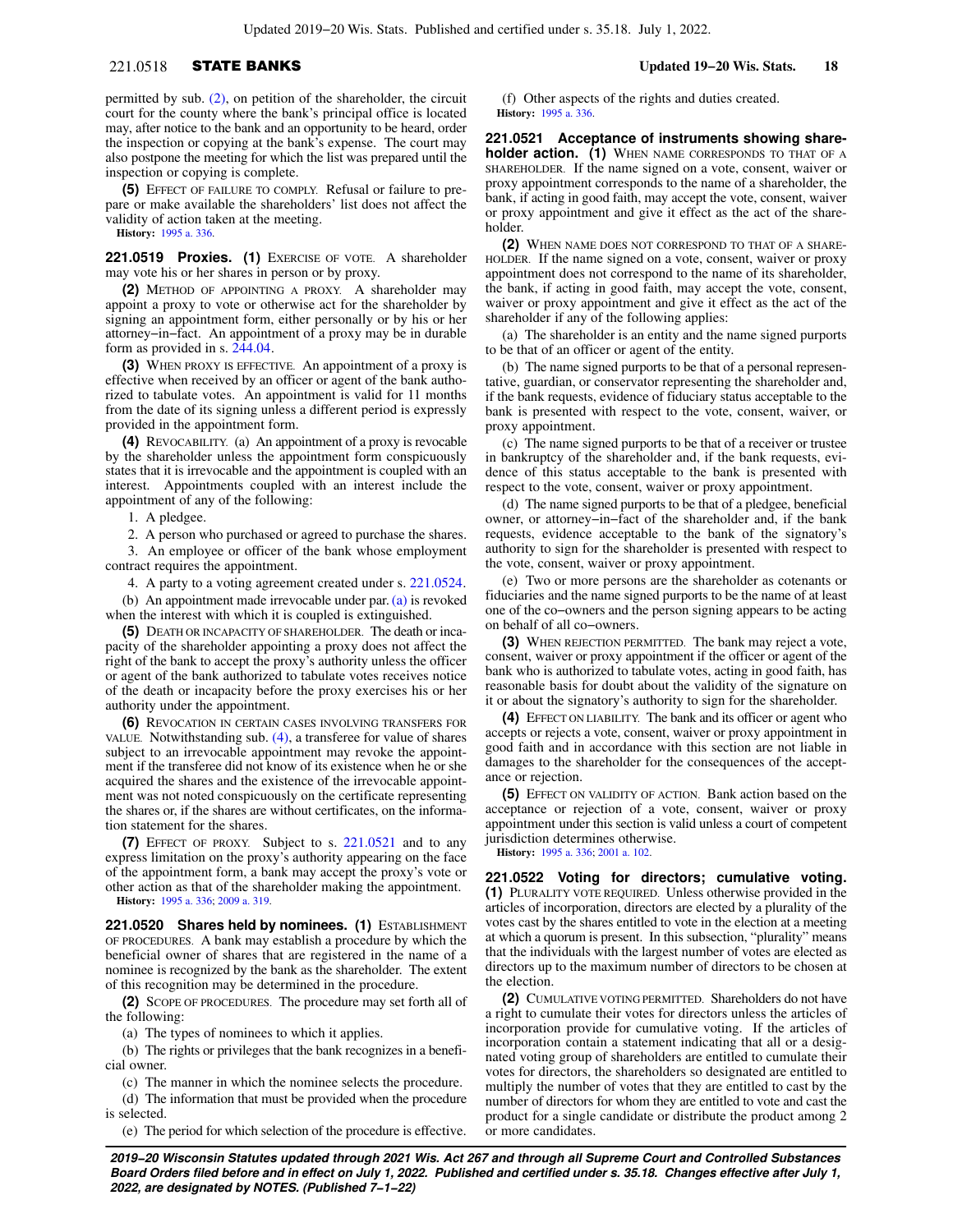## 221.0518 STATE BANKS **Updated 19−20 Wis. Stats. 18**

permitted by sub. [\(2\)](https://docs.legis.wisconsin.gov/document/statutes/221.0518(2)), on petition of the shareholder, the circuit court for the county where the bank's principal office is located may, after notice to the bank and an opportunity to be heard, order the inspection or copying at the bank's expense. The court may also postpone the meeting for which the list was prepared until the inspection or copying is complete.

**(5)** EFFECT OF FAILURE TO COMPLY. Refusal or failure to prepare or make available the shareholders' list does not affect the validity of action taken at the meeting.

**History:** [1995 a. 336](https://docs.legis.wisconsin.gov/document/acts/1995/336).

**221.0519 Proxies. (1)** EXERCISE OF VOTE. A shareholder may vote his or her shares in person or by proxy.

**(2)** METHOD OF APPOINTING A PROXY. A shareholder may appoint a proxy to vote or otherwise act for the shareholder by signing an appointment form, either personally or by his or her attorney−in−fact. An appointment of a proxy may be in durable form as provided in s. [244.04](https://docs.legis.wisconsin.gov/document/statutes/244.04).

**(3)** WHEN PROXY IS EFFECTIVE. An appointment of a proxy is effective when received by an officer or agent of the bank authorized to tabulate votes. An appointment is valid for 11 months from the date of its signing unless a different period is expressly provided in the appointment form.

**(4)** REVOCABILITY. (a) An appointment of a proxy is revocable by the shareholder unless the appointment form conspicuously states that it is irrevocable and the appointment is coupled with an interest. Appointments coupled with an interest include the appointment of any of the following:

1. A pledgee.

2. A person who purchased or agreed to purchase the shares. 3. An employee or officer of the bank whose employment

contract requires the appointment.

4. A party to a voting agreement created under s. [221.0524](https://docs.legis.wisconsin.gov/document/statutes/221.0524). (b) An appointment made irrevocable under par. [\(a\)](https://docs.legis.wisconsin.gov/document/statutes/221.0519(4)(a)) is revoked when the interest with which it is coupled is extinguished.

**(5)** DEATH OR INCAPACITY OF SHAREHOLDER. The death or incapacity of the shareholder appointing a proxy does not affect the right of the bank to accept the proxy's authority unless the officer or agent of the bank authorized to tabulate votes receives notice of the death or incapacity before the proxy exercises his or her authority under the appointment.

**(6)** REVOCATION IN CERTAIN CASES INVOLVING TRANSFERS FOR VALUE. Notwithstanding sub. [\(4\)](https://docs.legis.wisconsin.gov/document/statutes/221.0519(4)), a transferee for value of shares subject to an irrevocable appointment may revoke the appointment if the transferee did not know of its existence when he or she acquired the shares and the existence of the irrevocable appointment was not noted conspicuously on the certificate representing the shares or, if the shares are without certificates, on the information statement for the shares.

**(7)** EFFECT OF PROXY. Subject to s. [221.0521](https://docs.legis.wisconsin.gov/document/statutes/221.0521) and to any express limitation on the proxy's authority appearing on the face of the appointment form, a bank may accept the proxy's vote or other action as that of the shareholder making the appointment. **History:** [1995 a. 336](https://docs.legis.wisconsin.gov/document/acts/1995/336); [2009 a. 319](https://docs.legis.wisconsin.gov/document/acts/2009/319).

**221.0520 Shares held by nominees. (1)** ESTABLISHMENT OF PROCEDURES. A bank may establish a procedure by which the beneficial owner of shares that are registered in the name of a nominee is recognized by the bank as the shareholder. The extent of this recognition may be determined in the procedure.

**(2)** SCOPE OF PROCEDURES. The procedure may set forth all of the following:

(a) The types of nominees to which it applies.

(b) The rights or privileges that the bank recognizes in a beneficial owner.

(c) The manner in which the nominee selects the procedure.

(d) The information that must be provided when the procedure is selected.

(e) The period for which selection of the procedure is effective.

(f) Other aspects of the rights and duties created. **History:** [1995 a. 336.](https://docs.legis.wisconsin.gov/document/acts/1995/336)

**221.0521 Acceptance of instruments showing shareholder action. (1)** WHEN NAME CORRESPONDS TO THAT OF A SHAREHOLDER. If the name signed on a vote, consent, waiver or proxy appointment corresponds to the name of a shareholder, the bank, if acting in good faith, may accept the vote, consent, waiver or proxy appointment and give it effect as the act of the shareholder.

**(2)** WHEN NAME DOES NOT CORRESPOND TO THAT OF A SHARE-HOLDER. If the name signed on a vote, consent, waiver or proxy appointment does not correspond to the name of its shareholder, the bank, if acting in good faith, may accept the vote, consent, waiver or proxy appointment and give it effect as the act of the shareholder if any of the following applies:

(a) The shareholder is an entity and the name signed purports to be that of an officer or agent of the entity.

(b) The name signed purports to be that of a personal representative, guardian, or conservator representing the shareholder and, if the bank requests, evidence of fiduciary status acceptable to the bank is presented with respect to the vote, consent, waiver, or proxy appointment.

(c) The name signed purports to be that of a receiver or trustee in bankruptcy of the shareholder and, if the bank requests, evidence of this status acceptable to the bank is presented with respect to the vote, consent, waiver or proxy appointment.

(d) The name signed purports to be that of a pledgee, beneficial owner, or attorney−in−fact of the shareholder and, if the bank requests, evidence acceptable to the bank of the signatory's authority to sign for the shareholder is presented with respect to the vote, consent, waiver or proxy appointment.

(e) Two or more persons are the shareholder as cotenants or fiduciaries and the name signed purports to be the name of at least one of the co−owners and the person signing appears to be acting on behalf of all co−owners.

**(3)** WHEN REJECTION PERMITTED. The bank may reject a vote, consent, waiver or proxy appointment if the officer or agent of the bank who is authorized to tabulate votes, acting in good faith, has reasonable basis for doubt about the validity of the signature on it or about the signatory's authority to sign for the shareholder.

**(4)** EFFECT ON LIABILITY. The bank and its officer or agent who accepts or rejects a vote, consent, waiver or proxy appointment in good faith and in accordance with this section are not liable in damages to the shareholder for the consequences of the acceptance or rejection.

**(5)** EFFECT ON VALIDITY OF ACTION. Bank action based on the acceptance or rejection of a vote, consent, waiver or proxy appointment under this section is valid unless a court of competent jurisdiction determines otherwise.

**History:** [1995 a. 336;](https://docs.legis.wisconsin.gov/document/acts/1995/336) [2001 a. 102](https://docs.legis.wisconsin.gov/document/acts/2001/102).

**221.0522 Voting for directors; cumulative voting. (1)** PLURALITY VOTE REQUIRED. Unless otherwise provided in the articles of incorporation, directors are elected by a plurality of the votes cast by the shares entitled to vote in the election at a meeting at which a quorum is present. In this subsection, "plurality" means that the individuals with the largest number of votes are elected as directors up to the maximum number of directors to be chosen at the election.

**(2)** CUMULATIVE VOTING PERMITTED. Shareholders do not have a right to cumulate their votes for directors unless the articles of incorporation provide for cumulative voting. If the articles of incorporation contain a statement indicating that all or a designated voting group of shareholders are entitled to cumulate their votes for directors, the shareholders so designated are entitled to multiply the number of votes that they are entitled to cast by the number of directors for whom they are entitled to vote and cast the product for a single candidate or distribute the product among 2 or more candidates.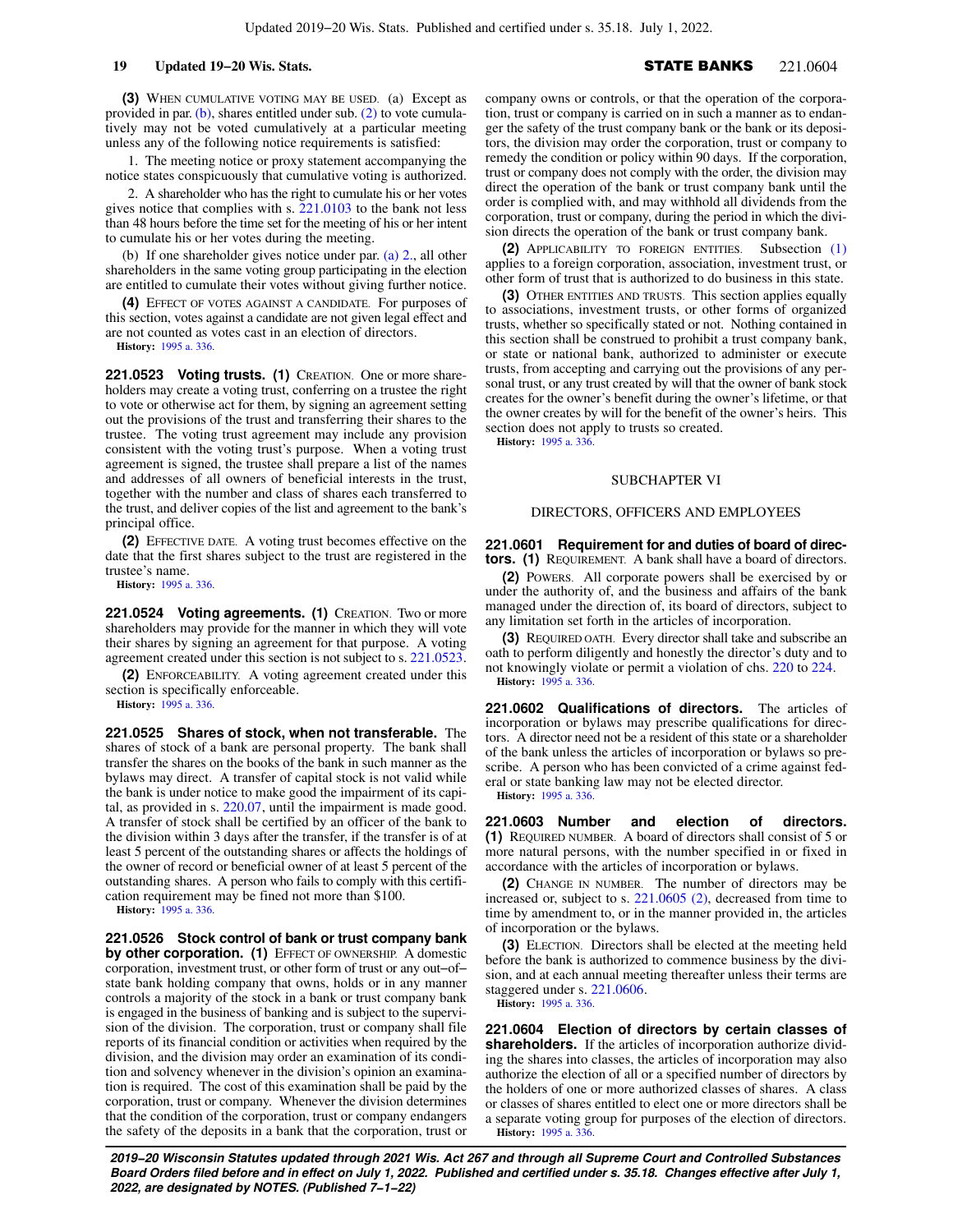**(3)** WHEN CUMULATIVE VOTING MAY BE USED. (a) Except as provided in par.  $(b)$ , shares entitled under sub.  $(2)$  to vote cumulatively may not be voted cumulatively at a particular meeting unless any of the following notice requirements is satisfied:

1. The meeting notice or proxy statement accompanying the notice states conspicuously that cumulative voting is authorized.

2. A shareholder who has the right to cumulate his or her votes gives notice that complies with s. [221.0103](https://docs.legis.wisconsin.gov/document/statutes/221.0103) to the bank not less than 48 hours before the time set for the meeting of his or her intent to cumulate his or her votes during the meeting.

(b) If one shareholder gives notice under par. [\(a\) 2.,](https://docs.legis.wisconsin.gov/document/statutes/221.0522(3)(a)2.) all other shareholders in the same voting group participating in the election are entitled to cumulate their votes without giving further notice.

**(4)** EFFECT OF VOTES AGAINST A CANDIDATE. For purposes of this section, votes against a candidate are not given legal effect and are not counted as votes cast in an election of directors.

**History:** [1995 a. 336](https://docs.legis.wisconsin.gov/document/acts/1995/336).

**221.0523 Voting trusts. (1)** CREATION. One or more shareholders may create a voting trust, conferring on a trustee the right to vote or otherwise act for them, by signing an agreement setting out the provisions of the trust and transferring their shares to the trustee. The voting trust agreement may include any provision consistent with the voting trust's purpose. When a voting trust agreement is signed, the trustee shall prepare a list of the names and addresses of all owners of beneficial interests in the trust, together with the number and class of shares each transferred to the trust, and deliver copies of the list and agreement to the bank's principal office.

**(2)** EFFECTIVE DATE. A voting trust becomes effective on the date that the first shares subject to the trust are registered in the trustee's name.

**History:** [1995 a. 336](https://docs.legis.wisconsin.gov/document/acts/1995/336).

**221.0524 Voting agreements. (1)** CREATION. Two or more shareholders may provide for the manner in which they will vote their shares by signing an agreement for that purpose. A voting agreement created under this section is not subject to s. [221.0523.](https://docs.legis.wisconsin.gov/document/statutes/221.0523)

**(2)** ENFORCEABILITY. A voting agreement created under this section is specifically enforceable.

**History:** [1995 a. 336](https://docs.legis.wisconsin.gov/document/acts/1995/336).

**221.0525 Shares of stock, when not transferable.** The shares of stock of a bank are personal property. The bank shall transfer the shares on the books of the bank in such manner as the bylaws may direct. A transfer of capital stock is not valid while the bank is under notice to make good the impairment of its capital, as provided in s. [220.07](https://docs.legis.wisconsin.gov/document/statutes/220.07), until the impairment is made good. A transfer of stock shall be certified by an officer of the bank to the division within 3 days after the transfer, if the transfer is of at least 5 percent of the outstanding shares or affects the holdings of the owner of record or beneficial owner of at least 5 percent of the outstanding shares. A person who fails to comply with this certification requirement may be fined not more than \$100.

**History:** [1995 a. 336](https://docs.legis.wisconsin.gov/document/acts/1995/336).

**221.0526 Stock control of bank or trust company bank** by other corporation. (1) EFFECT OF OWNERSHIP. A domestic corporation, investment trust, or other form of trust or any out−of− state bank holding company that owns, holds or in any manner controls a majority of the stock in a bank or trust company bank is engaged in the business of banking and is subject to the supervision of the division. The corporation, trust or company shall file reports of its financial condition or activities when required by the division, and the division may order an examination of its condition and solvency whenever in the division's opinion an examination is required. The cost of this examination shall be paid by the corporation, trust or company. Whenever the division determines that the condition of the corporation, trust or company endangers the safety of the deposits in a bank that the corporation, trust or

company owns or controls, or that the operation of the corporation, trust or company is carried on in such a manner as to endanger the safety of the trust company bank or the bank or its depositors, the division may order the corporation, trust or company to remedy the condition or policy within 90 days. If the corporation, trust or company does not comply with the order, the division may direct the operation of the bank or trust company bank until the order is complied with, and may withhold all dividends from the corporation, trust or company, during the period in which the division directs the operation of the bank or trust company bank.

**(2)** APPLICABILITY TO FOREIGN ENTITIES. Subsection [\(1\)](https://docs.legis.wisconsin.gov/document/statutes/221.0526(1)) applies to a foreign corporation, association, investment trust, or other form of trust that is authorized to do business in this state.

**(3)** OTHER ENTITIES AND TRUSTS. This section applies equally to associations, investment trusts, or other forms of organized trusts, whether so specifically stated or not. Nothing contained in this section shall be construed to prohibit a trust company bank, or state or national bank, authorized to administer or execute trusts, from accepting and carrying out the provisions of any personal trust, or any trust created by will that the owner of bank stock creates for the owner's benefit during the owner's lifetime, or that the owner creates by will for the benefit of the owner's heirs. This section does not apply to trusts so created.

**History:** [1995 a. 336.](https://docs.legis.wisconsin.gov/document/acts/1995/336)

### SUBCHAPTER VI

### DIRECTORS, OFFICERS AND EMPLOYEES

### **221.0601 Requirement for and duties of board of directors. (1)** REQUIREMENT. A bank shall have a board of directors.

**(2)** POWERS. All corporate powers shall be exercised by or under the authority of, and the business and affairs of the bank managed under the direction of, its board of directors, subject to any limitation set forth in the articles of incorporation.

**(3)** REQUIRED OATH. Every director shall take and subscribe an oath to perform diligently and honestly the director's duty and to not knowingly violate or permit a violation of chs. [220](https://docs.legis.wisconsin.gov/document/statutes/ch.%20220) to [224](https://docs.legis.wisconsin.gov/document/statutes/ch.%20224). **History:** [1995 a. 336.](https://docs.legis.wisconsin.gov/document/acts/1995/336)

**221.0602 Qualifications of directors.** The articles of incorporation or bylaws may prescribe qualifications for directors. A director need not be a resident of this state or a shareholder of the bank unless the articles of incorporation or bylaws so prescribe. A person who has been convicted of a crime against federal or state banking law may not be elected director. **History:** [1995 a. 336.](https://docs.legis.wisconsin.gov/document/acts/1995/336)

**221.0603 Number and election of directors. (1)** REQUIRED NUMBER. A board of directors shall consist of 5 or more natural persons, with the number specified in or fixed in accordance with the articles of incorporation or bylaws.

**(2)** CHANGE IN NUMBER. The number of directors may be increased or, subject to s. [221.0605 \(2\),](https://docs.legis.wisconsin.gov/document/statutes/221.0605(2)) decreased from time to time by amendment to, or in the manner provided in, the articles of incorporation or the bylaws.

**(3)** ELECTION. Directors shall be elected at the meeting held before the bank is authorized to commence business by the division, and at each annual meeting thereafter unless their terms are staggered under s. [221.0606.](https://docs.legis.wisconsin.gov/document/statutes/221.0606)

**History:** [1995 a. 336.](https://docs.legis.wisconsin.gov/document/acts/1995/336)

**221.0604 Election of directors by certain classes of shareholders.** If the articles of incorporation authorize dividing the shares into classes, the articles of incorporation may also authorize the election of all or a specified number of directors by the holders of one or more authorized classes of shares. A class or classes of shares entitled to elect one or more directors shall be a separate voting group for purposes of the election of directors. **History:** [1995 a. 336.](https://docs.legis.wisconsin.gov/document/acts/1995/336)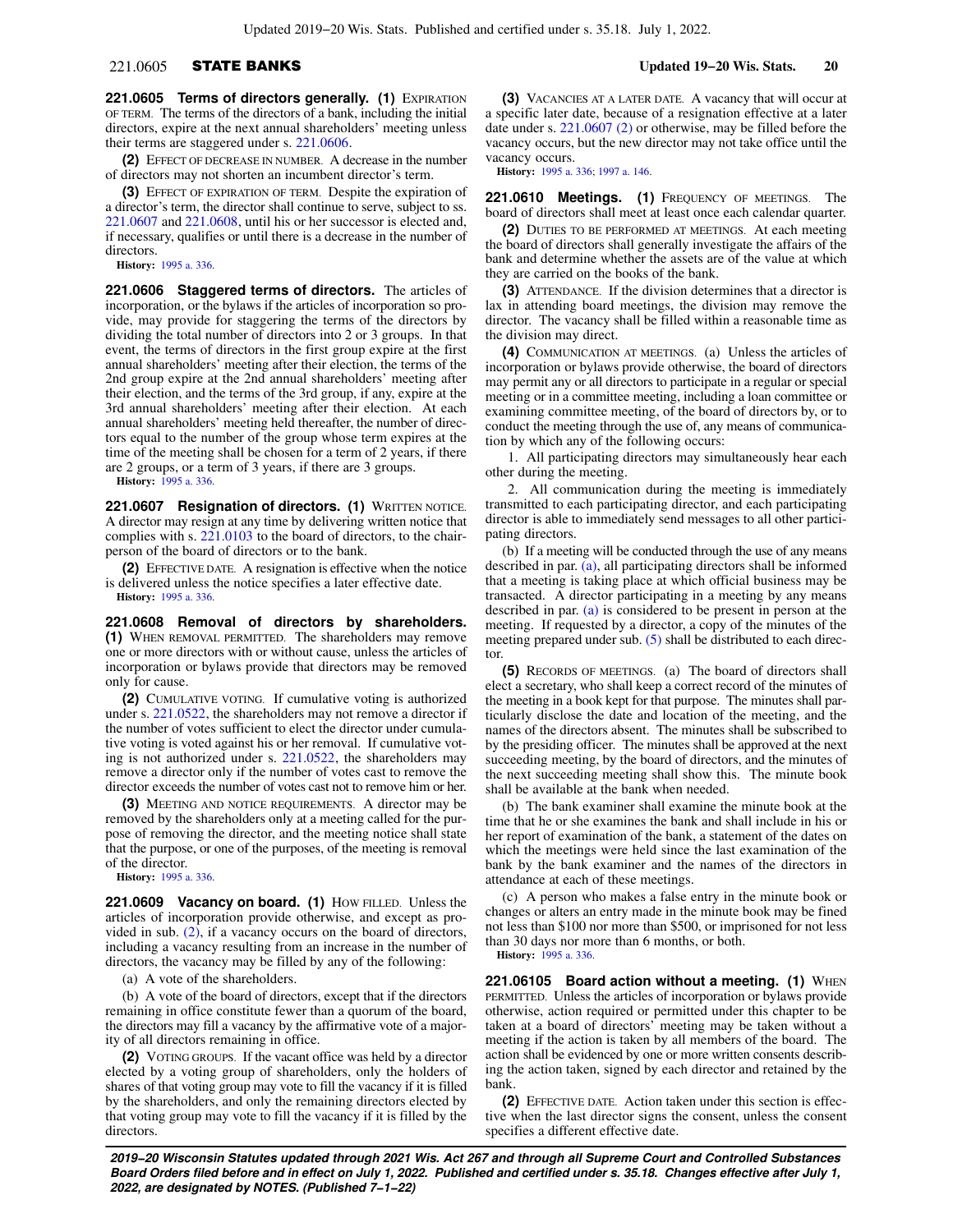## 221.0605 STATE BANKS **Updated 19−20 Wis. Stats. 20**

**221.0605 Terms of directors generally. (1)** EXPIRATION OF TERM. The terms of the directors of a bank, including the initial directors, expire at the next annual shareholders' meeting unless their terms are staggered under s. [221.0606](https://docs.legis.wisconsin.gov/document/statutes/221.0606).

**(2)** EFFECT OF DECREASE IN NUMBER. A decrease in the number of directors may not shorten an incumbent director's term.

**(3)** EFFECT OF EXPIRATION OF TERM. Despite the expiration of a director's term, the director shall continue to serve, subject to ss. [221.0607](https://docs.legis.wisconsin.gov/document/statutes/221.0607) and [221.0608](https://docs.legis.wisconsin.gov/document/statutes/221.0608), until his or her successor is elected and, if necessary, qualifies or until there is a decrease in the number of directors.

**History:** [1995 a. 336](https://docs.legis.wisconsin.gov/document/acts/1995/336).

**221.0606 Staggered terms of directors.** The articles of incorporation, or the bylaws if the articles of incorporation so provide, may provide for staggering the terms of the directors by dividing the total number of directors into 2 or 3 groups. In that event, the terms of directors in the first group expire at the first annual shareholders' meeting after their election, the terms of the 2nd group expire at the 2nd annual shareholders' meeting after their election, and the terms of the 3rd group, if any, expire at the 3rd annual shareholders' meeting after their election. At each annual shareholders' meeting held thereafter, the number of directors equal to the number of the group whose term expires at the time of the meeting shall be chosen for a term of 2 years, if there are 2 groups, or a term of 3 years, if there are 3 groups.

**History:** [1995 a. 336](https://docs.legis.wisconsin.gov/document/acts/1995/336).

**221.0607 Resignation of directors. (1)** WRITTEN NOTICE. A director may resign at any time by delivering written notice that complies with s. [221.0103](https://docs.legis.wisconsin.gov/document/statutes/221.0103) to the board of directors, to the chairperson of the board of directors or to the bank.

**(2)** EFFECTIVE DATE. A resignation is effective when the notice is delivered unless the notice specifies a later effective date. **History:** [1995 a. 336](https://docs.legis.wisconsin.gov/document/acts/1995/336).

**221.0608 Removal of directors by shareholders. (1)** WHEN REMOVAL PERMITTED. The shareholders may remove one or more directors with or without cause, unless the articles of incorporation or bylaws provide that directors may be removed only for cause.

**(2)** CUMULATIVE VOTING. If cumulative voting is authorized under s. [221.0522](https://docs.legis.wisconsin.gov/document/statutes/221.0522), the shareholders may not remove a director if the number of votes sufficient to elect the director under cumulative voting is voted against his or her removal. If cumulative voting is not authorized under s. [221.0522](https://docs.legis.wisconsin.gov/document/statutes/221.0522), the shareholders may remove a director only if the number of votes cast to remove the director exceeds the number of votes cast not to remove him or her.

**(3)** MEETING AND NOTICE REQUIREMENTS. A director may be removed by the shareholders only at a meeting called for the purpose of removing the director, and the meeting notice shall state that the purpose, or one of the purposes, of the meeting is removal of the director.

**History:** [1995 a. 336](https://docs.legis.wisconsin.gov/document/acts/1995/336).

**221.0609 Vacancy on board. (1)** HOW FILLED. Unless the articles of incorporation provide otherwise, and except as provided in sub.  $(2)$ , if a vacancy occurs on the board of directors, including a vacancy resulting from an increase in the number of directors, the vacancy may be filled by any of the following:

(a) A vote of the shareholders.

(b) A vote of the board of directors, except that if the directors remaining in office constitute fewer than a quorum of the board, the directors may fill a vacancy by the affirmative vote of a majority of all directors remaining in office.

**(2)** VOTING GROUPS. If the vacant office was held by a director elected by a voting group of shareholders, only the holders of shares of that voting group may vote to fill the vacancy if it is filled by the shareholders, and only the remaining directors elected by that voting group may vote to fill the vacancy if it is filled by the directors.

**(3)** VACANCIES AT A LATER DATE. A vacancy that will occur at a specific later date, because of a resignation effective at a later date under s. [221.0607 \(2\)](https://docs.legis.wisconsin.gov/document/statutes/221.0607(2)) or otherwise, may be filled before the vacancy occurs, but the new director may not take office until the vacancy occurs.

**History:** [1995 a. 336;](https://docs.legis.wisconsin.gov/document/acts/1995/336) [1997 a. 146](https://docs.legis.wisconsin.gov/document/acts/1997/146).

**221.0610 Meetings. (1)** FREQUENCY OF MEETINGS. The board of directors shall meet at least once each calendar quarter.

**(2)** DUTIES TO BE PERFORMED AT MEETINGS. At each meeting the board of directors shall generally investigate the affairs of the bank and determine whether the assets are of the value at which they are carried on the books of the bank.

**(3)** ATTENDANCE. If the division determines that a director is lax in attending board meetings, the division may remove the director. The vacancy shall be filled within a reasonable time as the division may direct.

**(4)** COMMUNICATION AT MEETINGS. (a) Unless the articles of incorporation or bylaws provide otherwise, the board of directors may permit any or all directors to participate in a regular or special meeting or in a committee meeting, including a loan committee or examining committee meeting, of the board of directors by, or to conduct the meeting through the use of, any means of communication by which any of the following occurs:

1. All participating directors may simultaneously hear each other during the meeting.

2. All communication during the meeting is immediately transmitted to each participating director, and each participating director is able to immediately send messages to all other participating directors.

(b) If a meeting will be conducted through the use of any means described in par. [\(a\),](https://docs.legis.wisconsin.gov/document/statutes/221.0610(4)(a)) all participating directors shall be informed that a meeting is taking place at which official business may be transacted. A director participating in a meeting by any means described in par. [\(a\)](https://docs.legis.wisconsin.gov/document/statutes/221.0610(4)(a)) is considered to be present in person at the meeting. If requested by a director, a copy of the minutes of the meeting prepared under sub. [\(5\)](https://docs.legis.wisconsin.gov/document/statutes/221.0610(5)) shall be distributed to each director.

**(5)** RECORDS OF MEETINGS. (a) The board of directors shall elect a secretary, who shall keep a correct record of the minutes of the meeting in a book kept for that purpose. The minutes shall particularly disclose the date and location of the meeting, and the names of the directors absent. The minutes shall be subscribed to by the presiding officer. The minutes shall be approved at the next succeeding meeting, by the board of directors, and the minutes of the next succeeding meeting shall show this. The minute book shall be available at the bank when needed.

(b) The bank examiner shall examine the minute book at the time that he or she examines the bank and shall include in his or her report of examination of the bank, a statement of the dates on which the meetings were held since the last examination of the bank by the bank examiner and the names of the directors in attendance at each of these meetings.

(c) A person who makes a false entry in the minute book or changes or alters an entry made in the minute book may be fined not less than \$100 nor more than \$500, or imprisoned for not less than 30 days nor more than 6 months, or both. **History:** [1995 a. 336.](https://docs.legis.wisconsin.gov/document/acts/1995/336)

**221.06105 Board action without a meeting. (1) WHEN** PERMITTED. Unless the articles of incorporation or bylaws provide otherwise, action required or permitted under this chapter to be taken at a board of directors' meeting may be taken without a meeting if the action is taken by all members of the board. The action shall be evidenced by one or more written consents describing the action taken, signed by each director and retained by the bank.

**(2)** EFFECTIVE DATE. Action taken under this section is effective when the last director signs the consent, unless the consent specifies a different effective date.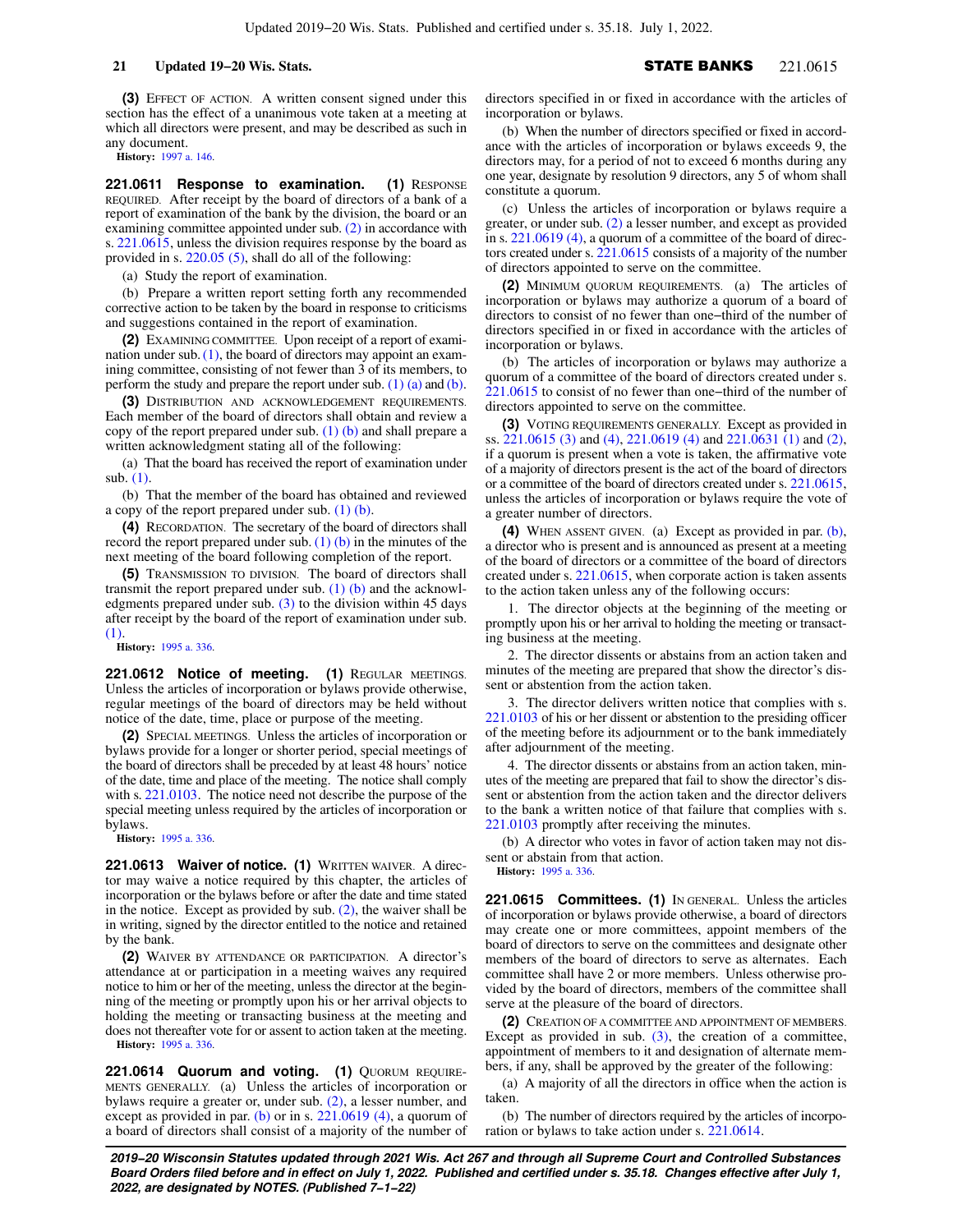**(3)** EFFECT OF ACTION. A written consent signed under this section has the effect of a unanimous vote taken at a meeting at which all directors were present, and may be described as such in any document.

**History:** [1997 a. 146](https://docs.legis.wisconsin.gov/document/acts/1997/146).

**221.0611 Response to examination. (1)** RESPONSE REQUIRED. After receipt by the board of directors of a bank of a report of examination of the bank by the division, the board or an examining committee appointed under sub. [\(2\)](https://docs.legis.wisconsin.gov/document/statutes/221.0611(2)) in accordance with s. [221.0615](https://docs.legis.wisconsin.gov/document/statutes/221.0615), unless the division requires response by the board as provided in s. [220.05 \(5\)](https://docs.legis.wisconsin.gov/document/statutes/220.05(5)), shall do all of the following:

(a) Study the report of examination.

(b) Prepare a written report setting forth any recommended corrective action to be taken by the board in response to criticisms and suggestions contained in the report of examination.

**(2)** EXAMINING COMMITTEE. Upon receipt of a report of examination under sub.  $(1)$ , the board of directors may appoint an examining committee, consisting of not fewer than 3 of its members, to perform the study and prepare the report under sub. [\(1\) \(a\)](https://docs.legis.wisconsin.gov/document/statutes/221.0611(1)(a)) and [\(b\).](https://docs.legis.wisconsin.gov/document/statutes/221.0611(1)(b))

**(3)** DISTRIBUTION AND ACKNOWLEDGEMENT REQUIREMENTS. Each member of the board of directors shall obtain and review a copy of the report prepared under sub. [\(1\) \(b\)](https://docs.legis.wisconsin.gov/document/statutes/221.0611(1)(b)) and shall prepare a written acknowledgment stating all of the following:

(a) That the board has received the report of examination under sub. [\(1\)](https://docs.legis.wisconsin.gov/document/statutes/221.0611(1)).

(b) That the member of the board has obtained and reviewed a copy of the report prepared under sub. [\(1\) \(b\)](https://docs.legis.wisconsin.gov/document/statutes/221.0611(1)(b)).

**(4)** RECORDATION. The secretary of the board of directors shall record the report prepared under sub.  $(1)$  (b) in the minutes of the next meeting of the board following completion of the report.

**(5)** TRANSMISSION TO DIVISION. The board of directors shall transmit the report prepared under sub. [\(1\) \(b\)](https://docs.legis.wisconsin.gov/document/statutes/221.0611(1)(b)) and the acknowledgments prepared under sub. [\(3\)](https://docs.legis.wisconsin.gov/document/statutes/221.0611(3)) to the division within 45 days after receipt by the board of the report of examination under sub. [\(1\)](https://docs.legis.wisconsin.gov/document/statutes/221.0611(1)).

**History:** [1995 a. 336](https://docs.legis.wisconsin.gov/document/acts/1995/336).

**221.0612 Notice of meeting. (1)** REGULAR MEETINGS. Unless the articles of incorporation or bylaws provide otherwise, regular meetings of the board of directors may be held without notice of the date, time, place or purpose of the meeting.

**(2)** SPECIAL MEETINGS. Unless the articles of incorporation or bylaws provide for a longer or shorter period, special meetings of the board of directors shall be preceded by at least 48 hours' notice of the date, time and place of the meeting. The notice shall comply with s. [221.0103](https://docs.legis.wisconsin.gov/document/statutes/221.0103). The notice need not describe the purpose of the special meeting unless required by the articles of incorporation or bylaws.

**History:** [1995 a. 336](https://docs.legis.wisconsin.gov/document/acts/1995/336).

**221.0613 Waiver of notice. (1)** WRITTEN WAIVER. A director may waive a notice required by this chapter, the articles of incorporation or the bylaws before or after the date and time stated in the notice. Except as provided by sub. [\(2\)](https://docs.legis.wisconsin.gov/document/statutes/221.0613(2)), the waiver shall be in writing, signed by the director entitled to the notice and retained by the bank.

**(2)** WAIVER BY ATTENDANCE OR PARTICIPATION. A director's attendance at or participation in a meeting waives any required notice to him or her of the meeting, unless the director at the beginning of the meeting or promptly upon his or her arrival objects to holding the meeting or transacting business at the meeting and does not thereafter vote for or assent to action taken at the meeting. **History:** [1995 a. 336](https://docs.legis.wisconsin.gov/document/acts/1995/336).

221.0614 Quorum and voting. (1) QUORUM REQUIRE-MENTS GENERALLY. (a) Unless the articles of incorporation or bylaws require a greater or, under sub. [\(2\),](https://docs.legis.wisconsin.gov/document/statutes/221.0614(2)) a lesser number, and except as provided in par. [\(b\)](https://docs.legis.wisconsin.gov/document/statutes/221.0614(1)(b)) or in s.  $221.0619$  (4), a quorum of a board of directors shall consist of a majority of the number of directors specified in or fixed in accordance with the articles of incorporation or bylaws.

(b) When the number of directors specified or fixed in accordance with the articles of incorporation or bylaws exceeds 9, the directors may, for a period of not to exceed 6 months during any one year, designate by resolution 9 directors, any 5 of whom shall constitute a quorum.

(c) Unless the articles of incorporation or bylaws require a greater, or under sub. [\(2\)](https://docs.legis.wisconsin.gov/document/statutes/221.0614(2)) a lesser number, and except as provided in s. [221.0619 \(4\),](https://docs.legis.wisconsin.gov/document/statutes/221.0619(4)) a quorum of a committee of the board of directors created under s. [221.0615](https://docs.legis.wisconsin.gov/document/statutes/221.0615) consists of a majority of the number of directors appointed to serve on the committee.

**(2)** MINIMUM QUORUM REQUIREMENTS. (a) The articles of incorporation or bylaws may authorize a quorum of a board of directors to consist of no fewer than one−third of the number of directors specified in or fixed in accordance with the articles of incorporation or bylaws.

(b) The articles of incorporation or bylaws may authorize a quorum of a committee of the board of directors created under s. [221.0615](https://docs.legis.wisconsin.gov/document/statutes/221.0615) to consist of no fewer than one−third of the number of directors appointed to serve on the committee.

**(3)** VOTING REQUIREMENTS GENERALLY. Except as provided in ss. [221.0615 \(3\)](https://docs.legis.wisconsin.gov/document/statutes/221.0615(3)) and [\(4\)](https://docs.legis.wisconsin.gov/document/statutes/221.0615(4)), [221.0619 \(4\)](https://docs.legis.wisconsin.gov/document/statutes/221.0619(4)) and [221.0631 \(1\)](https://docs.legis.wisconsin.gov/document/statutes/221.0631(1)) and [\(2\),](https://docs.legis.wisconsin.gov/document/statutes/221.0631(2)) if a quorum is present when a vote is taken, the affirmative vote of a majority of directors present is the act of the board of directors or a committee of the board of directors created under s. [221.0615,](https://docs.legis.wisconsin.gov/document/statutes/221.0615) unless the articles of incorporation or bylaws require the vote of a greater number of directors.

**(4)** WHEN ASSENT GIVEN. (a) Except as provided in par. [\(b\),](https://docs.legis.wisconsin.gov/document/statutes/221.0614(4)(b)) a director who is present and is announced as present at a meeting of the board of directors or a committee of the board of directors created under s. [221.0615,](https://docs.legis.wisconsin.gov/document/statutes/221.0615) when corporate action is taken assents to the action taken unless any of the following occurs:

1. The director objects at the beginning of the meeting or promptly upon his or her arrival to holding the meeting or transacting business at the meeting.

2. The director dissents or abstains from an action taken and minutes of the meeting are prepared that show the director's dissent or abstention from the action taken.

3. The director delivers written notice that complies with s. [221.0103](https://docs.legis.wisconsin.gov/document/statutes/221.0103) of his or her dissent or abstention to the presiding officer of the meeting before its adjournment or to the bank immediately after adjournment of the meeting.

4. The director dissents or abstains from an action taken, minutes of the meeting are prepared that fail to show the director's dissent or abstention from the action taken and the director delivers to the bank a written notice of that failure that complies with s. [221.0103](https://docs.legis.wisconsin.gov/document/statutes/221.0103) promptly after receiving the minutes.

(b) A director who votes in favor of action taken may not dissent or abstain from that action.

**History:** [1995 a. 336.](https://docs.legis.wisconsin.gov/document/acts/1995/336)

**221.0615 Committees. (1)** IN GENERAL. Unless the articles of incorporation or bylaws provide otherwise, a board of directors may create one or more committees, appoint members of the board of directors to serve on the committees and designate other members of the board of directors to serve as alternates. Each committee shall have 2 or more members. Unless otherwise provided by the board of directors, members of the committee shall serve at the pleasure of the board of directors.

**(2)** CREATION OF A COMMITTEE AND APPOINTMENT OF MEMBERS. Except as provided in sub.  $(3)$ , the creation of a committee, appointment of members to it and designation of alternate members, if any, shall be approved by the greater of the following:

(a) A majority of all the directors in office when the action is taken.

(b) The number of directors required by the articles of incorporation or bylaws to take action under s. [221.0614](https://docs.legis.wisconsin.gov/document/statutes/221.0614).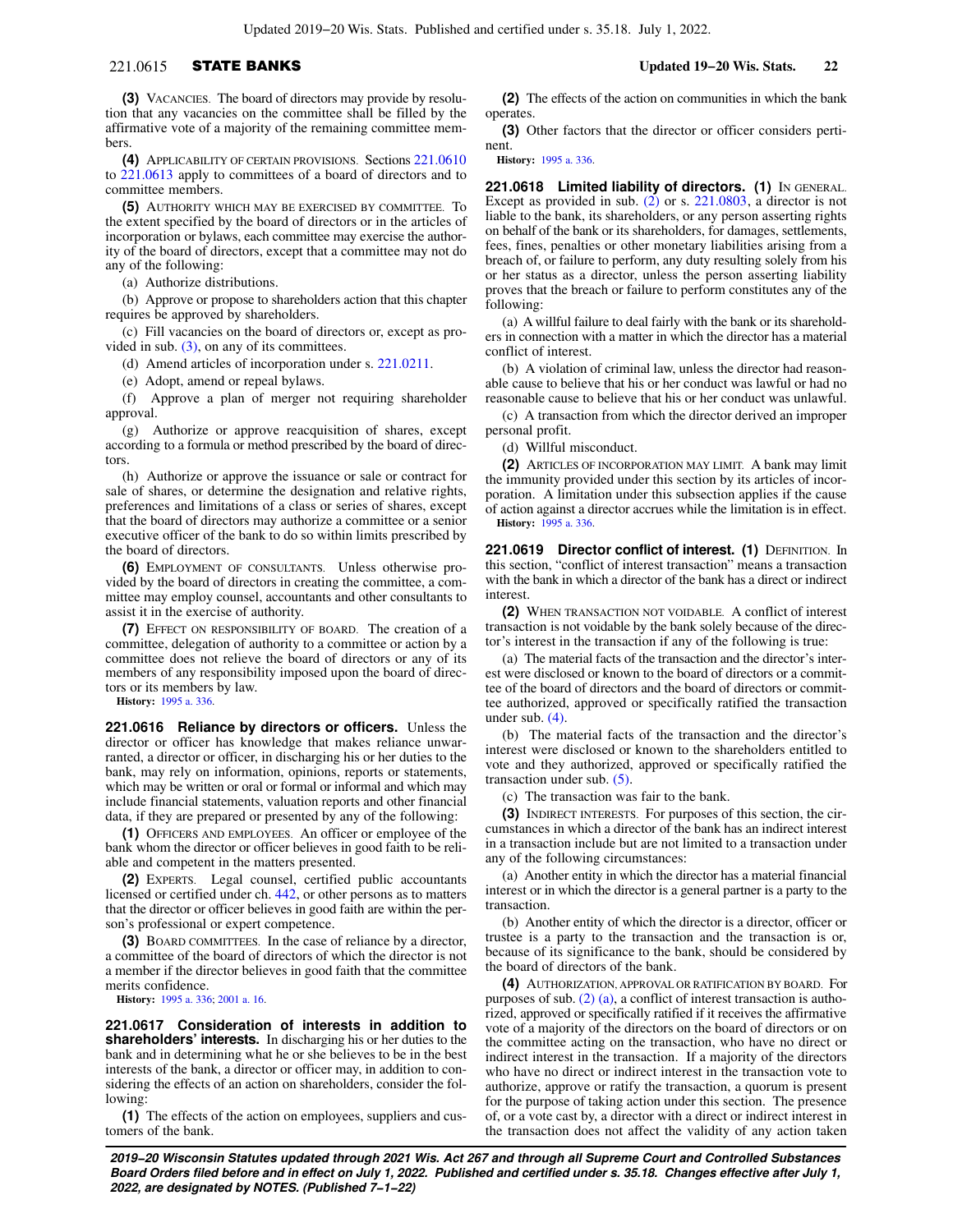## 221.0615 STATE BANKS **Updated 19−20 Wis. Stats. 22**

**(3)** VACANCIES. The board of directors may provide by resolution that any vacancies on the committee shall be filled by the affirmative vote of a majority of the remaining committee members.

**(4)** APPLICABILITY OF CERTAIN PROVISIONS. Sections [221.0610](https://docs.legis.wisconsin.gov/document/statutes/221.0610) to [221.0613](https://docs.legis.wisconsin.gov/document/statutes/221.0613) apply to committees of a board of directors and to committee members.

**(5)** AUTHORITY WHICH MAY BE EXERCISED BY COMMITTEE. To the extent specified by the board of directors or in the articles of incorporation or bylaws, each committee may exercise the authority of the board of directors, except that a committee may not do any of the following:

(a) Authorize distributions.

(b) Approve or propose to shareholders action that this chapter requires be approved by shareholders.

(c) Fill vacancies on the board of directors or, except as provided in sub.  $(3)$ , on any of its committees.

(d) Amend articles of incorporation under s. [221.0211](https://docs.legis.wisconsin.gov/document/statutes/221.0211).

(e) Adopt, amend or repeal bylaws.

(f) Approve a plan of merger not requiring shareholder approval.

(g) Authorize or approve reacquisition of shares, except according to a formula or method prescribed by the board of directors.

(h) Authorize or approve the issuance or sale or contract for sale of shares, or determine the designation and relative rights, preferences and limitations of a class or series of shares, except that the board of directors may authorize a committee or a senior executive officer of the bank to do so within limits prescribed by the board of directors.

**(6)** EMPLOYMENT OF CONSULTANTS. Unless otherwise provided by the board of directors in creating the committee, a committee may employ counsel, accountants and other consultants to assist it in the exercise of authority.

**(7)** EFFECT ON RESPONSIBILITY OF BOARD. The creation of a committee, delegation of authority to a committee or action by a committee does not relieve the board of directors or any of its members of any responsibility imposed upon the board of directors or its members by law.

**History:** [1995 a. 336](https://docs.legis.wisconsin.gov/document/acts/1995/336).

**221.0616 Reliance by directors or officers.** Unless the director or officer has knowledge that makes reliance unwarranted, a director or officer, in discharging his or her duties to the bank, may rely on information, opinions, reports or statements, which may be written or oral or formal or informal and which may include financial statements, valuation reports and other financial data, if they are prepared or presented by any of the following:

**(1)** OFFICERS AND EMPLOYEES. An officer or employee of the bank whom the director or officer believes in good faith to be reliable and competent in the matters presented.

**(2)** EXPERTS. Legal counsel, certified public accountants licensed or certified under ch. [442](https://docs.legis.wisconsin.gov/document/statutes/ch.%20442), or other persons as to matters that the director or officer believes in good faith are within the person's professional or expert competence.

**(3)** BOARD COMMITTEES. In the case of reliance by a director, a committee of the board of directors of which the director is not a member if the director believes in good faith that the committee merits confidence.

**History:** [1995 a. 336](https://docs.legis.wisconsin.gov/document/acts/1995/336); [2001 a. 16.](https://docs.legis.wisconsin.gov/document/acts/2001/16)

**221.0617 Consideration of interests in addition to shareholders' interests.** In discharging his or her duties to the bank and in determining what he or she believes to be in the best interests of the bank, a director or officer may, in addition to considering the effects of an action on shareholders, consider the following:

**(1)** The effects of the action on employees, suppliers and customers of the bank.

**(2)** The effects of the action on communities in which the bank operates

**(3)** Other factors that the director or officer considers pertinent.

**History:** [1995 a. 336.](https://docs.legis.wisconsin.gov/document/acts/1995/336)

**221.0618 Limited liability of directors. (1)** IN GENERAL. Except as provided in sub. [\(2\)](https://docs.legis.wisconsin.gov/document/statutes/221.0618(2)) or s. [221.0803](https://docs.legis.wisconsin.gov/document/statutes/221.0803), a director is not liable to the bank, its shareholders, or any person asserting rights on behalf of the bank or its shareholders, for damages, settlements, fees, fines, penalties or other monetary liabilities arising from a breach of, or failure to perform, any duty resulting solely from his or her status as a director, unless the person asserting liability proves that the breach or failure to perform constitutes any of the following:

(a) A willful failure to deal fairly with the bank or its shareholders in connection with a matter in which the director has a material conflict of interest.

(b) A violation of criminal law, unless the director had reasonable cause to believe that his or her conduct was lawful or had no reasonable cause to believe that his or her conduct was unlawful.

(c) A transaction from which the director derived an improper personal profit.

(d) Willful misconduct.

**(2)** ARTICLES OF INCORPORATION MAY LIMIT. A bank may limit the immunity provided under this section by its articles of incorporation. A limitation under this subsection applies if the cause of action against a director accrues while the limitation is in effect. **History:** [1995 a. 336.](https://docs.legis.wisconsin.gov/document/acts/1995/336)

**221.0619 Director conflict of interest. (1)** DEFINITION. In this section, "conflict of interest transaction" means a transaction with the bank in which a director of the bank has a direct or indirect interest.

**(2)** WHEN TRANSACTION NOT VOIDABLE. A conflict of interest transaction is not voidable by the bank solely because of the director's interest in the transaction if any of the following is true:

(a) The material facts of the transaction and the director's interest were disclosed or known to the board of directors or a committee of the board of directors and the board of directors or committee authorized, approved or specifically ratified the transaction under sub. [\(4\).](https://docs.legis.wisconsin.gov/document/statutes/221.0619(4))

(b) The material facts of the transaction and the director's interest were disclosed or known to the shareholders entitled to vote and they authorized, approved or specifically ratified the transaction under sub. [\(5\).](https://docs.legis.wisconsin.gov/document/statutes/221.0619(5))

(c) The transaction was fair to the bank.

**(3)** INDIRECT INTERESTS. For purposes of this section, the circumstances in which a director of the bank has an indirect interest in a transaction include but are not limited to a transaction under any of the following circumstances:

(a) Another entity in which the director has a material financial interest or in which the director is a general partner is a party to the transaction.

(b) Another entity of which the director is a director, officer or trustee is a party to the transaction and the transaction is or, because of its significance to the bank, should be considered by the board of directors of the bank.

**(4)** AUTHORIZATION, APPROVAL OR RATIFICATION BY BOARD. For purposes of sub. [\(2\) \(a\),](https://docs.legis.wisconsin.gov/document/statutes/221.0619(2)(a)) a conflict of interest transaction is authorized, approved or specifically ratified if it receives the affirmative vote of a majority of the directors on the board of directors or on the committee acting on the transaction, who have no direct or indirect interest in the transaction. If a majority of the directors who have no direct or indirect interest in the transaction vote to authorize, approve or ratify the transaction, a quorum is present for the purpose of taking action under this section. The presence of, or a vote cast by, a director with a direct or indirect interest in the transaction does not affect the validity of any action taken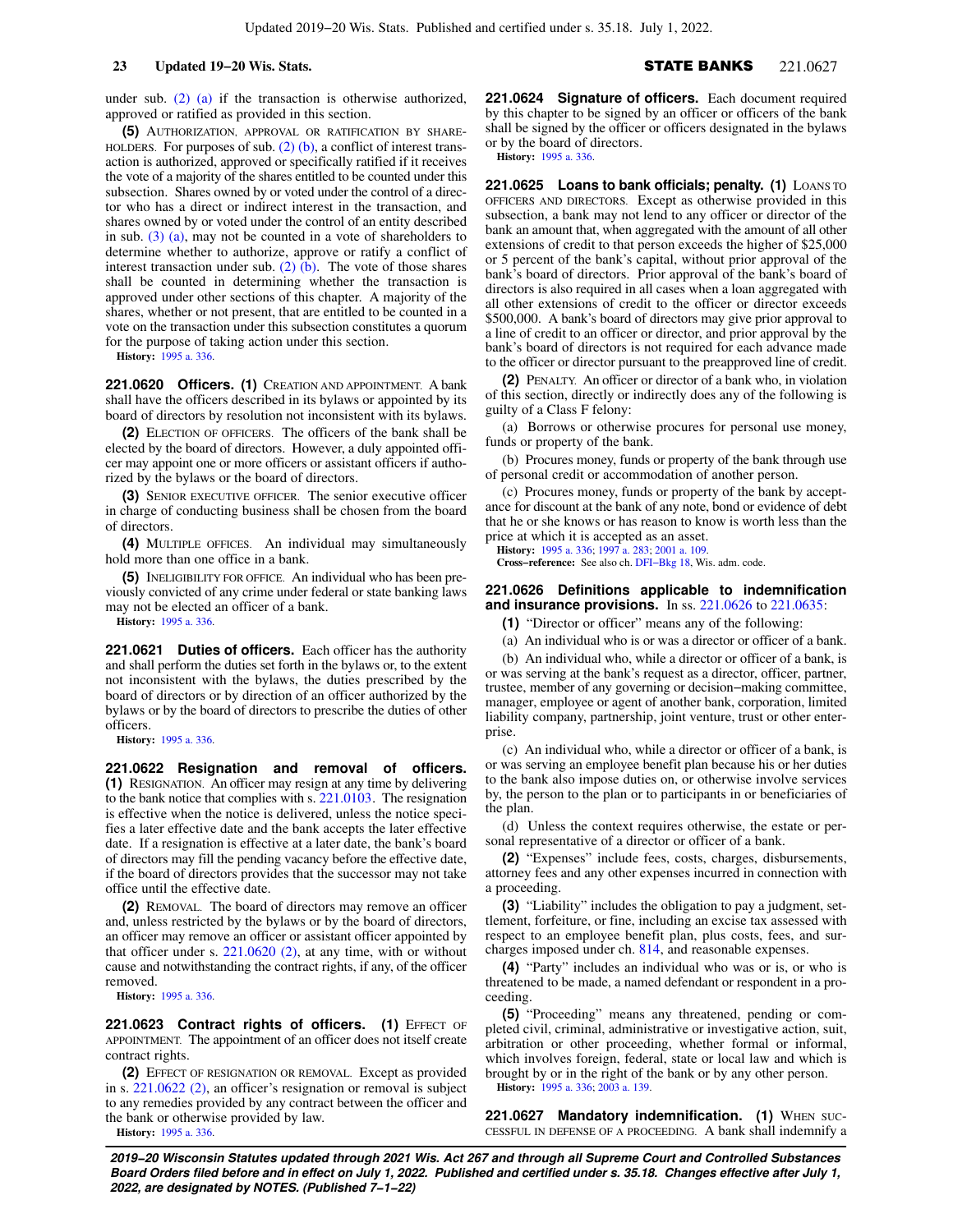under sub. [\(2\) \(a\)](https://docs.legis.wisconsin.gov/document/statutes/221.0619(2)(a)) if the transaction is otherwise authorized, approved or ratified as provided in this section.

**(5)** AUTHORIZATION, APPROVAL OR RATIFICATION BY SHARE-HOLDERS. For purposes of sub.  $(2)$  (b), a conflict of interest transaction is authorized, approved or specifically ratified if it receives the vote of a majority of the shares entitled to be counted under this subsection. Shares owned by or voted under the control of a director who has a direct or indirect interest in the transaction, and shares owned by or voted under the control of an entity described in sub. [\(3\) \(a\),](https://docs.legis.wisconsin.gov/document/statutes/221.0619(3)(a)) may not be counted in a vote of shareholders to determine whether to authorize, approve or ratify a conflict of interest transaction under sub. [\(2\) \(b\)](https://docs.legis.wisconsin.gov/document/statutes/221.0619(2)(b)). The vote of those shares shall be counted in determining whether the transaction is approved under other sections of this chapter. A majority of the shares, whether or not present, that are entitled to be counted in a vote on the transaction under this subsection constitutes a quorum for the purpose of taking action under this section.

**History:** [1995 a. 336](https://docs.legis.wisconsin.gov/document/acts/1995/336).

**221.0620 Officers. (1)** CREATION AND APPOINTMENT. A bank shall have the officers described in its bylaws or appointed by its board of directors by resolution not inconsistent with its bylaws.

**(2)** ELECTION OF OFFICERS. The officers of the bank shall be elected by the board of directors. However, a duly appointed officer may appoint one or more officers or assistant officers if authorized by the bylaws or the board of directors.

**(3)** SENIOR EXECUTIVE OFFICER. The senior executive officer in charge of conducting business shall be chosen from the board of directors.

**(4)** MULTIPLE OFFICES. An individual may simultaneously hold more than one office in a bank.

**(5)** INELIGIBILITY FOR OFFICE. An individual who has been previously convicted of any crime under federal or state banking laws may not be elected an officer of a bank.

**History:** [1995 a. 336](https://docs.legis.wisconsin.gov/document/acts/1995/336).

**221.0621 Duties of officers.** Each officer has the authority and shall perform the duties set forth in the bylaws or, to the extent not inconsistent with the bylaws, the duties prescribed by the board of directors or by direction of an officer authorized by the bylaws or by the board of directors to prescribe the duties of other officers.

**History:** [1995 a. 336](https://docs.legis.wisconsin.gov/document/acts/1995/336).

**221.0622 Resignation and removal of officers. (1)** RESIGNATION. An officer may resign at any time by delivering to the bank notice that complies with s. [221.0103](https://docs.legis.wisconsin.gov/document/statutes/221.0103). The resignation is effective when the notice is delivered, unless the notice specifies a later effective date and the bank accepts the later effective date. If a resignation is effective at a later date, the bank's board of directors may fill the pending vacancy before the effective date, if the board of directors provides that the successor may not take office until the effective date.

**(2)** REMOVAL. The board of directors may remove an officer and, unless restricted by the bylaws or by the board of directors, an officer may remove an officer or assistant officer appointed by that officer under s.  $221.0620$  (2), at any time, with or without cause and notwithstanding the contract rights, if any, of the officer removed.

**History:** [1995 a. 336](https://docs.legis.wisconsin.gov/document/acts/1995/336).

**221.0623 Contract rights of officers. (1) EFFECT OF** APPOINTMENT. The appointment of an officer does not itself create contract rights.

**(2)** EFFECT OF RESIGNATION OR REMOVAL. Except as provided in s. [221.0622 \(2\),](https://docs.legis.wisconsin.gov/document/statutes/221.0622(2)) an officer's resignation or removal is subject to any remedies provided by any contract between the officer and the bank or otherwise provided by law.

**History:** [1995 a. 336](https://docs.legis.wisconsin.gov/document/acts/1995/336).

**221.0624 Signature of officers.** Each document required by this chapter to be signed by an officer or officers of the bank shall be signed by the officer or officers designated in the bylaws or by the board of directors.

**History:** [1995 a. 336.](https://docs.legis.wisconsin.gov/document/acts/1995/336)

**221.0625 Loans to bank officials; penalty. (1)** LOANS TO OFFICERS AND DIRECTORS. Except as otherwise provided in this subsection, a bank may not lend to any officer or director of the bank an amount that, when aggregated with the amount of all other extensions of credit to that person exceeds the higher of \$25,000 or 5 percent of the bank's capital, without prior approval of the bank's board of directors. Prior approval of the bank's board of directors is also required in all cases when a loan aggregated with all other extensions of credit to the officer or director exceeds \$500,000. A bank's board of directors may give prior approval to a line of credit to an officer or director, and prior approval by the bank's board of directors is not required for each advance made to the officer or director pursuant to the preapproved line of credit.

**(2)** PENALTY. An officer or director of a bank who, in violation of this section, directly or indirectly does any of the following is guilty of a Class F felony:

(a) Borrows or otherwise procures for personal use money, funds or property of the bank.

(b) Procures money, funds or property of the bank through use of personal credit or accommodation of another person.

(c) Procures money, funds or property of the bank by acceptance for discount at the bank of any note, bond or evidence of debt that he or she knows or has reason to know is worth less than the price at which it is accepted as an asset.

**History:** [1995 a. 336;](https://docs.legis.wisconsin.gov/document/acts/1995/336) [1997 a. 283](https://docs.legis.wisconsin.gov/document/acts/1997/283); [2001 a. 109.](https://docs.legis.wisconsin.gov/document/acts/2001/109)

**Cross−reference:** See also ch. [DFI−Bkg 18,](https://docs.legis.wisconsin.gov/document/administrativecode/ch.%20DFI-Bkg%2018) Wis. adm. code.

### **221.0626 Definitions applicable to indemnification and insurance provisions.** In ss. [221.0626](https://docs.legis.wisconsin.gov/document/statutes/221.0626) to [221.0635](https://docs.legis.wisconsin.gov/document/statutes/221.0635):

**(1)** "Director or officer" means any of the following:

(a) An individual who is or was a director or officer of a bank.

(b) An individual who, while a director or officer of a bank, is

or was serving at the bank's request as a director, officer, partner, trustee, member of any governing or decision−making committee, manager, employee or agent of another bank, corporation, limited liability company, partnership, joint venture, trust or other enterprise.

(c) An individual who, while a director or officer of a bank, is or was serving an employee benefit plan because his or her duties to the bank also impose duties on, or otherwise involve services by, the person to the plan or to participants in or beneficiaries of the plan.

(d) Unless the context requires otherwise, the estate or personal representative of a director or officer of a bank.

**(2)** "Expenses" include fees, costs, charges, disbursements, attorney fees and any other expenses incurred in connection with a proceeding.

**(3)** "Liability" includes the obligation to pay a judgment, settlement, forfeiture, or fine, including an excise tax assessed with respect to an employee benefit plan, plus costs, fees, and surcharges imposed under ch. [814](https://docs.legis.wisconsin.gov/document/statutes/ch.%20814), and reasonable expenses.

**(4)** "Party" includes an individual who was or is, or who is threatened to be made, a named defendant or respondent in a proceeding.

**(5)** "Proceeding" means any threatened, pending or completed civil, criminal, administrative or investigative action, suit, arbitration or other proceeding, whether formal or informal, which involves foreign, federal, state or local law and which is brought by or in the right of the bank or by any other person. **History:** [1995 a. 336;](https://docs.legis.wisconsin.gov/document/acts/1995/336) [2003 a. 139](https://docs.legis.wisconsin.gov/document/acts/2003/139).

**221.0627 Mandatory indemnification. (1)** WHEN SUC-CESSFUL IN DEFENSE OF A PROCEEDING. A bank shall indemnify a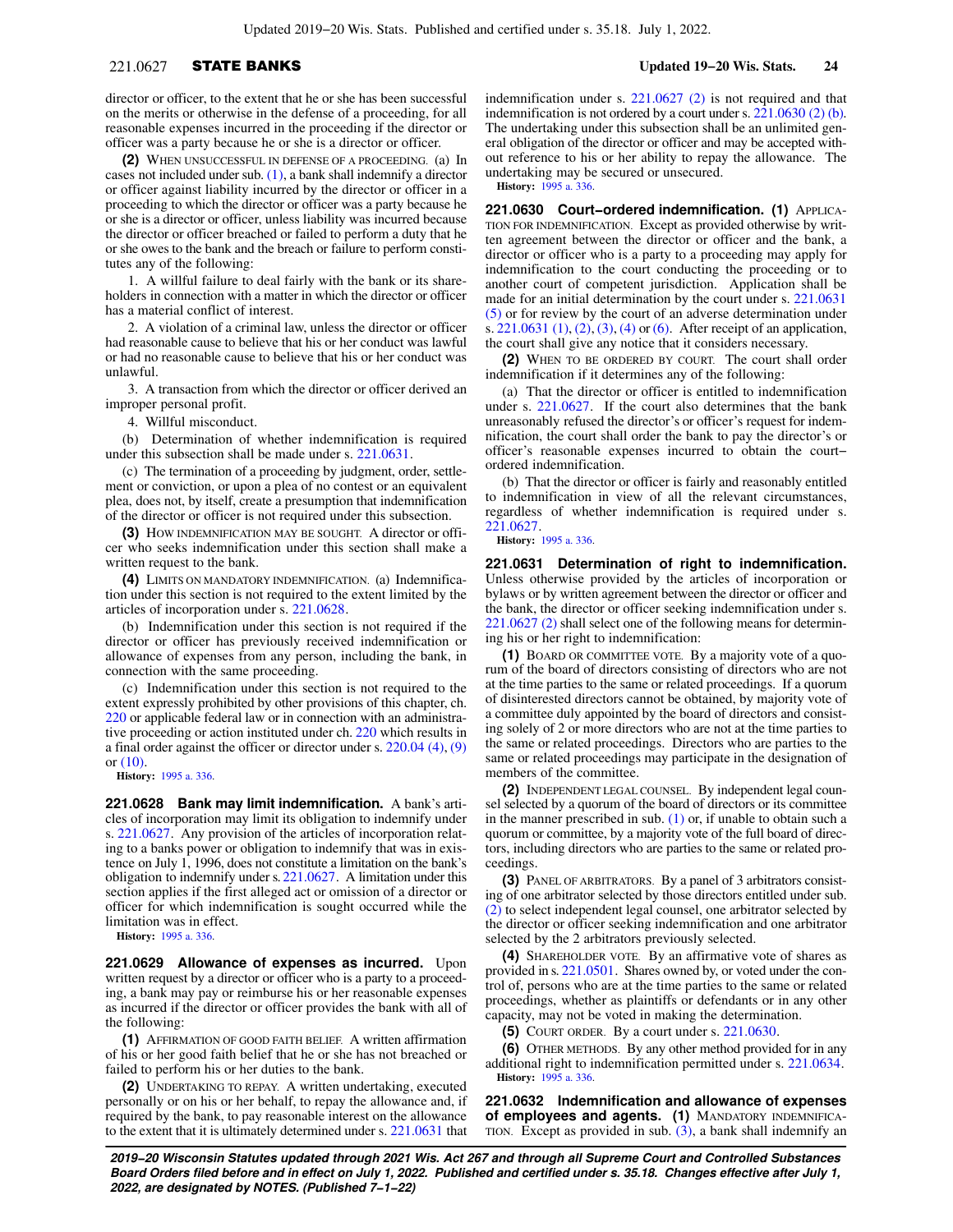## 221.0627 STATE BANKS **Updated 19−20 Wis. Stats. 24**

director or officer, to the extent that he or she has been successful on the merits or otherwise in the defense of a proceeding, for all reasonable expenses incurred in the proceeding if the director or officer was a party because he or she is a director or officer.

**(2)** WHEN UNSUCCESSFUL IN DEFENSE OF A PROCEEDING. (a) In cases not included under sub. [\(1\)](https://docs.legis.wisconsin.gov/document/statutes/221.0627(1)), a bank shall indemnify a director or officer against liability incurred by the director or officer in a proceeding to which the director or officer was a party because he or she is a director or officer, unless liability was incurred because the director or officer breached or failed to perform a duty that he or she owes to the bank and the breach or failure to perform constitutes any of the following:

1. A willful failure to deal fairly with the bank or its shareholders in connection with a matter in which the director or officer has a material conflict of interest.

2. A violation of a criminal law, unless the director or officer had reasonable cause to believe that his or her conduct was lawful or had no reasonable cause to believe that his or her conduct was unlawful.

3. A transaction from which the director or officer derived an improper personal profit.

4. Willful misconduct.

(b) Determination of whether indemnification is required under this subsection shall be made under s. [221.0631](https://docs.legis.wisconsin.gov/document/statutes/221.0631).

(c) The termination of a proceeding by judgment, order, settlement or conviction, or upon a plea of no contest or an equivalent plea, does not, by itself, create a presumption that indemnification of the director or officer is not required under this subsection.

**(3)** HOW INDEMNIFICATION MAY BE SOUGHT. A director or officer who seeks indemnification under this section shall make a written request to the bank.

**(4)** LIMITS ON MANDATORY INDEMNIFICATION. (a) Indemnification under this section is not required to the extent limited by the articles of incorporation under s. [221.0628.](https://docs.legis.wisconsin.gov/document/statutes/221.0628)

(b) Indemnification under this section is not required if the director or officer has previously received indemnification or allowance of expenses from any person, including the bank, in connection with the same proceeding.

(c) Indemnification under this section is not required to the extent expressly prohibited by other provisions of this chapter, ch. [220](https://docs.legis.wisconsin.gov/document/statutes/ch.%20220) or applicable federal law or in connection with an administrative proceeding or action instituted under ch. [220](https://docs.legis.wisconsin.gov/document/statutes/ch.%20220) which results in a final order against the officer or director under s. [220.04 \(4\)](https://docs.legis.wisconsin.gov/document/statutes/220.04(4)), [\(9\)](https://docs.legis.wisconsin.gov/document/statutes/220.04(9)) or [\(10\).](https://docs.legis.wisconsin.gov/document/statutes/220.04(10))

**History:** [1995 a. 336](https://docs.legis.wisconsin.gov/document/acts/1995/336).

**221.0628 Bank may limit indemnification.** A bank's articles of incorporation may limit its obligation to indemnify under s. [221.0627.](https://docs.legis.wisconsin.gov/document/statutes/221.0627) Any provision of the articles of incorporation relating to a banks power or obligation to indemnify that was in existence on July 1, 1996, does not constitute a limitation on the bank's obligation to indemnify under s. [221.0627.](https://docs.legis.wisconsin.gov/document/statutes/221.0627) A limitation under this section applies if the first alleged act or omission of a director or officer for which indemnification is sought occurred while the limitation was in effect.

**History:** [1995 a. 336](https://docs.legis.wisconsin.gov/document/acts/1995/336).

**221.0629 Allowance of expenses as incurred.** Upon written request by a director or officer who is a party to a proceeding, a bank may pay or reimburse his or her reasonable expenses as incurred if the director or officer provides the bank with all of the following:

**(1)** AFFIRMATION OF GOOD FAITH BELIEF. A written affirmation of his or her good faith belief that he or she has not breached or failed to perform his or her duties to the bank.

**(2)** UNDERTAKING TO REPAY. A written undertaking, executed personally or on his or her behalf, to repay the allowance and, if required by the bank, to pay reasonable interest on the allowance to the extent that it is ultimately determined under s. [221.0631](https://docs.legis.wisconsin.gov/document/statutes/221.0631) that

indemnification under s. [221.0627 \(2\)](https://docs.legis.wisconsin.gov/document/statutes/221.0627(2)) is not required and that indemnification is not ordered by a court under s. [221.0630 \(2\) \(b\).](https://docs.legis.wisconsin.gov/document/statutes/221.0630(2)(b)) The undertaking under this subsection shall be an unlimited general obligation of the director or officer and may be accepted without reference to his or her ability to repay the allowance. The undertaking may be secured or unsecured.

**History:** [1995 a. 336.](https://docs.legis.wisconsin.gov/document/acts/1995/336)

**221.0630 Court−ordered indemnification. (1)** APPLICA-TION FOR INDEMNIFICATION. Except as provided otherwise by written agreement between the director or officer and the bank, a director or officer who is a party to a proceeding may apply for indemnification to the court conducting the proceeding or to another court of competent jurisdiction. Application shall be made for an initial determination by the court under s. [221.0631](https://docs.legis.wisconsin.gov/document/statutes/221.0631(5)) [\(5\)](https://docs.legis.wisconsin.gov/document/statutes/221.0631(5)) or for review by the court of an adverse determination under s. [221.0631 \(1\)](https://docs.legis.wisconsin.gov/document/statutes/221.0631(1)), [\(2\),](https://docs.legis.wisconsin.gov/document/statutes/221.0631(2)) [\(3\)](https://docs.legis.wisconsin.gov/document/statutes/221.0631(3)), [\(4\)](https://docs.legis.wisconsin.gov/document/statutes/221.0631(4)) or [\(6\)](https://docs.legis.wisconsin.gov/document/statutes/221.0631(6)). After receipt of an application, the court shall give any notice that it considers necessary.

**(2)** WHEN TO BE ORDERED BY COURT. The court shall order indemnification if it determines any of the following:

(a) That the director or officer is entitled to indemnification under s. [221.0627](https://docs.legis.wisconsin.gov/document/statutes/221.0627). If the court also determines that the bank unreasonably refused the director's or officer's request for indemnification, the court shall order the bank to pay the director's or officer's reasonable expenses incurred to obtain the court− ordered indemnification.

(b) That the director or officer is fairly and reasonably entitled to indemnification in view of all the relevant circumstances, regardless of whether indemnification is required under s. [221.0627.](https://docs.legis.wisconsin.gov/document/statutes/221.0627)

**History:** [1995 a. 336.](https://docs.legis.wisconsin.gov/document/acts/1995/336)

**221.0631 Determination of right to indemnification.** Unless otherwise provided by the articles of incorporation or bylaws or by written agreement between the director or officer and the bank, the director or officer seeking indemnification under s. [221.0627 \(2\)](https://docs.legis.wisconsin.gov/document/statutes/221.0627(2)) shall select one of the following means for determining his or her right to indemnification:

**(1)** BOARD OR COMMITTEE VOTE. By a majority vote of a quorum of the board of directors consisting of directors who are not at the time parties to the same or related proceedings. If a quorum of disinterested directors cannot be obtained, by majority vote of a committee duly appointed by the board of directors and consisting solely of 2 or more directors who are not at the time parties to the same or related proceedings. Directors who are parties to the same or related proceedings may participate in the designation of members of the committee.

**(2)** INDEPENDENT LEGAL COUNSEL. By independent legal counsel selected by a quorum of the board of directors or its committee in the manner prescribed in sub.  $(1)$  or, if unable to obtain such a quorum or committee, by a majority vote of the full board of directors, including directors who are parties to the same or related proceedings.

**(3)** PANEL OF ARBITRATORS. By a panel of 3 arbitrators consisting of one arbitrator selected by those directors entitled under sub. [\(2\)](https://docs.legis.wisconsin.gov/document/statutes/221.0631(2)) to select independent legal counsel, one arbitrator selected by the director or officer seeking indemnification and one arbitrator selected by the 2 arbitrators previously selected.

**(4)** SHAREHOLDER VOTE. By an affirmative vote of shares as provided in s. [221.0501](https://docs.legis.wisconsin.gov/document/statutes/221.0501). Shares owned by, or voted under the control of, persons who are at the time parties to the same or related proceedings, whether as plaintiffs or defendants or in any other capacity, may not be voted in making the determination.

**(5)** COURT ORDER. By a court under s. [221.0630](https://docs.legis.wisconsin.gov/document/statutes/221.0630).

**(6)** OTHER METHODS. By any other method provided for in any additional right to indemnification permitted under s. [221.0634](https://docs.legis.wisconsin.gov/document/statutes/221.0634). **History:** [1995 a. 336.](https://docs.legis.wisconsin.gov/document/acts/1995/336)

**221.0632 Indemnification and allowance of expenses of employees and agents. (1)** MANDATORY INDEMNIFICA-TION. Except as provided in sub.  $(3)$ , a bank shall indemnify an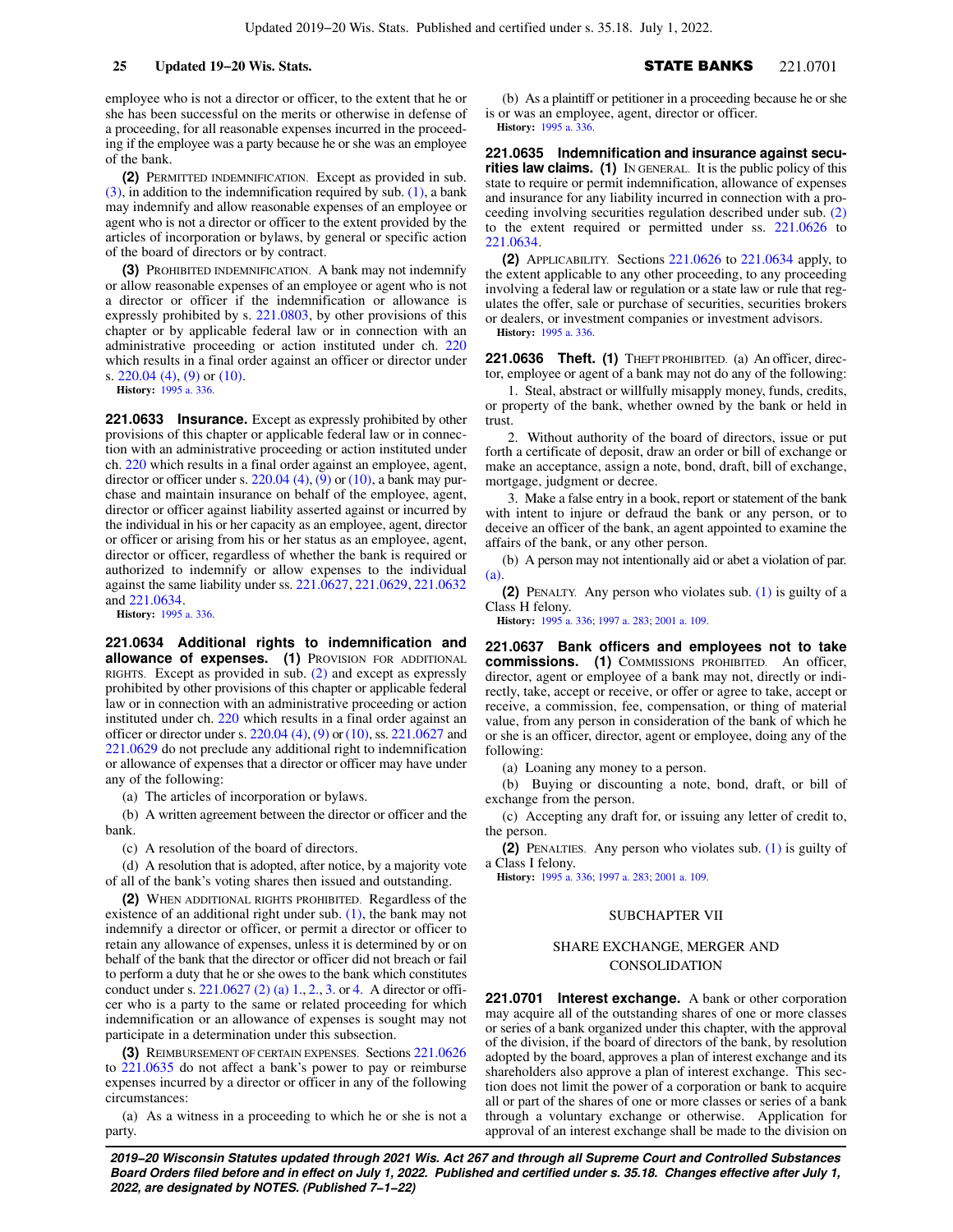employee who is not a director or officer, to the extent that he or she has been successful on the merits or otherwise in defense of a proceeding, for all reasonable expenses incurred in the proceeding if the employee was a party because he or she was an employee of the bank.

**(2)** PERMITTED INDEMNIFICATION. Except as provided in sub.  $(3)$ , in addition to the indemnification required by sub.  $(1)$ , a bank may indemnify and allow reasonable expenses of an employee or agent who is not a director or officer to the extent provided by the articles of incorporation or bylaws, by general or specific action of the board of directors or by contract.

**(3)** PROHIBITED INDEMNIFICATION. A bank may not indemnify or allow reasonable expenses of an employee or agent who is not a director or officer if the indemnification or allowance is expressly prohibited by s. [221.0803,](https://docs.legis.wisconsin.gov/document/statutes/221.0803) by other provisions of this chapter or by applicable federal law or in connection with an administrative proceeding or action instituted under ch. [220](https://docs.legis.wisconsin.gov/document/statutes/ch.%20220) which results in a final order against an officer or director under s. [220.04 \(4\),](https://docs.legis.wisconsin.gov/document/statutes/220.04(4)) [\(9\)](https://docs.legis.wisconsin.gov/document/statutes/220.04(9)) or [\(10\).](https://docs.legis.wisconsin.gov/document/statutes/220.04(10))

**History:** [1995 a. 336](https://docs.legis.wisconsin.gov/document/acts/1995/336).

**221.0633 Insurance.** Except as expressly prohibited by other provisions of this chapter or applicable federal law or in connection with an administrative proceeding or action instituted under ch. [220](https://docs.legis.wisconsin.gov/document/statutes/ch.%20220) which results in a final order against an employee, agent, director or officer under s.  $220.04$  (4), [\(9\)](https://docs.legis.wisconsin.gov/document/statutes/220.04(9)) or [\(10\),](https://docs.legis.wisconsin.gov/document/statutes/220.04(10)) a bank may purchase and maintain insurance on behalf of the employee, agent, director or officer against liability asserted against or incurred by the individual in his or her capacity as an employee, agent, director or officer or arising from his or her status as an employee, agent, director or officer, regardless of whether the bank is required or authorized to indemnify or allow expenses to the individual against the same liability under ss. [221.0627](https://docs.legis.wisconsin.gov/document/statutes/221.0627), [221.0629](https://docs.legis.wisconsin.gov/document/statutes/221.0629), [221.0632](https://docs.legis.wisconsin.gov/document/statutes/221.0632) and [221.0634](https://docs.legis.wisconsin.gov/document/statutes/221.0634).

**History:** [1995 a. 336](https://docs.legis.wisconsin.gov/document/acts/1995/336).

**221.0634 Additional rights to indemnification and allowance of expenses. (1)** PROVISION FOR ADDITIONAL RIGHTS. Except as provided in sub. [\(2\)](https://docs.legis.wisconsin.gov/document/statutes/221.0634(2)) and except as expressly prohibited by other provisions of this chapter or applicable federal law or in connection with an administrative proceeding or action instituted under ch. [220](https://docs.legis.wisconsin.gov/document/statutes/ch.%20220) which results in a final order against an officer or director under s. [220.04 \(4\),](https://docs.legis.wisconsin.gov/document/statutes/220.04(4)) [\(9\)](https://docs.legis.wisconsin.gov/document/statutes/220.04(9)) or [\(10\)](https://docs.legis.wisconsin.gov/document/statutes/220.04(10)), ss. [221.0627](https://docs.legis.wisconsin.gov/document/statutes/221.0627) and [221.0629](https://docs.legis.wisconsin.gov/document/statutes/221.0629) do not preclude any additional right to indemnification or allowance of expenses that a director or officer may have under any of the following:

(a) The articles of incorporation or bylaws.

(b) A written agreement between the director or officer and the bank.

(c) A resolution of the board of directors.

(d) A resolution that is adopted, after notice, by a majority vote of all of the bank's voting shares then issued and outstanding.

**(2)** WHEN ADDITIONAL RIGHTS PROHIBITED. Regardless of the existence of an additional right under sub. [\(1\),](https://docs.legis.wisconsin.gov/document/statutes/221.0634(1)) the bank may not indemnify a director or officer, or permit a director or officer to retain any allowance of expenses, unless it is determined by or on behalf of the bank that the director or officer did not breach or fail to perform a duty that he or she owes to the bank which constitutes conduct under s. [221.0627 \(2\) \(a\) 1.](https://docs.legis.wisconsin.gov/document/statutes/221.0627(2)(a)1.), [2.](https://docs.legis.wisconsin.gov/document/statutes/221.0627(2)(a)2.), [3.](https://docs.legis.wisconsin.gov/document/statutes/221.0627(2)(a)3.) or [4.](https://docs.legis.wisconsin.gov/document/statutes/221.0627(2)(a)4.) A director or officer who is a party to the same or related proceeding for which indemnification or an allowance of expenses is sought may not participate in a determination under this subsection.

**(3)** REIMBURSEMENT OF CERTAIN EXPENSES. Sections [221.0626](https://docs.legis.wisconsin.gov/document/statutes/221.0626) to [221.0635](https://docs.legis.wisconsin.gov/document/statutes/221.0635) do not affect a bank's power to pay or reimburse expenses incurred by a director or officer in any of the following circumstances:

(a) As a witness in a proceeding to which he or she is not a party.

(b) As a plaintiff or petitioner in a proceeding because he or she is or was an employee, agent, director or officer. **History:** [1995 a. 336.](https://docs.legis.wisconsin.gov/document/acts/1995/336)

**221.0635 Indemnification and insurance against securities law claims. (1)** IN GENERAL. It is the public policy of this state to require or permit indemnification, allowance of expenses and insurance for any liability incurred in connection with a proceeding involving securities regulation described under sub. [\(2\)](https://docs.legis.wisconsin.gov/document/statutes/221.0635(2)) to the extent required or permitted under ss. [221.0626](https://docs.legis.wisconsin.gov/document/statutes/221.0626) to [221.0634.](https://docs.legis.wisconsin.gov/document/statutes/221.0634)

**(2)** APPLICABILITY. Sections [221.0626](https://docs.legis.wisconsin.gov/document/statutes/221.0626) to [221.0634](https://docs.legis.wisconsin.gov/document/statutes/221.0634) apply, to the extent applicable to any other proceeding, to any proceeding involving a federal law or regulation or a state law or rule that regulates the offer, sale or purchase of securities, securities brokers or dealers, or investment companies or investment advisors. **History:** [1995 a. 336.](https://docs.legis.wisconsin.gov/document/acts/1995/336)

221.0636 Theft. (1) THEFT PROHIBITED. (a) An officer, director, employee or agent of a bank may not do any of the following:

1. Steal, abstract or willfully misapply money, funds, credits, or property of the bank, whether owned by the bank or held in trust.

2. Without authority of the board of directors, issue or put forth a certificate of deposit, draw an order or bill of exchange or make an acceptance, assign a note, bond, draft, bill of exchange, mortgage, judgment or decree.

3. Make a false entry in a book, report or statement of the bank with intent to injure or defraud the bank or any person, or to deceive an officer of the bank, an agent appointed to examine the affairs of the bank, or any other person.

(b) A person may not intentionally aid or abet a violation of par. [\(a\)](https://docs.legis.wisconsin.gov/document/statutes/221.0636(1)(a)).

**(2)** PENALTY. Any person who violates sub. [\(1\)](https://docs.legis.wisconsin.gov/document/statutes/221.0636(1)) is guilty of a Class H felony.

**History:** [1995 a. 336;](https://docs.legis.wisconsin.gov/document/acts/1995/336) [1997 a. 283](https://docs.legis.wisconsin.gov/document/acts/1997/283); [2001 a. 109.](https://docs.legis.wisconsin.gov/document/acts/2001/109)

**221.0637 Bank officers and employees not to take commissions. (1)** COMMISSIONS PROHIBITED. An officer, director, agent or employee of a bank may not, directly or indirectly, take, accept or receive, or offer or agree to take, accept or receive, a commission, fee, compensation, or thing of material value, from any person in consideration of the bank of which he or she is an officer, director, agent or employee, doing any of the following:

(a) Loaning any money to a person.

(b) Buying or discounting a note, bond, draft, or bill of exchange from the person.

(c) Accepting any draft for, or issuing any letter of credit to, the person.

**(2)** PENALTIES. Any person who violates sub. [\(1\)](https://docs.legis.wisconsin.gov/document/statutes/221.0637(1)) is guilty of a Class I felony.

**History:** [1995 a. 336;](https://docs.legis.wisconsin.gov/document/acts/1995/336) [1997 a. 283](https://docs.legis.wisconsin.gov/document/acts/1997/283); [2001 a. 109.](https://docs.legis.wisconsin.gov/document/acts/2001/109)

### SUBCHAPTER VII

## SHARE EXCHANGE, MERGER AND CONSOLIDATION

**221.0701 Interest exchange.** A bank or other corporation may acquire all of the outstanding shares of one or more classes or series of a bank organized under this chapter, with the approval of the division, if the board of directors of the bank, by resolution adopted by the board, approves a plan of interest exchange and its shareholders also approve a plan of interest exchange. This section does not limit the power of a corporation or bank to acquire all or part of the shares of one or more classes or series of a bank through a voluntary exchange or otherwise. Application for approval of an interest exchange shall be made to the division on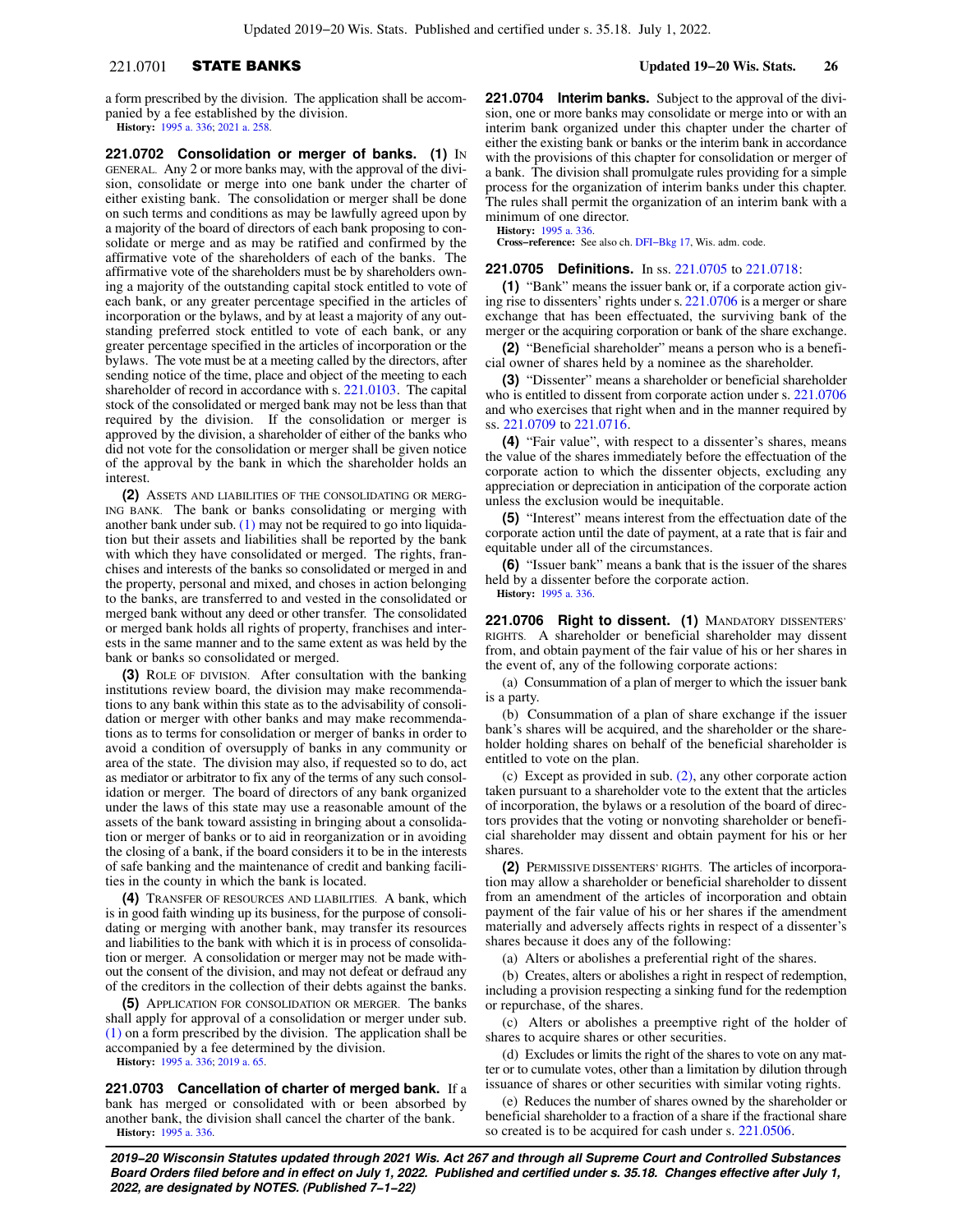## 221.0701 STATE BANKS **Updated 19−20 Wis. Stats. 26**

a form prescribed by the division. The application shall be accompanied by a fee established by the division. **History:** [1995 a. 336](https://docs.legis.wisconsin.gov/document/acts/1995/336); [2021 a. 258](https://docs.legis.wisconsin.gov/document/acts/2021/258).

**221.0702 Consolidation or merger of banks. (1)** IN GENERAL. Any 2 or more banks may, with the approval of the division, consolidate or merge into one bank under the charter of either existing bank. The consolidation or merger shall be done on such terms and conditions as may be lawfully agreed upon by a majority of the board of directors of each bank proposing to consolidate or merge and as may be ratified and confirmed by the affirmative vote of the shareholders of each of the banks. The affirmative vote of the shareholders must be by shareholders owning a majority of the outstanding capital stock entitled to vote of each bank, or any greater percentage specified in the articles of incorporation or the bylaws, and by at least a majority of any outstanding preferred stock entitled to vote of each bank, or any greater percentage specified in the articles of incorporation or the bylaws. The vote must be at a meeting called by the directors, after sending notice of the time, place and object of the meeting to each shareholder of record in accordance with s. [221.0103](https://docs.legis.wisconsin.gov/document/statutes/221.0103). The capital stock of the consolidated or merged bank may not be less than that required by the division. If the consolidation or merger is approved by the division, a shareholder of either of the banks who did not vote for the consolidation or merger shall be given notice of the approval by the bank in which the shareholder holds an interest.

**(2)** ASSETS AND LIABILITIES OF THE CONSOLIDATING OR MERG-ING BANK. The bank or banks consolidating or merging with another bank under sub. [\(1\)](https://docs.legis.wisconsin.gov/document/statutes/221.0702(1)) may not be required to go into liquidation but their assets and liabilities shall be reported by the bank with which they have consolidated or merged. The rights, franchises and interests of the banks so consolidated or merged in and the property, personal and mixed, and choses in action belonging to the banks, are transferred to and vested in the consolidated or merged bank without any deed or other transfer. The consolidated or merged bank holds all rights of property, franchises and interests in the same manner and to the same extent as was held by the bank or banks so consolidated or merged.

**(3)** ROLE OF DIVISION. After consultation with the banking institutions review board, the division may make recommendations to any bank within this state as to the advisability of consolidation or merger with other banks and may make recommendations as to terms for consolidation or merger of banks in order to avoid a condition of oversupply of banks in any community or area of the state. The division may also, if requested so to do, act as mediator or arbitrator to fix any of the terms of any such consolidation or merger. The board of directors of any bank organized under the laws of this state may use a reasonable amount of the assets of the bank toward assisting in bringing about a consolidation or merger of banks or to aid in reorganization or in avoiding the closing of a bank, if the board considers it to be in the interests of safe banking and the maintenance of credit and banking facilities in the county in which the bank is located.

**(4)** TRANSFER OF RESOURCES AND LIABILITIES. A bank, which is in good faith winding up its business, for the purpose of consolidating or merging with another bank, may transfer its resources and liabilities to the bank with which it is in process of consolidation or merger. A consolidation or merger may not be made without the consent of the division, and may not defeat or defraud any of the creditors in the collection of their debts against the banks.

**(5)** APPLICATION FOR CONSOLIDATION OR MERGER. The banks shall apply for approval of a consolidation or merger under sub. [\(1\)](https://docs.legis.wisconsin.gov/document/statutes/221.0702(1)) on a form prescribed by the division. The application shall be accompanied by a fee determined by the division.

**History:** [1995 a. 336](https://docs.legis.wisconsin.gov/document/acts/1995/336); [2019 a. 65.](https://docs.legis.wisconsin.gov/document/acts/2019/65)

**221.0703 Cancellation of charter of merged bank.** If a bank has merged or consolidated with or been absorbed by another bank, the division shall cancel the charter of the bank. **History:** [1995 a. 336](https://docs.legis.wisconsin.gov/document/acts/1995/336).

**221.0704 Interim banks.** Subject to the approval of the division, one or more banks may consolidate or merge into or with an interim bank organized under this chapter under the charter of either the existing bank or banks or the interim bank in accordance with the provisions of this chapter for consolidation or merger of a bank. The division shall promulgate rules providing for a simple process for the organization of interim banks under this chapter. The rules shall permit the organization of an interim bank with a minimum of one director.

**History:** [1995 a. 336.](https://docs.legis.wisconsin.gov/document/acts/1995/336)

**Cross−reference:** See also ch. [DFI−Bkg 17,](https://docs.legis.wisconsin.gov/document/administrativecode/ch.%20DFI-Bkg%2017) Wis. adm. code.

### **221.0705 Definitions.** In ss. [221.0705](https://docs.legis.wisconsin.gov/document/statutes/221.0705) to [221.0718](https://docs.legis.wisconsin.gov/document/statutes/221.0718):

**(1)** "Bank" means the issuer bank or, if a corporate action giving rise to dissenters' rights under s. [221.0706](https://docs.legis.wisconsin.gov/document/statutes/221.0706) is a merger or share exchange that has been effectuated, the surviving bank of the merger or the acquiring corporation or bank of the share exchange.

**(2)** "Beneficial shareholder" means a person who is a beneficial owner of shares held by a nominee as the shareholder.

**(3)** "Dissenter" means a shareholder or beneficial shareholder who is entitled to dissent from corporate action under s. [221.0706](https://docs.legis.wisconsin.gov/document/statutes/221.0706) and who exercises that right when and in the manner required by ss. [221.0709](https://docs.legis.wisconsin.gov/document/statutes/221.0709) to [221.0716](https://docs.legis.wisconsin.gov/document/statutes/221.0716).

**(4)** "Fair value", with respect to a dissenter's shares, means the value of the shares immediately before the effectuation of the corporate action to which the dissenter objects, excluding any appreciation or depreciation in anticipation of the corporate action unless the exclusion would be inequitable.

**(5)** "Interest" means interest from the effectuation date of the corporate action until the date of payment, at a rate that is fair and equitable under all of the circumstances.

**(6)** "Issuer bank" means a bank that is the issuer of the shares held by a dissenter before the corporate action. **History:** [1995 a. 336.](https://docs.legis.wisconsin.gov/document/acts/1995/336)

**221.0706 Right to dissent. (1)** MANDATORY DISSENTERS' RIGHTS. A shareholder or beneficial shareholder may dissent from, and obtain payment of the fair value of his or her shares in the event of, any of the following corporate actions:

(a) Consummation of a plan of merger to which the issuer bank is a party.

(b) Consummation of a plan of share exchange if the issuer bank's shares will be acquired, and the shareholder or the shareholder holding shares on behalf of the beneficial shareholder is entitled to vote on the plan.

(c) Except as provided in sub. [\(2\)](https://docs.legis.wisconsin.gov/document/statutes/221.0706(2)), any other corporate action taken pursuant to a shareholder vote to the extent that the articles of incorporation, the bylaws or a resolution of the board of directors provides that the voting or nonvoting shareholder or beneficial shareholder may dissent and obtain payment for his or her shares.

**(2)** PERMISSIVE DISSENTERS' RIGHTS. The articles of incorporation may allow a shareholder or beneficial shareholder to dissent from an amendment of the articles of incorporation and obtain payment of the fair value of his or her shares if the amendment materially and adversely affects rights in respect of a dissenter's shares because it does any of the following:

(a) Alters or abolishes a preferential right of the shares.

(b) Creates, alters or abolishes a right in respect of redemption, including a provision respecting a sinking fund for the redemption or repurchase, of the shares.

(c) Alters or abolishes a preemptive right of the holder of shares to acquire shares or other securities.

(d) Excludes or limits the right of the shares to vote on any matter or to cumulate votes, other than a limitation by dilution through issuance of shares or other securities with similar voting rights.

(e) Reduces the number of shares owned by the shareholder or beneficial shareholder to a fraction of a share if the fractional share so created is to be acquired for cash under s. [221.0506.](https://docs.legis.wisconsin.gov/document/statutes/221.0506)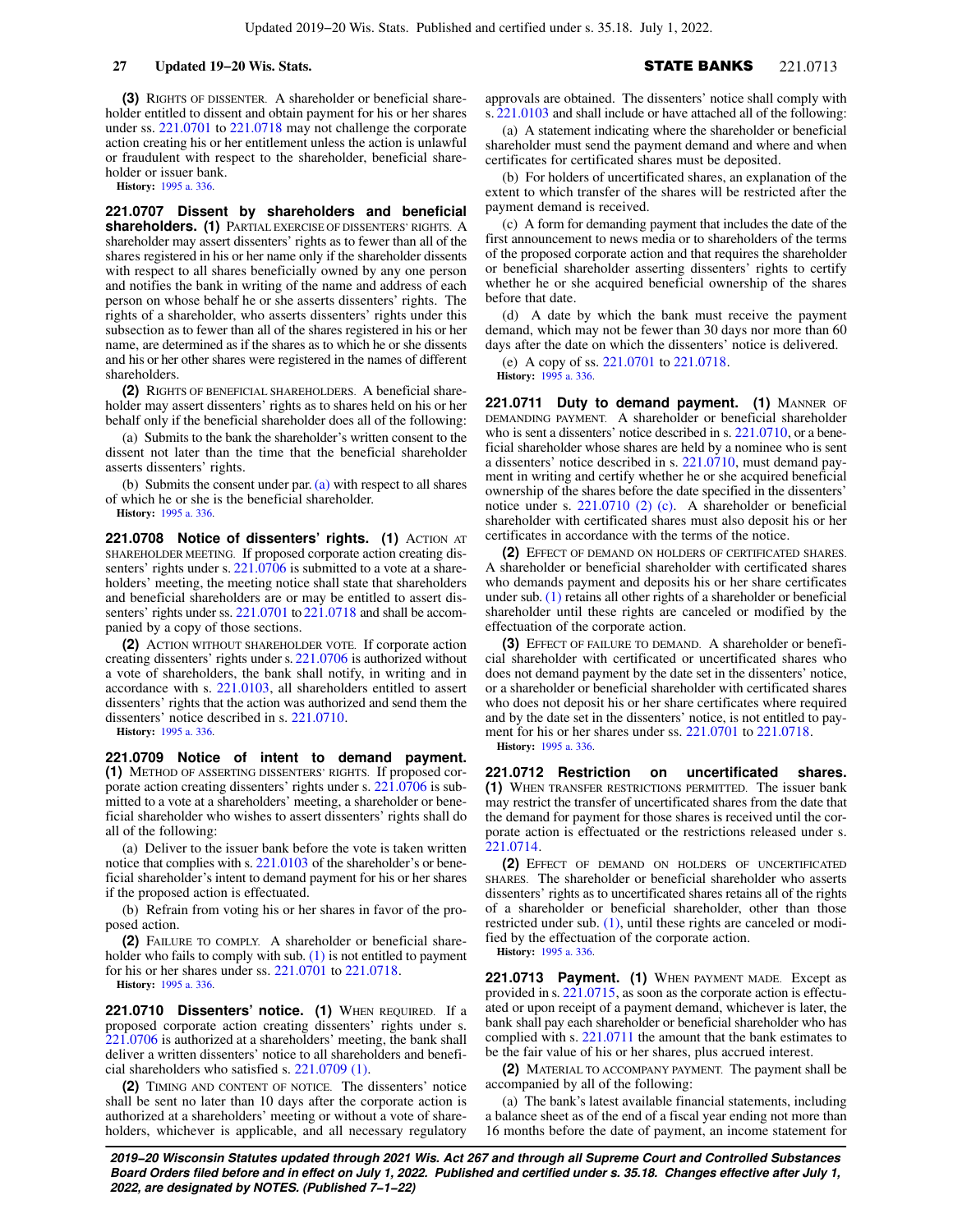**(3)** RIGHTS OF DISSENTER. A shareholder or beneficial shareholder entitled to dissent and obtain payment for his or her shares under ss. [221.0701](https://docs.legis.wisconsin.gov/document/statutes/221.0701) to [221.0718](https://docs.legis.wisconsin.gov/document/statutes/221.0718) may not challenge the corporate action creating his or her entitlement unless the action is unlawful or fraudulent with respect to the shareholder, beneficial shareholder or issuer bank.

**History:** [1995 a. 336](https://docs.legis.wisconsin.gov/document/acts/1995/336).

**221.0707 Dissent by shareholders and beneficial shareholders. (1)** PARTIAL EXERCISE OF DISSENTERS' RIGHTS. A shareholder may assert dissenters' rights as to fewer than all of the shares registered in his or her name only if the shareholder dissents with respect to all shares beneficially owned by any one person and notifies the bank in writing of the name and address of each person on whose behalf he or she asserts dissenters' rights. The rights of a shareholder, who asserts dissenters' rights under this subsection as to fewer than all of the shares registered in his or her name, are determined as if the shares as to which he or she dissents and his or her other shares were registered in the names of different shareholders.

**(2)** RIGHTS OF BENEFICIAL SHAREHOLDERS. A beneficial shareholder may assert dissenters' rights as to shares held on his or her behalf only if the beneficial shareholder does all of the following:

(a) Submits to the bank the shareholder's written consent to the dissent not later than the time that the beneficial shareholder asserts dissenters' rights.

(b) Submits the consent under par.  $(a)$  with respect to all shares of which he or she is the beneficial shareholder.

**History:** [1995 a. 336](https://docs.legis.wisconsin.gov/document/acts/1995/336).

**221.0708 Notice of dissenters' rights. (1)** ACTION AT SHAREHOLDER MEETING. If proposed corporate action creating dis-senters' rights under s. [221.0706](https://docs.legis.wisconsin.gov/document/statutes/221.0706) is submitted to a vote at a shareholders' meeting, the meeting notice shall state that shareholders and beneficial shareholders are or may be entitled to assert dis-senters' rights under ss. [221.0701](https://docs.legis.wisconsin.gov/document/statutes/221.0701) to [221.0718](https://docs.legis.wisconsin.gov/document/statutes/221.0718) and shall be accompanied by a copy of those sections.

**(2)** ACTION WITHOUT SHAREHOLDER VOTE. If corporate action creating dissenters' rights under s. [221.0706](https://docs.legis.wisconsin.gov/document/statutes/221.0706) is authorized without a vote of shareholders, the bank shall notify, in writing and in accordance with s. [221.0103](https://docs.legis.wisconsin.gov/document/statutes/221.0103), all shareholders entitled to assert dissenters' rights that the action was authorized and send them the dissenters' notice described in s. [221.0710](https://docs.legis.wisconsin.gov/document/statutes/221.0710).

**History:** [1995 a. 336](https://docs.legis.wisconsin.gov/document/acts/1995/336).

**221.0709 Notice of intent to demand payment. (1)** METHOD OF ASSERTING DISSENTERS' RIGHTS. If proposed corporate action creating dissenters' rights under s. [221.0706](https://docs.legis.wisconsin.gov/document/statutes/221.0706) is submitted to a vote at a shareholders' meeting, a shareholder or beneficial shareholder who wishes to assert dissenters' rights shall do all of the following:

(a) Deliver to the issuer bank before the vote is taken written notice that complies with s. [221.0103](https://docs.legis.wisconsin.gov/document/statutes/221.0103) of the shareholder's or beneficial shareholder's intent to demand payment for his or her shares if the proposed action is effectuated.

(b) Refrain from voting his or her shares in favor of the proposed action.

**(2)** FAILURE TO COMPLY. A shareholder or beneficial shareholder who fails to comply with sub.  $(1)$  is not entitled to payment for his or her shares under ss. [221.0701](https://docs.legis.wisconsin.gov/document/statutes/221.0701) to [221.0718.](https://docs.legis.wisconsin.gov/document/statutes/221.0718)

**History:** [1995 a. 336](https://docs.legis.wisconsin.gov/document/acts/1995/336).

**221.0710 Dissenters' notice. (1)** WHEN REQUIRED. If a proposed corporate action creating dissenters' rights under s. [221.0706](https://docs.legis.wisconsin.gov/document/statutes/221.0706) is authorized at a shareholders' meeting, the bank shall deliver a written dissenters' notice to all shareholders and beneficial shareholders who satisfied s. [221.0709 \(1\)](https://docs.legis.wisconsin.gov/document/statutes/221.0709(1)).

**(2)** TIMING AND CONTENT OF NOTICE. The dissenters' notice shall be sent no later than 10 days after the corporate action is authorized at a shareholders' meeting or without a vote of shareholders, whichever is applicable, and all necessary regulatory

approvals are obtained. The dissenters' notice shall comply with s. [221.0103](https://docs.legis.wisconsin.gov/document/statutes/221.0103) and shall include or have attached all of the following:

(a) A statement indicating where the shareholder or beneficial shareholder must send the payment demand and where and when certificates for certificated shares must be deposited.

(b) For holders of uncertificated shares, an explanation of the extent to which transfer of the shares will be restricted after the payment demand is received.

(c) A form for demanding payment that includes the date of the first announcement to news media or to shareholders of the terms of the proposed corporate action and that requires the shareholder or beneficial shareholder asserting dissenters' rights to certify whether he or she acquired beneficial ownership of the shares before that date.

(d) A date by which the bank must receive the payment demand, which may not be fewer than 30 days nor more than 60 days after the date on which the dissenters' notice is delivered.

(e) A copy of ss. [221.0701](https://docs.legis.wisconsin.gov/document/statutes/221.0701) to [221.0718](https://docs.legis.wisconsin.gov/document/statutes/221.0718).

**History:** [1995 a. 336.](https://docs.legis.wisconsin.gov/document/acts/1995/336)

221.0711 Duty to demand payment. (1) MANNER OF DEMANDING PAYMENT. A shareholder or beneficial shareholder who is sent a dissenters' notice described in s. [221.0710](https://docs.legis.wisconsin.gov/document/statutes/221.0710), or a beneficial shareholder whose shares are held by a nominee who is sent a dissenters' notice described in s. [221.0710,](https://docs.legis.wisconsin.gov/document/statutes/221.0710) must demand payment in writing and certify whether he or she acquired beneficial ownership of the shares before the date specified in the dissenters' notice under s. [221.0710 \(2\) \(c\).](https://docs.legis.wisconsin.gov/document/statutes/221.0710(2)(c)) A shareholder or beneficial shareholder with certificated shares must also deposit his or her certificates in accordance with the terms of the notice.

**(2)** EFFECT OF DEMAND ON HOLDERS OF CERTIFICATED SHARES. A shareholder or beneficial shareholder with certificated shares who demands payment and deposits his or her share certificates under sub. [\(1\)](https://docs.legis.wisconsin.gov/document/statutes/221.0711(1)) retains all other rights of a shareholder or beneficial shareholder until these rights are canceled or modified by the effectuation of the corporate action.

**(3)** EFFECT OF FAILURE TO DEMAND. A shareholder or beneficial shareholder with certificated or uncertificated shares who does not demand payment by the date set in the dissenters' notice, or a shareholder or beneficial shareholder with certificated shares who does not deposit his or her share certificates where required and by the date set in the dissenters' notice, is not entitled to payment for his or her shares under ss. [221.0701](https://docs.legis.wisconsin.gov/document/statutes/221.0701) to [221.0718.](https://docs.legis.wisconsin.gov/document/statutes/221.0718) **History:** [1995 a. 336.](https://docs.legis.wisconsin.gov/document/acts/1995/336)

**221.0712 Restriction on uncertificated shares. (1)** WHEN TRANSFER RESTRICTIONS PERMITTED. The issuer bank may restrict the transfer of uncertificated shares from the date that the demand for payment for those shares is received until the corporate action is effectuated or the restrictions released under s. [221.0714.](https://docs.legis.wisconsin.gov/document/statutes/221.0714)

**(2)** EFFECT OF DEMAND ON HOLDERS OF UNCERTIFICATED SHARES. The shareholder or beneficial shareholder who asserts dissenters' rights as to uncertificated shares retains all of the rights of a shareholder or beneficial shareholder, other than those restricted under sub. [\(1\)](https://docs.legis.wisconsin.gov/document/statutes/221.0712(1)), until these rights are canceled or modified by the effectuation of the corporate action. **History:** [1995 a. 336.](https://docs.legis.wisconsin.gov/document/acts/1995/336)

**221.0713 Payment. (1)** WHEN PAYMENT MADE. Except as provided in s. [221.0715,](https://docs.legis.wisconsin.gov/document/statutes/221.0715) as soon as the corporate action is effectuated or upon receipt of a payment demand, whichever is later, the bank shall pay each shareholder or beneficial shareholder who has complied with s. [221.0711](https://docs.legis.wisconsin.gov/document/statutes/221.0711) the amount that the bank estimates to be the fair value of his or her shares, plus accrued interest.

**(2)** MATERIAL TO ACCOMPANY PAYMENT. The payment shall be accompanied by all of the following:

(a) The bank's latest available financial statements, including a balance sheet as of the end of a fiscal year ending not more than 16 months before the date of payment, an income statement for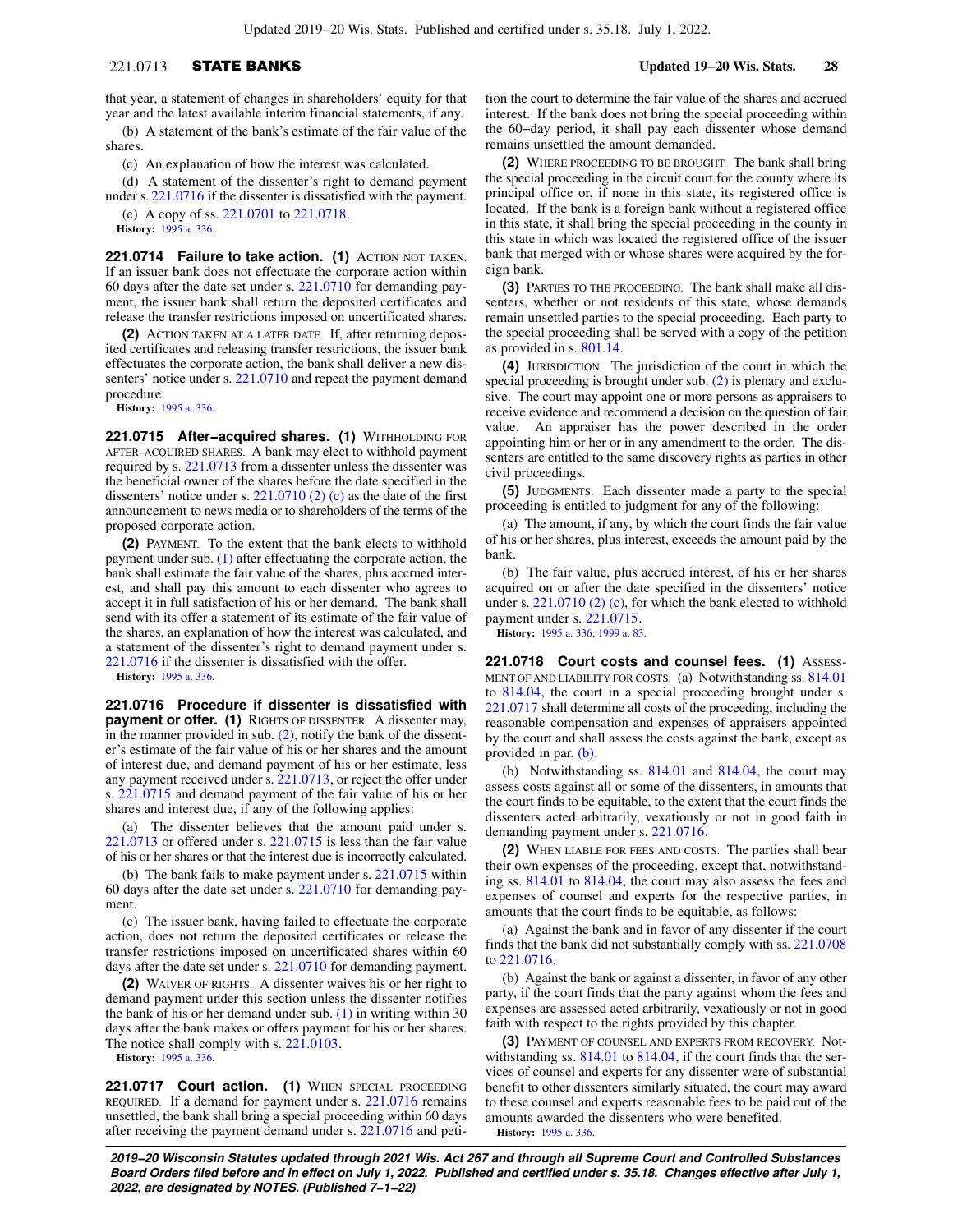## 221.0713 STATE BANKS **Updated 19−20 Wis. Stats. 28**

that year, a statement of changes in shareholders' equity for that year and the latest available interim financial statements, if any.

(b) A statement of the bank's estimate of the fair value of the shares.

(c) An explanation of how the interest was calculated.

(d) A statement of the dissenter's right to demand payment under s. [221.0716](https://docs.legis.wisconsin.gov/document/statutes/221.0716) if the dissenter is dissatisfied with the payment.

(e) A copy of ss. [221.0701](https://docs.legis.wisconsin.gov/document/statutes/221.0701) to [221.0718.](https://docs.legis.wisconsin.gov/document/statutes/221.0718) **History:** [1995 a. 336](https://docs.legis.wisconsin.gov/document/acts/1995/336).

**221.0714 Failure to take action. (1)** ACTION NOT TAKEN. If an issuer bank does not effectuate the corporate action within 60 days after the date set under s. [221.0710](https://docs.legis.wisconsin.gov/document/statutes/221.0710) for demanding payment, the issuer bank shall return the deposited certificates and release the transfer restrictions imposed on uncertificated shares.

**(2)** ACTION TAKEN AT A LATER DATE. If, after returning deposited certificates and releasing transfer restrictions, the issuer bank effectuates the corporate action, the bank shall deliver a new dis-senters' notice under s. [221.0710](https://docs.legis.wisconsin.gov/document/statutes/221.0710) and repeat the payment demand procedure.

**History:** [1995 a. 336](https://docs.legis.wisconsin.gov/document/acts/1995/336).

**221.0715 After−acquired shares. (1)** WITHHOLDING FOR AFTER−ACQUIRED SHARES. A bank may elect to withhold payment required by s. [221.0713](https://docs.legis.wisconsin.gov/document/statutes/221.0713) from a dissenter unless the dissenter was the beneficial owner of the shares before the date specified in the dissenters' notice under s.  $221.0710(2)(c)$  as the date of the first announcement to news media or to shareholders of the terms of the proposed corporate action.

**(2)** PAYMENT. To the extent that the bank elects to withhold payment under sub. [\(1\)](https://docs.legis.wisconsin.gov/document/statutes/221.0715(1)) after effectuating the corporate action, the bank shall estimate the fair value of the shares, plus accrued interest, and shall pay this amount to each dissenter who agrees to accept it in full satisfaction of his or her demand. The bank shall send with its offer a statement of its estimate of the fair value of the shares, an explanation of how the interest was calculated, and a statement of the dissenter's right to demand payment under s. [221.0716](https://docs.legis.wisconsin.gov/document/statutes/221.0716) if the dissenter is dissatisfied with the offer.

**History:** [1995 a. 336](https://docs.legis.wisconsin.gov/document/acts/1995/336).

**221.0716 Procedure if dissenter is dissatisfied with payment or offer. (1)** RIGHTS OF DISSENTER. A dissenter may, in the manner provided in sub. [\(2\)](https://docs.legis.wisconsin.gov/document/statutes/221.0716(2)), notify the bank of the dissenter's estimate of the fair value of his or her shares and the amount of interest due, and demand payment of his or her estimate, less any payment received under s. [221.0713](https://docs.legis.wisconsin.gov/document/statutes/221.0713), or reject the offer under s. [221.0715](https://docs.legis.wisconsin.gov/document/statutes/221.0715) and demand payment of the fair value of his or her shares and interest due, if any of the following applies:

(a) The dissenter believes that the amount paid under s. [221.0713](https://docs.legis.wisconsin.gov/document/statutes/221.0713) or offered under s. [221.0715](https://docs.legis.wisconsin.gov/document/statutes/221.0715) is less than the fair value of his or her shares or that the interest due is incorrectly calculated.

(b) The bank fails to make payment under s. [221.0715](https://docs.legis.wisconsin.gov/document/statutes/221.0715) within 60 days after the date set under s. [221.0710](https://docs.legis.wisconsin.gov/document/statutes/221.0710) for demanding payment.

(c) The issuer bank, having failed to effectuate the corporate action, does not return the deposited certificates or release the transfer restrictions imposed on uncertificated shares within 60 days after the date set under s. [221.0710](https://docs.legis.wisconsin.gov/document/statutes/221.0710) for demanding payment.

**(2)** WAIVER OF RIGHTS. A dissenter waives his or her right to demand payment under this section unless the dissenter notifies the bank of his or her demand under sub.  $(1)$  in writing within 30 days after the bank makes or offers payment for his or her shares. The notice shall comply with s. [221.0103.](https://docs.legis.wisconsin.gov/document/statutes/221.0103)

**History:** [1995 a. 336](https://docs.legis.wisconsin.gov/document/acts/1995/336).

**221.0717 Court action. (1)** WHEN SPECIAL PROCEEDING REQUIRED. If a demand for payment under s. [221.0716](https://docs.legis.wisconsin.gov/document/statutes/221.0716) remains unsettled, the bank shall bring a special proceeding within 60 days after receiving the payment demand under s. [221.0716](https://docs.legis.wisconsin.gov/document/statutes/221.0716) and peti-

tion the court to determine the fair value of the shares and accrued interest. If the bank does not bring the special proceeding within the 60−day period, it shall pay each dissenter whose demand remains unsettled the amount demanded.

**(2)** WHERE PROCEEDING TO BE BROUGHT. The bank shall bring the special proceeding in the circuit court for the county where its principal office or, if none in this state, its registered office is located. If the bank is a foreign bank without a registered office in this state, it shall bring the special proceeding in the county in this state in which was located the registered office of the issuer bank that merged with or whose shares were acquired by the foreign bank.

**(3)** PARTIES TO THE PROCEEDING. The bank shall make all dissenters, whether or not residents of this state, whose demands remain unsettled parties to the special proceeding. Each party to the special proceeding shall be served with a copy of the petition as provided in s. [801.14.](https://docs.legis.wisconsin.gov/document/statutes/801.14)

**(4)** JURISDICTION. The jurisdiction of the court in which the special proceeding is brought under sub. [\(2\)](https://docs.legis.wisconsin.gov/document/statutes/221.0717(2)) is plenary and exclusive. The court may appoint one or more persons as appraisers to receive evidence and recommend a decision on the question of fair value. An appraiser has the power described in the order appointing him or her or in any amendment to the order. The dissenters are entitled to the same discovery rights as parties in other civil proceedings.

**(5)** JUDGMENTS. Each dissenter made a party to the special proceeding is entitled to judgment for any of the following:

(a) The amount, if any, by which the court finds the fair value of his or her shares, plus interest, exceeds the amount paid by the bank.

(b) The fair value, plus accrued interest, of his or her shares acquired on or after the date specified in the dissenters' notice under s. [221.0710 \(2\) \(c\)](https://docs.legis.wisconsin.gov/document/statutes/221.0710(2)(c)), for which the bank elected to withhold payment under s. [221.0715](https://docs.legis.wisconsin.gov/document/statutes/221.0715).

**History:** [1995 a. 336;](https://docs.legis.wisconsin.gov/document/acts/1995/336) [1999 a. 83.](https://docs.legis.wisconsin.gov/document/acts/1999/83)

221.0718 Court costs and counsel fees. (1) ASSESS-MENT OF AND LIABILITY FOR COSTS. (a) Notwithstanding ss. [814.01](https://docs.legis.wisconsin.gov/document/statutes/814.01) to [814.04,](https://docs.legis.wisconsin.gov/document/statutes/814.04) the court in a special proceeding brought under s. [221.0717](https://docs.legis.wisconsin.gov/document/statutes/221.0717) shall determine all costs of the proceeding, including the reasonable compensation and expenses of appraisers appointed by the court and shall assess the costs against the bank, except as provided in par. [\(b\).](https://docs.legis.wisconsin.gov/document/statutes/221.0718(1)(b))

(b) Notwithstanding ss. [814.01](https://docs.legis.wisconsin.gov/document/statutes/814.01) and [814.04](https://docs.legis.wisconsin.gov/document/statutes/814.04), the court may assess costs against all or some of the dissenters, in amounts that the court finds to be equitable, to the extent that the court finds the dissenters acted arbitrarily, vexatiously or not in good faith in demanding payment under s. [221.0716.](https://docs.legis.wisconsin.gov/document/statutes/221.0716)

**(2)** WHEN LIABLE FOR FEES AND COSTS. The parties shall bear their own expenses of the proceeding, except that, notwithstanding ss. [814.01](https://docs.legis.wisconsin.gov/document/statutes/814.01) to [814.04](https://docs.legis.wisconsin.gov/document/statutes/814.04), the court may also assess the fees and expenses of counsel and experts for the respective parties, in amounts that the court finds to be equitable, as follows:

(a) Against the bank and in favor of any dissenter if the court finds that the bank did not substantially comply with ss. [221.0708](https://docs.legis.wisconsin.gov/document/statutes/221.0708) to [221.0716](https://docs.legis.wisconsin.gov/document/statutes/221.0716).

(b) Against the bank or against a dissenter, in favor of any other party, if the court finds that the party against whom the fees and expenses are assessed acted arbitrarily, vexatiously or not in good faith with respect to the rights provided by this chapter.

**(3)** PAYMENT OF COUNSEL AND EXPERTS FROM RECOVERY. Not-withstanding ss. [814.01](https://docs.legis.wisconsin.gov/document/statutes/814.01) to [814.04](https://docs.legis.wisconsin.gov/document/statutes/814.04), if the court finds that the services of counsel and experts for any dissenter were of substantial benefit to other dissenters similarly situated, the court may award to these counsel and experts reasonable fees to be paid out of the amounts awarded the dissenters who were benefited. **History:** [1995 a. 336.](https://docs.legis.wisconsin.gov/document/acts/1995/336)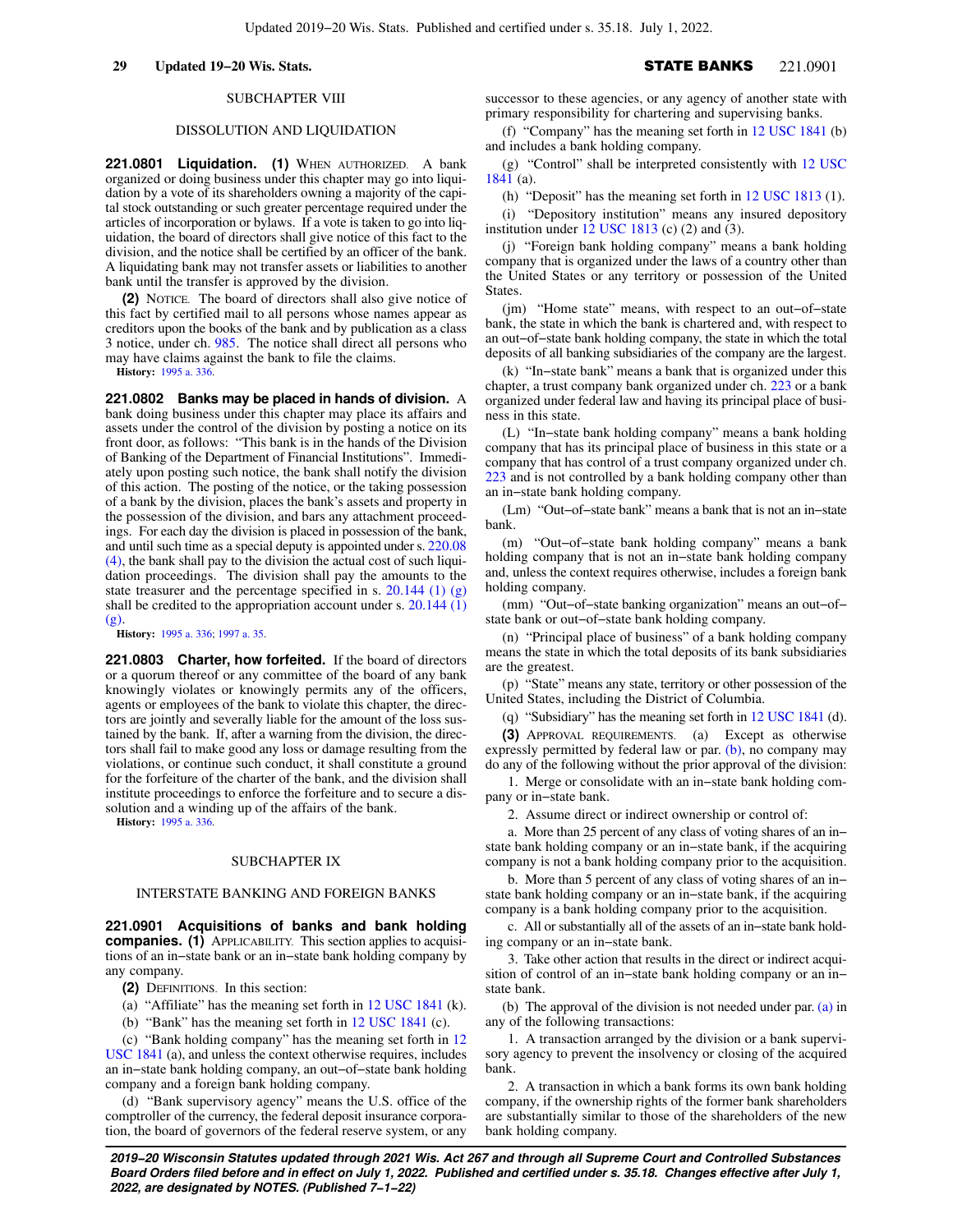### SUBCHAPTER VIII

### DISSOLUTION AND LIQUIDATION

**221.0801 Liquidation. (1)** WHEN AUTHORIZED. A bank organized or doing business under this chapter may go into liquidation by a vote of its shareholders owning a majority of the capital stock outstanding or such greater percentage required under the articles of incorporation or bylaws. If a vote is taken to go into liquidation, the board of directors shall give notice of this fact to the division, and the notice shall be certified by an officer of the bank. A liquidating bank may not transfer assets or liabilities to another bank until the transfer is approved by the division.

**(2)** NOTICE. The board of directors shall also give notice of this fact by certified mail to all persons whose names appear as creditors upon the books of the bank and by publication as a class 3 notice, under ch. [985.](https://docs.legis.wisconsin.gov/document/statutes/ch.%20985) The notice shall direct all persons who may have claims against the bank to file the claims.

**History:** [1995 a. 336](https://docs.legis.wisconsin.gov/document/acts/1995/336).

**221.0802 Banks may be placed in hands of division.** A bank doing business under this chapter may place its affairs and assets under the control of the division by posting a notice on its front door, as follows: "This bank is in the hands of the Division of Banking of the Department of Financial Institutions". Immediately upon posting such notice, the bank shall notify the division of this action. The posting of the notice, or the taking possession of a bank by the division, places the bank's assets and property in the possession of the division, and bars any attachment proceedings. For each day the division is placed in possession of the bank, and until such time as a special deputy is appointed under s. [220.08](https://docs.legis.wisconsin.gov/document/statutes/220.08(4)) [\(4\)](https://docs.legis.wisconsin.gov/document/statutes/220.08(4)), the bank shall pay to the division the actual cost of such liquidation proceedings. The division shall pay the amounts to the state treasurer and the percentage specified in s. [20.144 \(1\) \(g\)](https://docs.legis.wisconsin.gov/document/statutes/20.144(1)(g)) shall be credited to the appropriation account under s. [20.144 \(1\)](https://docs.legis.wisconsin.gov/document/statutes/20.144(1)(g)) [\(g\)](https://docs.legis.wisconsin.gov/document/statutes/20.144(1)(g)).

**History:** [1995 a. 336](https://docs.legis.wisconsin.gov/document/acts/1995/336); [1997 a. 35.](https://docs.legis.wisconsin.gov/document/acts/1997/35)

**221.0803 Charter, how forfeited.** If the board of directors or a quorum thereof or any committee of the board of any bank knowingly violates or knowingly permits any of the officers, agents or employees of the bank to violate this chapter, the directors are jointly and severally liable for the amount of the loss sustained by the bank. If, after a warning from the division, the directors shall fail to make good any loss or damage resulting from the violations, or continue such conduct, it shall constitute a ground for the forfeiture of the charter of the bank, and the division shall institute proceedings to enforce the forfeiture and to secure a dissolution and a winding up of the affairs of the bank.

**History:** [1995 a. 336](https://docs.legis.wisconsin.gov/document/acts/1995/336).

### SUBCHAPTER IX

### INTERSTATE BANKING AND FOREIGN BANKS

**221.0901 Acquisitions of banks and bank holding companies. (1)** APPLICABILITY. This section applies to acquisitions of an in−state bank or an in−state bank holding company by any company.

**(2)** DEFINITIONS. In this section:

- (a) "Affiliate" has the meaning set forth in [12 USC 1841](https://docs.legis.wisconsin.gov/document/usc/12%20USC%201841) (k).
- (b) "Bank" has the meaning set forth in [12 USC 1841](https://docs.legis.wisconsin.gov/document/usc/12%20USC%201841) (c).

(c) "Bank holding company" has the meaning set forth in [12](https://docs.legis.wisconsin.gov/document/usc/12%20USC%201841) [USC 1841](https://docs.legis.wisconsin.gov/document/usc/12%20USC%201841) (a), and unless the context otherwise requires, includes an in−state bank holding company, an out−of−state bank holding company and a foreign bank holding company.

(d) "Bank supervisory agency" means the U.S. office of the comptroller of the currency, the federal deposit insurance corporation, the board of governors of the federal reserve system, or any

successor to these agencies, or any agency of another state with primary responsibility for chartering and supervising banks.

(f) "Company" has the meaning set forth in [12 USC 1841](https://docs.legis.wisconsin.gov/document/usc/12%20USC%201841) (b) and includes a bank holding company.

(g) "Control" shall be interpreted consistently with [12 USC](https://docs.legis.wisconsin.gov/document/usc/12%20USC%201841) [1841](https://docs.legis.wisconsin.gov/document/usc/12%20USC%201841) (a).

(h) "Deposit" has the meaning set forth in [12 USC 1813](https://docs.legis.wisconsin.gov/document/usc/12%20USC%201813) (1).

(i) "Depository institution" means any insured depository institution under  $12$  USC 1813 (c) (2) and (3).

(j) "Foreign bank holding company" means a bank holding company that is organized under the laws of a country other than the United States or any territory or possession of the United States.

(jm) "Home state" means, with respect to an out−of−state bank, the state in which the bank is chartered and, with respect to an out−of−state bank holding company, the state in which the total deposits of all banking subsidiaries of the company are the largest.

(k) "In−state bank" means a bank that is organized under this chapter, a trust company bank organized under ch. [223](https://docs.legis.wisconsin.gov/document/statutes/ch.%20223) or a bank organized under federal law and having its principal place of business in this state.

(L) "In−state bank holding company" means a bank holding company that has its principal place of business in this state or a company that has control of a trust company organized under ch. [223](https://docs.legis.wisconsin.gov/document/statutes/ch.%20223) and is not controlled by a bank holding company other than an in−state bank holding company.

(Lm) "Out−of−state bank" means a bank that is not an in−state bank.

(m) "Out−of−state bank holding company" means a bank holding company that is not an in−state bank holding company and, unless the context requires otherwise, includes a foreign bank holding company.

(mm) "Out−of−state banking organization" means an out−of− state bank or out−of−state bank holding company.

(n) "Principal place of business" of a bank holding company means the state in which the total deposits of its bank subsidiaries are the greatest.

(p) "State" means any state, territory or other possession of the United States, including the District of Columbia.

(q) "Subsidiary" has the meaning set forth in [12 USC 1841](https://docs.legis.wisconsin.gov/document/usc/12%20USC%201841) (d).

**(3)** APPROVAL REQUIREMENTS. (a) Except as otherwise expressly permitted by federal law or par.  $(b)$ , no company may do any of the following without the prior approval of the division:

1. Merge or consolidate with an in−state bank holding company or in−state bank.

2. Assume direct or indirect ownership or control of:

a. More than 25 percent of any class of voting shares of an in− state bank holding company or an in−state bank, if the acquiring company is not a bank holding company prior to the acquisition.

b. More than 5 percent of any class of voting shares of an in− state bank holding company or an in−state bank, if the acquiring company is a bank holding company prior to the acquisition.

c. All or substantially all of the assets of an in−state bank holding company or an in−state bank.

3. Take other action that results in the direct or indirect acquisition of control of an in−state bank holding company or an in− state bank.

(b) The approval of the division is not needed under par. [\(a\)](https://docs.legis.wisconsin.gov/document/statutes/221.0901(3)(a)) in any of the following transactions:

1. A transaction arranged by the division or a bank supervisory agency to prevent the insolvency or closing of the acquired bank.

2. A transaction in which a bank forms its own bank holding company, if the ownership rights of the former bank shareholders are substantially similar to those of the shareholders of the new bank holding company.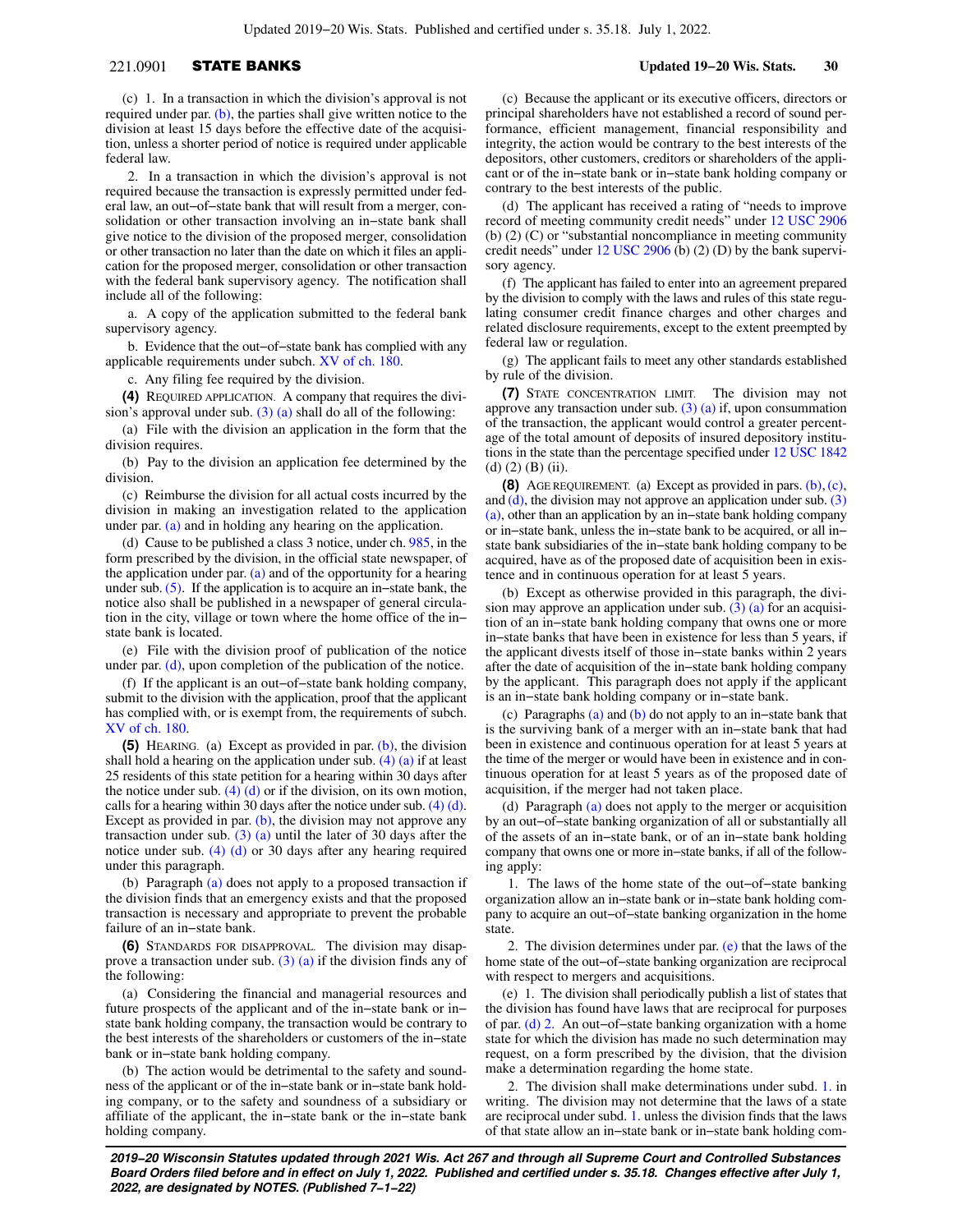## 221.0901 STATE BANKS **Updated 19−20 Wis. Stats. 30**

(c) 1. In a transaction in which the division's approval is not required under par. [\(b\)](https://docs.legis.wisconsin.gov/document/statutes/221.0901(3)(b)), the parties shall give written notice to the division at least 15 days before the effective date of the acquisition, unless a shorter period of notice is required under applicable federal law.

2. In a transaction in which the division's approval is not required because the transaction is expressly permitted under federal law, an out−of−state bank that will result from a merger, consolidation or other transaction involving an in−state bank shall give notice to the division of the proposed merger, consolidation or other transaction no later than the date on which it files an application for the proposed merger, consolidation or other transaction with the federal bank supervisory agency. The notification shall include all of the following:

a. A copy of the application submitted to the federal bank supervisory agency.

b. Evidence that the out−of−state bank has complied with any applicable requirements under subch. [XV of ch. 180](https://docs.legis.wisconsin.gov/document/statutes/subch.%20XV%20of%20ch.%20180).

c. Any filing fee required by the division.

**(4)** REQUIRED APPLICATION. A company that requires the division's approval under sub.  $(3)$  (a) shall do all of the following:

(a) File with the division an application in the form that the division requires.

(b) Pay to the division an application fee determined by the division.

(c) Reimburse the division for all actual costs incurred by the division in making an investigation related to the application under par. [\(a\)](https://docs.legis.wisconsin.gov/document/statutes/221.0901(4)(a)) and in holding any hearing on the application.

(d) Cause to be published a class 3 notice, under ch. [985,](https://docs.legis.wisconsin.gov/document/statutes/ch.%20985) in the form prescribed by the division, in the official state newspaper, of the application under par.  $(a)$  and of the opportunity for a hearing under sub. [\(5\).](https://docs.legis.wisconsin.gov/document/statutes/221.0901(5)) If the application is to acquire an in−state bank, the notice also shall be published in a newspaper of general circulation in the city, village or town where the home office of the in− state bank is located.

(e) File with the division proof of publication of the notice under par. [\(d\),](https://docs.legis.wisconsin.gov/document/statutes/221.0901(4)(d)) upon completion of the publication of the notice.

(f) If the applicant is an out−of−state bank holding company, submit to the division with the application, proof that the applicant has complied with, or is exempt from, the requirements of subch. [XV of ch. 180.](https://docs.legis.wisconsin.gov/document/statutes/subch.%20XV%20of%20ch.%20180)

**(5)** HEARING. (a) Except as provided in par. [\(b\)](https://docs.legis.wisconsin.gov/document/statutes/221.0901(5)(b)), the division shall hold a hearing on the application under sub.  $(4)$   $(a)$  if at least 25 residents of this state petition for a hearing within 30 days after the notice under sub.  $(4)$  (d) or if the division, on its own motion, calls for a hearing within 30 days after the notice under sub. [\(4\) \(d\).](https://docs.legis.wisconsin.gov/document/statutes/221.0901(4)(d)) Except as provided in par.  $(b)$ , the division may not approve any transaction under sub.  $(3)$  (a) until the later of 30 days after the notice under sub. [\(4\) \(d\)](https://docs.legis.wisconsin.gov/document/statutes/221.0901(4)(d)) or 30 days after any hearing required under this paragraph.

(b) Paragraph [\(a\)](https://docs.legis.wisconsin.gov/document/statutes/221.0901(5)(a)) does not apply to a proposed transaction if the division finds that an emergency exists and that the proposed transaction is necessary and appropriate to prevent the probable failure of an in−state bank.

**(6)** STANDARDS FOR DISAPPROVAL. The division may disapprove a transaction under sub.  $(3)$  (a) if the division finds any of the following:

(a) Considering the financial and managerial resources and future prospects of the applicant and of the in−state bank or in− state bank holding company, the transaction would be contrary to the best interests of the shareholders or customers of the in−state bank or in−state bank holding company.

(b) The action would be detrimental to the safety and soundness of the applicant or of the in−state bank or in−state bank holding company, or to the safety and soundness of a subsidiary or affiliate of the applicant, the in−state bank or the in−state bank holding company.

(c) Because the applicant or its executive officers, directors or principal shareholders have not established a record of sound performance, efficient management, financial responsibility and integrity, the action would be contrary to the best interests of the depositors, other customers, creditors or shareholders of the applicant or of the in−state bank or in−state bank holding company or contrary to the best interests of the public.

(d) The applicant has received a rating of "needs to improve record of meeting community credit needs" under [12 USC 2906](https://docs.legis.wisconsin.gov/document/usc/12%20USC%202906) (b) (2) (C) or "substantial noncompliance in meeting community credit needs" under [12 USC 2906](https://docs.legis.wisconsin.gov/document/usc/12%20USC%202906) (b) (2) (D) by the bank supervisory agency.

(f) The applicant has failed to enter into an agreement prepared by the division to comply with the laws and rules of this state regulating consumer credit finance charges and other charges and related disclosure requirements, except to the extent preempted by federal law or regulation.

(g) The applicant fails to meet any other standards established by rule of the division.

**(7)** STATE CONCENTRATION LIMIT. The division may not approve any transaction under sub. [\(3\) \(a\)](https://docs.legis.wisconsin.gov/document/statutes/221.0901(3)(a)) if, upon consummation of the transaction, the applicant would control a greater percentage of the total amount of deposits of insured depository institutions in the state than the percentage specified under [12 USC 1842](https://docs.legis.wisconsin.gov/document/usc/12%20USC%201842) (d)  $(2)$  (B) (ii).

**(8)** AGE REQUIREMENT. (a) Except as provided in pars. [\(b\)](https://docs.legis.wisconsin.gov/document/statutes/221.0901(8)(b)), [\(c\),](https://docs.legis.wisconsin.gov/document/statutes/221.0901(8)(c)) and  $(d)$ , the division may not approve an application under sub.  $(3)$ [\(a\)](https://docs.legis.wisconsin.gov/document/statutes/221.0901(3)(a)), other than an application by an in−state bank holding company or in−state bank, unless the in−state bank to be acquired, or all in− state bank subsidiaries of the in−state bank holding company to be acquired, have as of the proposed date of acquisition been in existence and in continuous operation for at least 5 years.

(b) Except as otherwise provided in this paragraph, the division may approve an application under sub.  $(3)$  (a) for an acquisition of an in−state bank holding company that owns one or more in−state banks that have been in existence for less than 5 years, if the applicant divests itself of those in−state banks within 2 years after the date of acquisition of the in−state bank holding company by the applicant. This paragraph does not apply if the applicant is an in−state bank holding company or in−state bank.

(c) Paragraphs [\(a\)](https://docs.legis.wisconsin.gov/document/statutes/221.0901(8)(a)) and [\(b\)](https://docs.legis.wisconsin.gov/document/statutes/221.0901(8)(b)) do not apply to an in−state bank that is the surviving bank of a merger with an in−state bank that had been in existence and continuous operation for at least 5 years at the time of the merger or would have been in existence and in continuous operation for at least 5 years as of the proposed date of acquisition, if the merger had not taken place.

(d) Paragraph [\(a\)](https://docs.legis.wisconsin.gov/document/statutes/221.0901(8)(a)) does not apply to the merger or acquisition by an out−of−state banking organization of all or substantially all of the assets of an in−state bank, or of an in−state bank holding company that owns one or more in−state banks, if all of the following apply:

1. The laws of the home state of the out−of−state banking organization allow an in−state bank or in−state bank holding company to acquire an out−of−state banking organization in the home state.

2. The division determines under par.  $(e)$  that the laws of the home state of the out−of−state banking organization are reciprocal with respect to mergers and acquisitions.

(e) 1. The division shall periodically publish a list of states that the division has found have laws that are reciprocal for purposes of par. [\(d\) 2.](https://docs.legis.wisconsin.gov/document/statutes/221.0901(8)(d)2.) An out−of−state banking organization with a home state for which the division has made no such determination may request, on a form prescribed by the division, that the division make a determination regarding the home state.

2. The division shall make determinations under subd. [1.](https://docs.legis.wisconsin.gov/document/statutes/221.0901(8)(e)1.) in writing. The division may not determine that the laws of a state are reciprocal under subd. [1.](https://docs.legis.wisconsin.gov/document/statutes/221.0901(8)(e)1.) unless the division finds that the laws of that state allow an in−state bank or in−state bank holding com-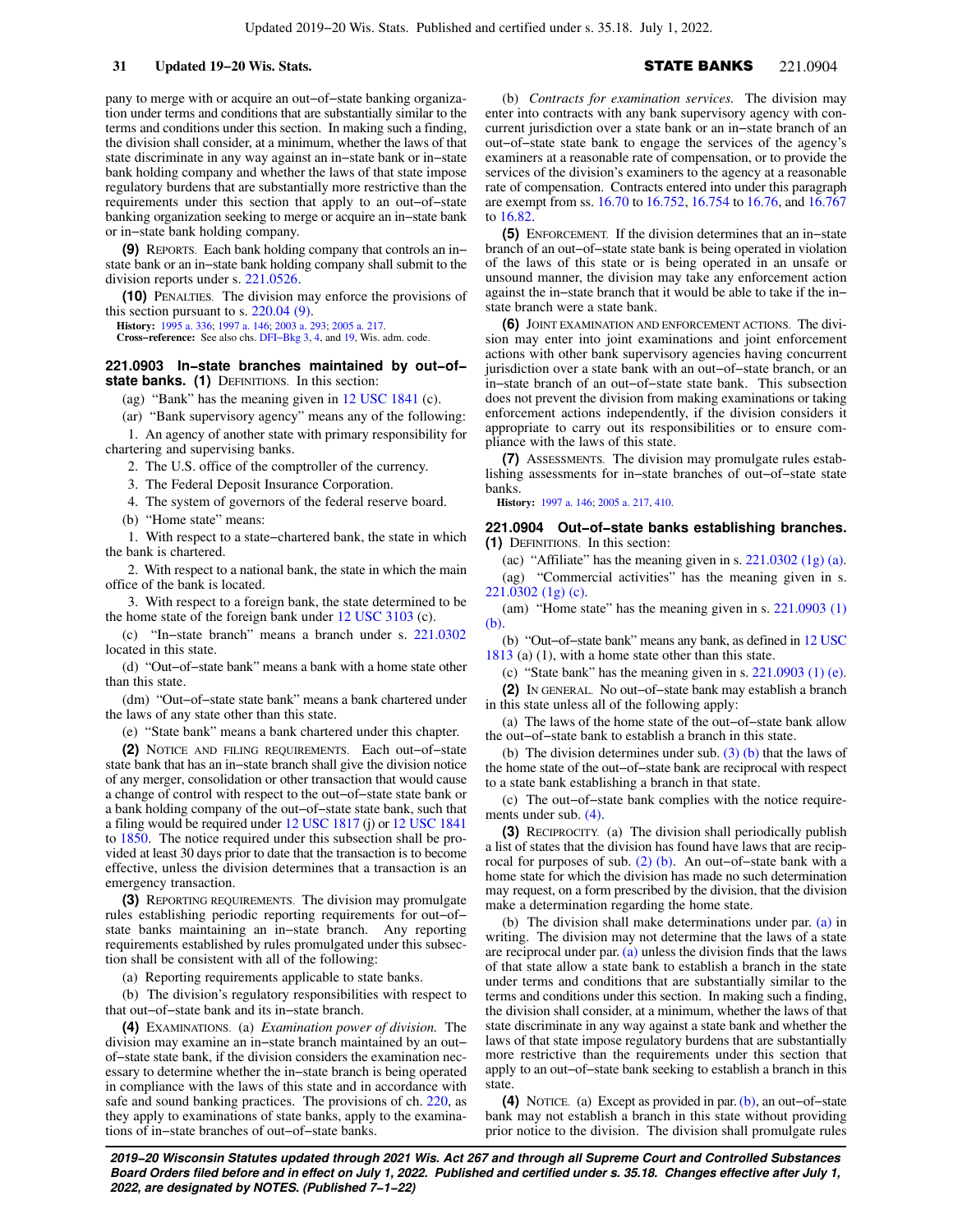pany to merge with or acquire an out−of−state banking organization under terms and conditions that are substantially similar to the terms and conditions under this section. In making such a finding, the division shall consider, at a minimum, whether the laws of that state discriminate in any way against an in−state bank or in−state bank holding company and whether the laws of that state impose regulatory burdens that are substantially more restrictive than the requirements under this section that apply to an out−of−state banking organization seeking to merge or acquire an in−state bank or in−state bank holding company.

**(9)** REPORTS. Each bank holding company that controls an in− state bank or an in−state bank holding company shall submit to the division reports under s. [221.0526.](https://docs.legis.wisconsin.gov/document/statutes/221.0526)

**(10)** PENALTIES. The division may enforce the provisions of this section pursuant to s. [220.04 \(9\).](https://docs.legis.wisconsin.gov/document/statutes/220.04(9))

**History:** [1995 a. 336](https://docs.legis.wisconsin.gov/document/acts/1995/336); [1997 a. 146](https://docs.legis.wisconsin.gov/document/acts/1997/146); [2003 a. 293;](https://docs.legis.wisconsin.gov/document/acts/2003/293) [2005 a. 217](https://docs.legis.wisconsin.gov/document/acts/2005/217).

**Cross−reference:** See also chs. [DFI−Bkg 3,](https://docs.legis.wisconsin.gov/document/administrativecode/ch.%20DFI-Bkg%203) [4,](https://docs.legis.wisconsin.gov/document/administrativecode/ch.%20DFI-Bkg%204) and [19](https://docs.legis.wisconsin.gov/document/administrativecode/ch.%20DFI-Bkg%2019), Wis. adm. code.

### **221.0903 In−state branches maintained by out−of−** state banks. (1) DEFINITIONS. In this section:

(ag) "Bank" has the meaning given in [12 USC 1841](https://docs.legis.wisconsin.gov/document/usc/12%20USC%201841) (c).

(ar) "Bank supervisory agency" means any of the following:

1. An agency of another state with primary responsibility for chartering and supervising banks.

2. The U.S. office of the comptroller of the currency.

3. The Federal Deposit Insurance Corporation.

4. The system of governors of the federal reserve board.

(b) "Home state" means:

1. With respect to a state−chartered bank, the state in which the bank is chartered.

2. With respect to a national bank, the state in which the main office of the bank is located.

3. With respect to a foreign bank, the state determined to be the home state of the foreign bank under [12 USC 3103](https://docs.legis.wisconsin.gov/document/usc/12%20USC%203103) (c).

(c) "In−state branch" means a branch under s. [221.0302](https://docs.legis.wisconsin.gov/document/statutes/221.0302) located in this state.

(d) "Out−of−state bank" means a bank with a home state other than this state.

(dm) "Out−of−state state bank" means a bank chartered under the laws of any state other than this state.

(e) "State bank" means a bank chartered under this chapter.

**(2)** NOTICE AND FILING REQUIREMENTS. Each out−of−state state bank that has an in−state branch shall give the division notice of any merger, consolidation or other transaction that would cause a change of control with respect to the out−of−state state bank or a bank holding company of the out−of−state state bank, such that a filing would be required under [12 USC 1817](https://docs.legis.wisconsin.gov/document/usc/12%20USC%201817) (j) or [12 USC 1841](https://docs.legis.wisconsin.gov/document/usc/12%20USC%201841) to [1850](https://docs.legis.wisconsin.gov/document/usc/12%20USC%201850). The notice required under this subsection shall be provided at least 30 days prior to date that the transaction is to become effective, unless the division determines that a transaction is an emergency transaction.

**(3)** REPORTING REQUIREMENTS. The division may promulgate rules establishing periodic reporting requirements for out−of− state banks maintaining an in−state branch. Any reporting requirements established by rules promulgated under this subsection shall be consistent with all of the following:

(a) Reporting requirements applicable to state banks.

(b) The division's regulatory responsibilities with respect to that out−of−state bank and its in−state branch.

**(4)** EXAMINATIONS. (a) *Examination power of division.* The division may examine an in−state branch maintained by an out− of−state state bank, if the division considers the examination necessary to determine whether the in−state branch is being operated in compliance with the laws of this state and in accordance with safe and sound banking practices. The provisions of ch. [220,](https://docs.legis.wisconsin.gov/document/statutes/ch.%20220) as they apply to examinations of state banks, apply to the examinations of in−state branches of out−of−state banks.

(b) *Contracts for examination services.* The division may enter into contracts with any bank supervisory agency with concurrent jurisdiction over a state bank or an in−state branch of an out−of−state state bank to engage the services of the agency's examiners at a reasonable rate of compensation, or to provide the services of the division's examiners to the agency at a reasonable rate of compensation. Contracts entered into under this paragraph are exempt from ss. [16.70](https://docs.legis.wisconsin.gov/document/statutes/16.70) to [16.752](https://docs.legis.wisconsin.gov/document/statutes/16.752), [16.754](https://docs.legis.wisconsin.gov/document/statutes/16.754) to [16.76](https://docs.legis.wisconsin.gov/document/statutes/16.76), and [16.767](https://docs.legis.wisconsin.gov/document/statutes/16.767) to 16.82

**(5)** ENFORCEMENT. If the division determines that an in−state branch of an out−of−state state bank is being operated in violation of the laws of this state or is being operated in an unsafe or unsound manner, the division may take any enforcement action against the in−state branch that it would be able to take if the in− state branch were a state bank.

**(6)** JOINT EXAMINATION AND ENFORCEMENT ACTIONS. The division may enter into joint examinations and joint enforcement actions with other bank supervisory agencies having concurrent jurisdiction over a state bank with an out−of−state branch, or an in−state branch of an out−of−state state bank. This subsection does not prevent the division from making examinations or taking enforcement actions independently, if the division considers it appropriate to carry out its responsibilities or to ensure compliance with the laws of this state.

**(7)** ASSESSMENTS. The division may promulgate rules establishing assessments for in−state branches of out−of−state state banks.

**History:** [1997 a. 146;](https://docs.legis.wisconsin.gov/document/acts/1997/146) [2005 a. 217](https://docs.legis.wisconsin.gov/document/acts/2005/217), [410](https://docs.legis.wisconsin.gov/document/acts/2005/410).

**221.0904 Out−of−state banks establishing branches. (1)** DEFINITIONS. In this section:

(ac) "Affiliate" has the meaning given in s.  $221.0302$  (1g) (a).

(ag) "Commercial activities" has the meaning given in s. [221.0302 \(1g\) \(c\).](https://docs.legis.wisconsin.gov/document/statutes/221.0302(1g)(c))

(am) "Home state" has the meaning given in s. [221.0903 \(1\)](https://docs.legis.wisconsin.gov/document/statutes/221.0903(1)(b)) [\(b\).](https://docs.legis.wisconsin.gov/document/statutes/221.0903(1)(b))

(b) "Out−of−state bank" means any bank, as defined in [12 USC](https://docs.legis.wisconsin.gov/document/usc/12%20USC%201813) [1813](https://docs.legis.wisconsin.gov/document/usc/12%20USC%201813) (a) (1), with a home state other than this state.

(c) "State bank" has the meaning given in s.  $221.0903$  (1) (e).

**(2)** IN GENERAL. No out−of−state bank may establish a branch in this state unless all of the following apply:

(a) The laws of the home state of the out−of−state bank allow the out−of−state bank to establish a branch in this state.

(b) The division determines under sub.  $(3)$  (b) that the laws of the home state of the out−of−state bank are reciprocal with respect to a state bank establishing a branch in that state.

(c) The out−of−state bank complies with the notice requirements under sub. [\(4\)](https://docs.legis.wisconsin.gov/document/statutes/221.0904(4)).

**(3)** RECIPROCITY. (a) The division shall periodically publish a list of states that the division has found have laws that are reciprocal for purposes of sub. [\(2\) \(b\)](https://docs.legis.wisconsin.gov/document/statutes/221.0904(2)(b)). An out−of−state bank with a home state for which the division has made no such determination may request, on a form prescribed by the division, that the division make a determination regarding the home state.

(b) The division shall make determinations under par. [\(a\)](https://docs.legis.wisconsin.gov/document/statutes/221.0904(3)(a)) in writing. The division may not determine that the laws of a state are reciprocal under par.  $(a)$  unless the division finds that the laws of that state allow a state bank to establish a branch in the state under terms and conditions that are substantially similar to the terms and conditions under this section. In making such a finding, the division shall consider, at a minimum, whether the laws of that state discriminate in any way against a state bank and whether the laws of that state impose regulatory burdens that are substantially more restrictive than the requirements under this section that apply to an out−of−state bank seeking to establish a branch in this state.

**(4)** NOTICE. (a) Except as provided in par. [\(b\),](https://docs.legis.wisconsin.gov/document/statutes/221.0904(4)(b)) an out−of−state bank may not establish a branch in this state without providing prior notice to the division. The division shall promulgate rules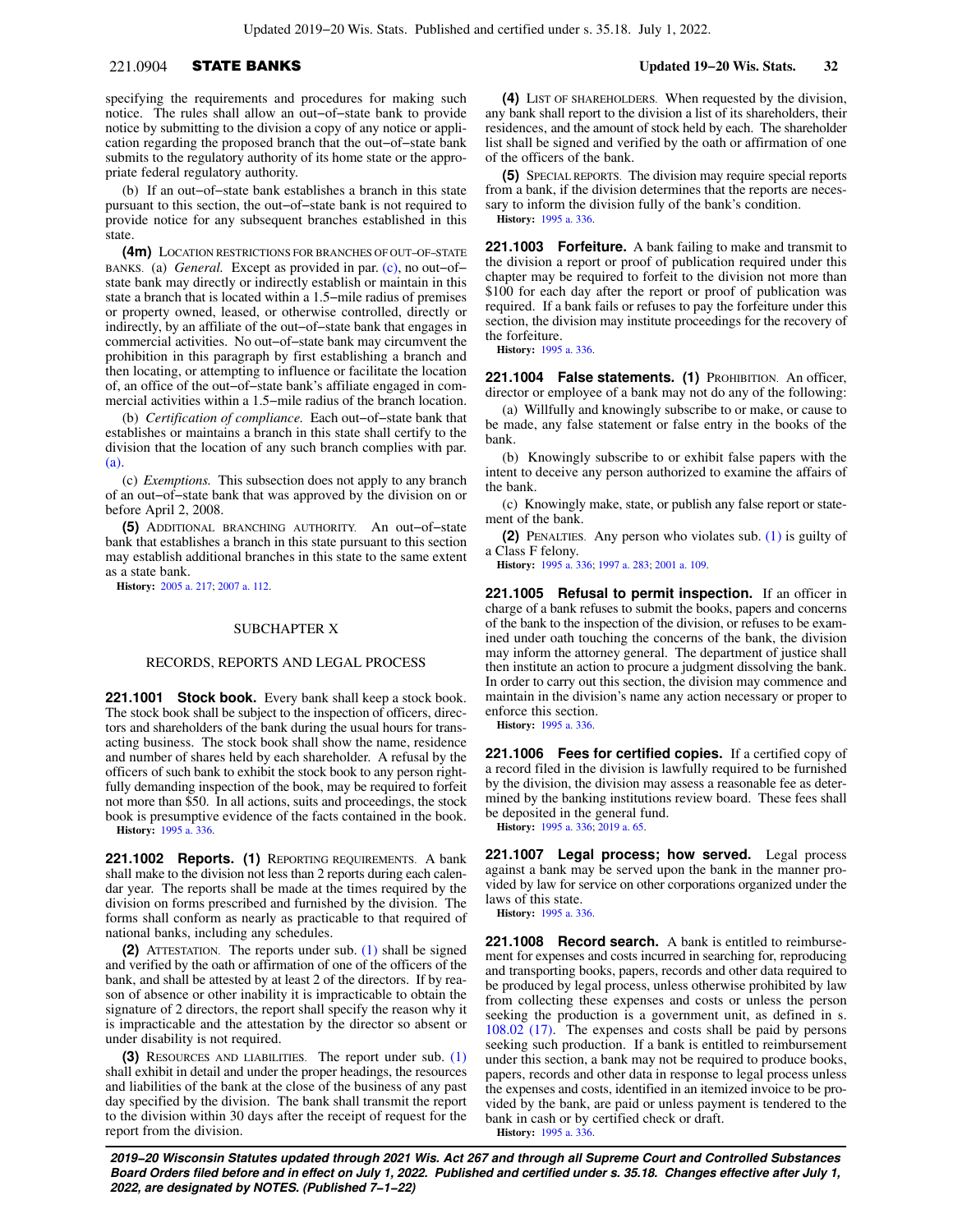## 221.0904 STATE BANKS **Updated 19−20 Wis. Stats. 32**

specifying the requirements and procedures for making such notice. The rules shall allow an out−of−state bank to provide notice by submitting to the division a copy of any notice or application regarding the proposed branch that the out−of−state bank submits to the regulatory authority of its home state or the appropriate federal regulatory authority.

(b) If an out−of−state bank establishes a branch in this state pursuant to this section, the out−of−state bank is not required to provide notice for any subsequent branches established in this state.

**(4m)** LOCATION RESTRICTIONS FOR BRANCHES OF OUT−OF−STATE BANKS. (a) *General.* Except as provided in par. [\(c\),](https://docs.legis.wisconsin.gov/document/statutes/221.0904(4m)(c)) no out−of− state bank may directly or indirectly establish or maintain in this state a branch that is located within a 1.5−mile radius of premises or property owned, leased, or otherwise controlled, directly or indirectly, by an affiliate of the out−of−state bank that engages in commercial activities. No out−of−state bank may circumvent the prohibition in this paragraph by first establishing a branch and then locating, or attempting to influence or facilitate the location of, an office of the out−of−state bank's affiliate engaged in commercial activities within a 1.5−mile radius of the branch location.

(b) *Certification of compliance.* Each out−of−state bank that establishes or maintains a branch in this state shall certify to the division that the location of any such branch complies with par. [\(a\).](https://docs.legis.wisconsin.gov/document/statutes/221.0904(4m)(a))

(c) *Exemptions.* This subsection does not apply to any branch of an out−of−state bank that was approved by the division on or before April 2, 2008.

**(5)** ADDITIONAL BRANCHING AUTHORITY. An out−of−state bank that establishes a branch in this state pursuant to this section may establish additional branches in this state to the same extent as a state bank.

**History:** [2005 a. 217](https://docs.legis.wisconsin.gov/document/acts/2005/217); [2007 a. 112.](https://docs.legis.wisconsin.gov/document/acts/2007/112)

### SUBCHAPTER X

### RECORDS, REPORTS AND LEGAL PROCESS

**221.1001 Stock book.** Every bank shall keep a stock book. The stock book shall be subject to the inspection of officers, directors and shareholders of the bank during the usual hours for transacting business. The stock book shall show the name, residence and number of shares held by each shareholder. A refusal by the officers of such bank to exhibit the stock book to any person rightfully demanding inspection of the book, may be required to forfeit not more than \$50. In all actions, suits and proceedings, the stock book is presumptive evidence of the facts contained in the book. **History:** [1995 a. 336](https://docs.legis.wisconsin.gov/document/acts/1995/336).

**221.1002 Reports. (1)** REPORTING REQUIREMENTS. A bank shall make to the division not less than 2 reports during each calendar year. The reports shall be made at the times required by the division on forms prescribed and furnished by the division. The forms shall conform as nearly as practicable to that required of national banks, including any schedules.

**(2)** ATTESTATION. The reports under sub. [\(1\)](https://docs.legis.wisconsin.gov/document/statutes/221.1002(1)) shall be signed and verified by the oath or affirmation of one of the officers of the bank, and shall be attested by at least 2 of the directors. If by reason of absence or other inability it is impracticable to obtain the signature of 2 directors, the report shall specify the reason why it is impracticable and the attestation by the director so absent or under disability is not required.

**(3)** RESOURCES AND LIABILITIES. The report under sub. [\(1\)](https://docs.legis.wisconsin.gov/document/statutes/221.1002(1)) shall exhibit in detail and under the proper headings, the resources and liabilities of the bank at the close of the business of any past day specified by the division. The bank shall transmit the report to the division within 30 days after the receipt of request for the report from the division.

**(4)** LIST OF SHAREHOLDERS. When requested by the division, any bank shall report to the division a list of its shareholders, their residences, and the amount of stock held by each. The shareholder list shall be signed and verified by the oath or affirmation of one of the officers of the bank.

**(5)** SPECIAL REPORTS. The division may require special reports from a bank, if the division determines that the reports are necessary to inform the division fully of the bank's condition. **History:** [1995 a. 336.](https://docs.legis.wisconsin.gov/document/acts/1995/336)

**221.1003 Forfeiture.** A bank failing to make and transmit to the division a report or proof of publication required under this chapter may be required to forfeit to the division not more than \$100 for each day after the report or proof of publication was required. If a bank fails or refuses to pay the forfeiture under this section, the division may institute proceedings for the recovery of the forfeiture.

**History:** [1995 a. 336.](https://docs.legis.wisconsin.gov/document/acts/1995/336)

**221.1004 False statements. (1)** PROHIBITION. An officer, director or employee of a bank may not do any of the following:

(a) Willfully and knowingly subscribe to or make, or cause to be made, any false statement or false entry in the books of the bank.

(b) Knowingly subscribe to or exhibit false papers with the intent to deceive any person authorized to examine the affairs of the bank.

(c) Knowingly make, state, or publish any false report or statement of the bank.

**(2)** PENALTIES. Any person who violates sub. [\(1\)](https://docs.legis.wisconsin.gov/document/statutes/221.1004(1)) is guilty of a Class F felony.

**History:** [1995 a. 336;](https://docs.legis.wisconsin.gov/document/acts/1995/336) [1997 a. 283](https://docs.legis.wisconsin.gov/document/acts/1997/283); [2001 a. 109.](https://docs.legis.wisconsin.gov/document/acts/2001/109)

**221.1005 Refusal to permit inspection.** If an officer in charge of a bank refuses to submit the books, papers and concerns of the bank to the inspection of the division, or refuses to be examined under oath touching the concerns of the bank, the division may inform the attorney general. The department of justice shall then institute an action to procure a judgment dissolving the bank. In order to carry out this section, the division may commence and maintain in the division's name any action necessary or proper to enforce this section.

**History:** [1995 a. 336.](https://docs.legis.wisconsin.gov/document/acts/1995/336)

**221.1006 Fees for certified copies.** If a certified copy of a record filed in the division is lawfully required to be furnished by the division, the division may assess a reasonable fee as determined by the banking institutions review board. These fees shall be deposited in the general fund.

**History:** [1995 a. 336;](https://docs.legis.wisconsin.gov/document/acts/1995/336) [2019 a. 65.](https://docs.legis.wisconsin.gov/document/acts/2019/65)

**221.1007 Legal process; how served.** Legal process against a bank may be served upon the bank in the manner provided by law for service on other corporations organized under the laws of this state.

**History:** [1995 a. 336.](https://docs.legis.wisconsin.gov/document/acts/1995/336)

**221.1008 Record search.** A bank is entitled to reimbursement for expenses and costs incurred in searching for, reproducing and transporting books, papers, records and other data required to be produced by legal process, unless otherwise prohibited by law from collecting these expenses and costs or unless the person seeking the production is a government unit, as defined in s. [108.02 \(17\)](https://docs.legis.wisconsin.gov/document/statutes/108.02(17)). The expenses and costs shall be paid by persons seeking such production. If a bank is entitled to reimbursement under this section, a bank may not be required to produce books, papers, records and other data in response to legal process unless the expenses and costs, identified in an itemized invoice to be provided by the bank, are paid or unless payment is tendered to the bank in cash or by certified check or draft. **History:** [1995 a. 336.](https://docs.legis.wisconsin.gov/document/acts/1995/336)